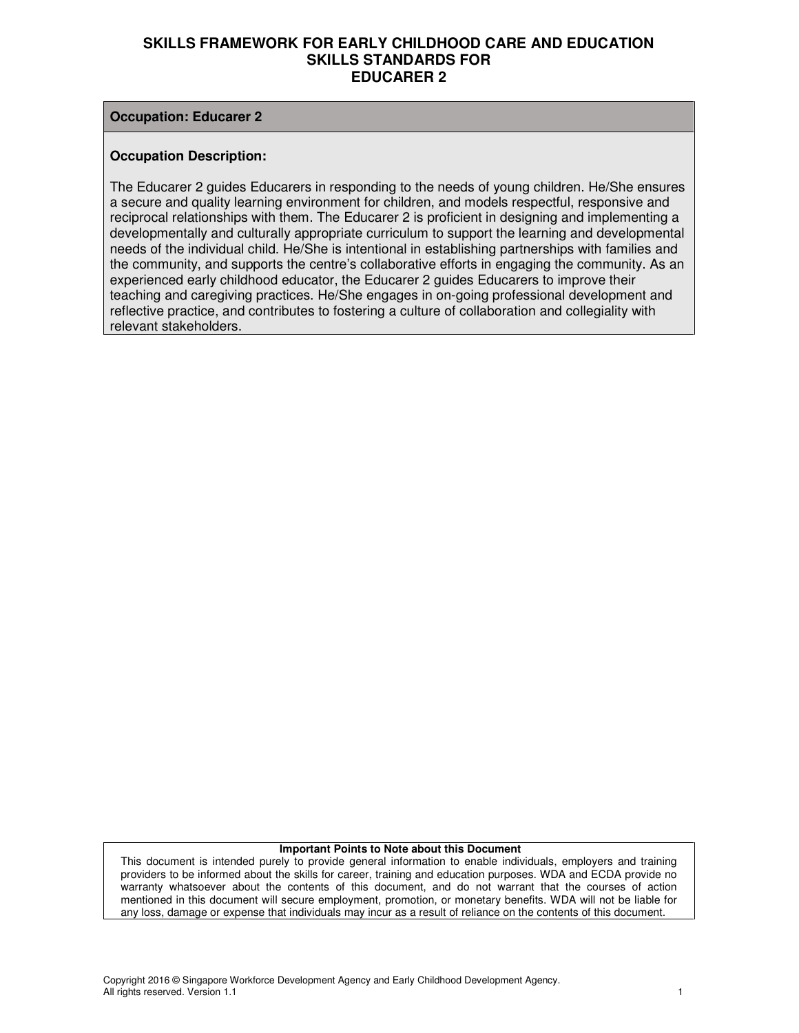#### **Occupation: Educarer 2**

#### **Occupation Description:**

The Educarer 2 guides Educarers in responding to the needs of young children. He/She ensures a secure and quality learning environment for children, and models respectful, responsive and reciprocal relationships with them. The Educarer 2 is proficient in designing and implementing a developmentally and culturally appropriate curriculum to support the learning and developmental needs of the individual child. He/She is intentional in establishing partnerships with families and the community, and supports the centre's collaborative efforts in engaging the community. As an experienced early childhood educator, the Educarer 2 guides Educarers to improve their teaching and caregiving practices. He/She engages in on-going professional development and reflective practice, and contributes to fostering a culture of collaboration and collegiality with relevant stakeholders.

#### **Important Points to Note about this Document**

This document is intended purely to provide general information to enable individuals, employers and training providers to be informed about the skills for career, training and education purposes. WDA and ECDA provide no warranty whatsoever about the contents of this document, and do not warrant that the courses of action mentioned in this document will secure employment, promotion, or monetary benefits. WDA will not be liable for any loss, damage or expense that individuals may incur as a result of reliance on the contents of this document.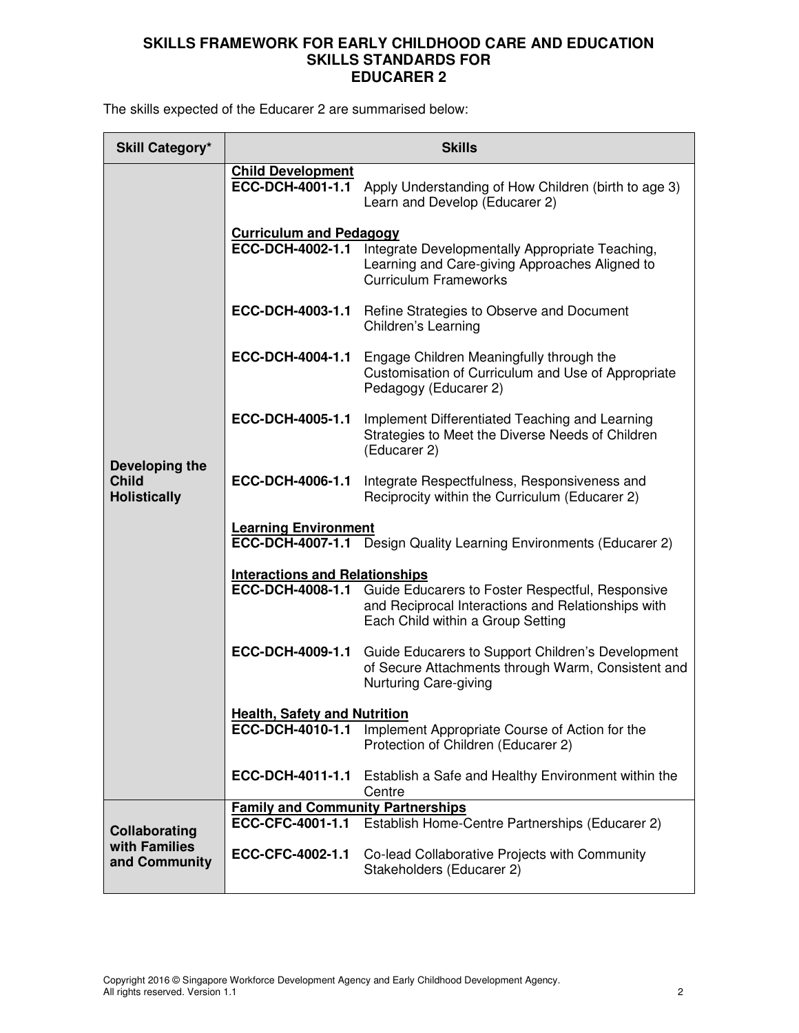The skills expected of the Educarer 2 are summarised below:

| <b>Skill Category*</b>                                |                                                              | <b>Skills</b>                                                                                                                                                       |  |
|-------------------------------------------------------|--------------------------------------------------------------|---------------------------------------------------------------------------------------------------------------------------------------------------------------------|--|
|                                                       | <b>Child Development</b><br>ECC-DCH-4001-1.1                 | Apply Understanding of How Children (birth to age 3)<br>Learn and Develop (Educarer 2)                                                                              |  |
|                                                       | <b>Curriculum and Pedagogy</b><br>ECC-DCH-4002-1.1           | Integrate Developmentally Appropriate Teaching,<br>Learning and Care-giving Approaches Aligned to<br><b>Curriculum Frameworks</b>                                   |  |
|                                                       | ECC-DCH-4003-1.1                                             | Refine Strategies to Observe and Document<br>Children's Learning                                                                                                    |  |
| Developing the<br><b>Child</b><br><b>Holistically</b> | ECC-DCH-4004-1.1                                             | Engage Children Meaningfully through the<br>Customisation of Curriculum and Use of Appropriate<br>Pedagogy (Educarer 2)                                             |  |
|                                                       | ECC-DCH-4005-1.1                                             | Implement Differentiated Teaching and Learning<br>Strategies to Meet the Diverse Needs of Children<br>(Educarer 2)                                                  |  |
|                                                       | ECC-DCH-4006-1.1                                             | Integrate Respectfulness, Responsiveness and<br>Reciprocity within the Curriculum (Educarer 2)                                                                      |  |
|                                                       | <b>Learning Environment</b>                                  | ECC-DCH-4007-1.1 Design Quality Learning Environments (Educarer 2)                                                                                                  |  |
|                                                       | <b>Interactions and Relationships</b>                        |                                                                                                                                                                     |  |
|                                                       |                                                              | <b>ECC-DCH-4008-1.1</b> Guide Educarers to Foster Respectful, Responsive<br>and Reciprocal Interactions and Relationships with<br>Each Child within a Group Setting |  |
|                                                       | ECC-DCH-4009-1.1                                             | Guide Educarers to Support Children's Development<br>of Secure Attachments through Warm, Consistent and<br>Nurturing Care-giving                                    |  |
|                                                       | <b>Health, Safety and Nutrition</b>                          |                                                                                                                                                                     |  |
|                                                       | ECC-DCH-4010-1.1                                             | Implement Appropriate Course of Action for the<br>Protection of Children (Educarer 2)                                                                               |  |
|                                                       | ECC-DCH-4011-1.1                                             | Establish a Safe and Healthy Environment within the<br>Centre                                                                                                       |  |
| Collaborating                                         | <b>Family and Community Partnerships</b><br>ECC-CFC-4001-1.1 | Establish Home-Centre Partnerships (Educarer 2)                                                                                                                     |  |
| with Families<br>and Community                        | ECC-CFC-4002-1.1                                             | Co-lead Collaborative Projects with Community<br>Stakeholders (Educarer 2)                                                                                          |  |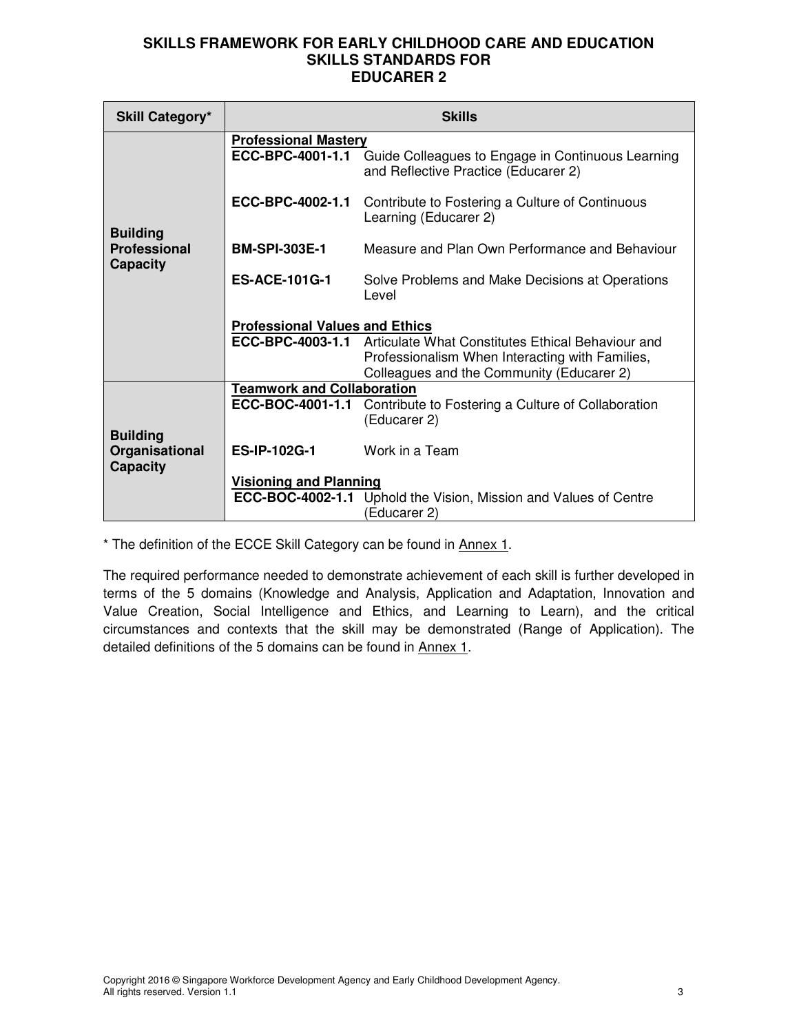| <b>Skill Category*</b>                               | <b>Skills</b>                                   |                                                                                                                                                   |  |  |
|------------------------------------------------------|-------------------------------------------------|---------------------------------------------------------------------------------------------------------------------------------------------------|--|--|
|                                                      | <b>Professional Mastery</b><br>ECC-BPC-4001-1.1 | Guide Colleagues to Engage in Continuous Learning<br>and Reflective Practice (Educarer 2)                                                         |  |  |
|                                                      | ECC-BPC-4002-1.1                                | Contribute to Fostering a Culture of Continuous<br>Learning (Educarer 2)                                                                          |  |  |
| <b>Building</b><br>Professional                      | <b>BM-SPI-303E-1</b>                            | Measure and Plan Own Performance and Behaviour                                                                                                    |  |  |
| <b>Capacity</b>                                      | <b>ES-ACE-101G-1</b>                            | Solve Problems and Make Decisions at Operations<br>Level                                                                                          |  |  |
|                                                      | <b>Professional Values and Ethics</b>           |                                                                                                                                                   |  |  |
|                                                      | ECC-BPC-4003-1.1                                | Articulate What Constitutes Ethical Behaviour and<br>Professionalism When Interacting with Families,<br>Colleagues and the Community (Educarer 2) |  |  |
|                                                      | <b>Teamwork and Collaboration</b>               |                                                                                                                                                   |  |  |
|                                                      | ECC-BOC-4001-1.1                                | Contribute to Fostering a Culture of Collaboration<br>(Educarer 2)                                                                                |  |  |
| <b>Building</b><br>Organisational<br><b>Capacity</b> | <b>ES-IP-102G-1</b>                             | Work in a Team                                                                                                                                    |  |  |
|                                                      | <b>Visioning and Planning</b>                   |                                                                                                                                                   |  |  |
|                                                      |                                                 | <b>ECC-BOC-4002-1.1</b> Uphold the Vision, Mission and Values of Centre<br>Educarer 2)                                                            |  |  |

\* The definition of the ECCE Skill Category can be found in Annex 1.

The required performance needed to demonstrate achievement of each skill is further developed in terms of the 5 domains (Knowledge and Analysis, Application and Adaptation, Innovation and Value Creation, Social Intelligence and Ethics, and Learning to Learn), and the critical circumstances and contexts that the skill may be demonstrated (Range of Application). The detailed definitions of the 5 domains can be found in Annex 1.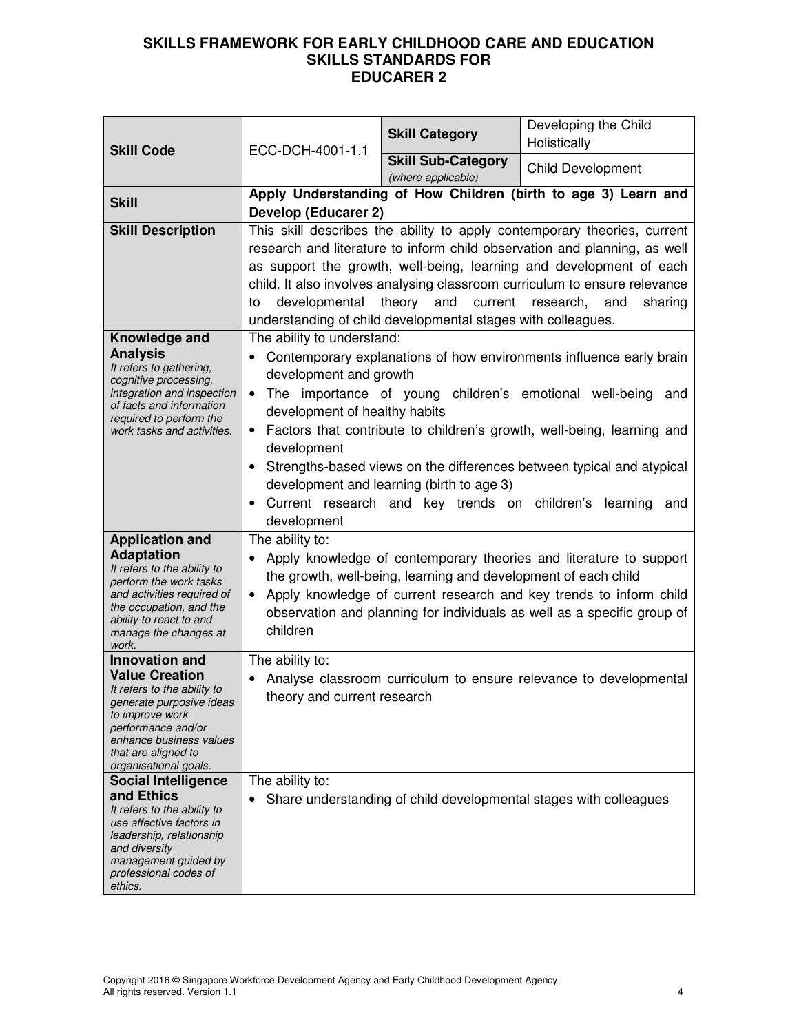| <b>Skill Code</b>                                                                                                                                                                                                             | ECC-DCH-4001-1.1                                                                                                                                                                                                                                                                                                                                                                                                                                             | <b>Skill Category</b>                                          | Developing the Child<br>Holistically                                                                                                                                                                                                                                                                                                                |
|-------------------------------------------------------------------------------------------------------------------------------------------------------------------------------------------------------------------------------|--------------------------------------------------------------------------------------------------------------------------------------------------------------------------------------------------------------------------------------------------------------------------------------------------------------------------------------------------------------------------------------------------------------------------------------------------------------|----------------------------------------------------------------|-----------------------------------------------------------------------------------------------------------------------------------------------------------------------------------------------------------------------------------------------------------------------------------------------------------------------------------------------------|
|                                                                                                                                                                                                                               |                                                                                                                                                                                                                                                                                                                                                                                                                                                              | <b>Skill Sub-Category</b><br>(where applicable)                | <b>Child Development</b>                                                                                                                                                                                                                                                                                                                            |
| <b>Skill</b>                                                                                                                                                                                                                  | Develop (Educarer 2)                                                                                                                                                                                                                                                                                                                                                                                                                                         |                                                                | Apply Understanding of How Children (birth to age 3) Learn and                                                                                                                                                                                                                                                                                      |
| <b>Skill Description</b>                                                                                                                                                                                                      | This skill describes the ability to apply contemporary theories, current<br>research and literature to inform child observation and planning, as well<br>as support the growth, well-being, learning and development of each<br>child. It also involves analysing classroom curriculum to ensure relevance<br>developmental<br>theory<br>current<br>and<br>research,<br>and<br>sharing<br>to<br>understanding of child developmental stages with colleagues. |                                                                |                                                                                                                                                                                                                                                                                                                                                     |
| Knowledge and<br><b>Analysis</b><br>It refers to gathering,<br>cognitive processing,<br>integration and inspection<br>of facts and information<br>required to perform the<br>work tasks and activities.                       | The ability to understand:<br>development and growth<br>$\bullet$<br>development of healthy habits<br>$\bullet$<br>development<br>development                                                                                                                                                                                                                                                                                                                | development and learning (birth to age 3)                      | Contemporary explanations of how environments influence early brain<br>The importance of young children's emotional well-being and<br>Factors that contribute to children's growth, well-being, learning and<br>Strengths-based views on the differences between typical and atypical<br>Current research and key trends on children's learning and |
| <b>Application and</b><br><b>Adaptation</b><br>It refers to the ability to<br>perform the work tasks<br>and activities required of<br>the occupation, and the<br>ability to react to and<br>manage the changes at<br>work.    | The ability to:<br>$\bullet$<br>children                                                                                                                                                                                                                                                                                                                                                                                                                     | the growth, well-being, learning and development of each child | Apply knowledge of contemporary theories and literature to support<br>Apply knowledge of current research and key trends to inform child<br>observation and planning for individuals as well as a specific group of                                                                                                                                 |
| <b>Innovation and</b><br><b>Value Creation</b><br>It refers to the ability to<br>generate purposive ideas<br>to improve work<br>performance and/or<br>enhance business values<br>that are aligned to<br>organisational goals. | The ability to:<br>theory and current research                                                                                                                                                                                                                                                                                                                                                                                                               |                                                                | Analyse classroom curriculum to ensure relevance to developmental                                                                                                                                                                                                                                                                                   |
| <b>Social Intelligence</b><br>and Ethics<br>It refers to the ability to<br>use affective factors in<br>leadership, relationship<br>and diversity<br>management guided by<br>professional codes of<br>ethics.                  | The ability to:                                                                                                                                                                                                                                                                                                                                                                                                                                              |                                                                | Share understanding of child developmental stages with colleagues                                                                                                                                                                                                                                                                                   |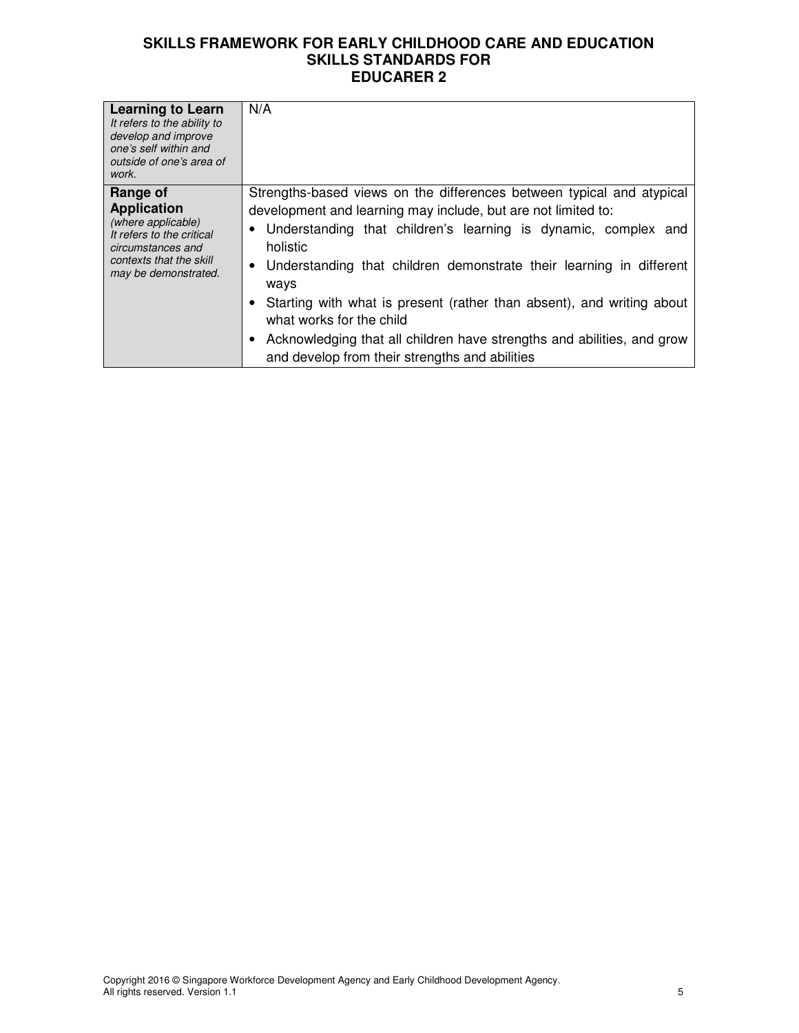| <b>Learning to Learn</b><br>It refers to the ability to<br>develop and improve<br>one's self within and<br>outside of one's area of<br>work.              | N/A                                                                                                                                                                                                                                                                                                                                                                                                                                                                                                                                      |
|-----------------------------------------------------------------------------------------------------------------------------------------------------------|------------------------------------------------------------------------------------------------------------------------------------------------------------------------------------------------------------------------------------------------------------------------------------------------------------------------------------------------------------------------------------------------------------------------------------------------------------------------------------------------------------------------------------------|
| Range of<br><b>Application</b><br>(where applicable)<br>It refers to the critical<br>circumstances and<br>contexts that the skill<br>may be demonstrated. | Strengths-based views on the differences between typical and atypical<br>development and learning may include, but are not limited to:<br>• Understanding that children's learning is dynamic, complex and<br>holistic<br>• Understanding that children demonstrate their learning in different<br>ways<br>Starting with what is present (rather than absent), and writing about<br>what works for the child<br>Acknowledging that all children have strengths and abilities, and grow<br>and develop from their strengths and abilities |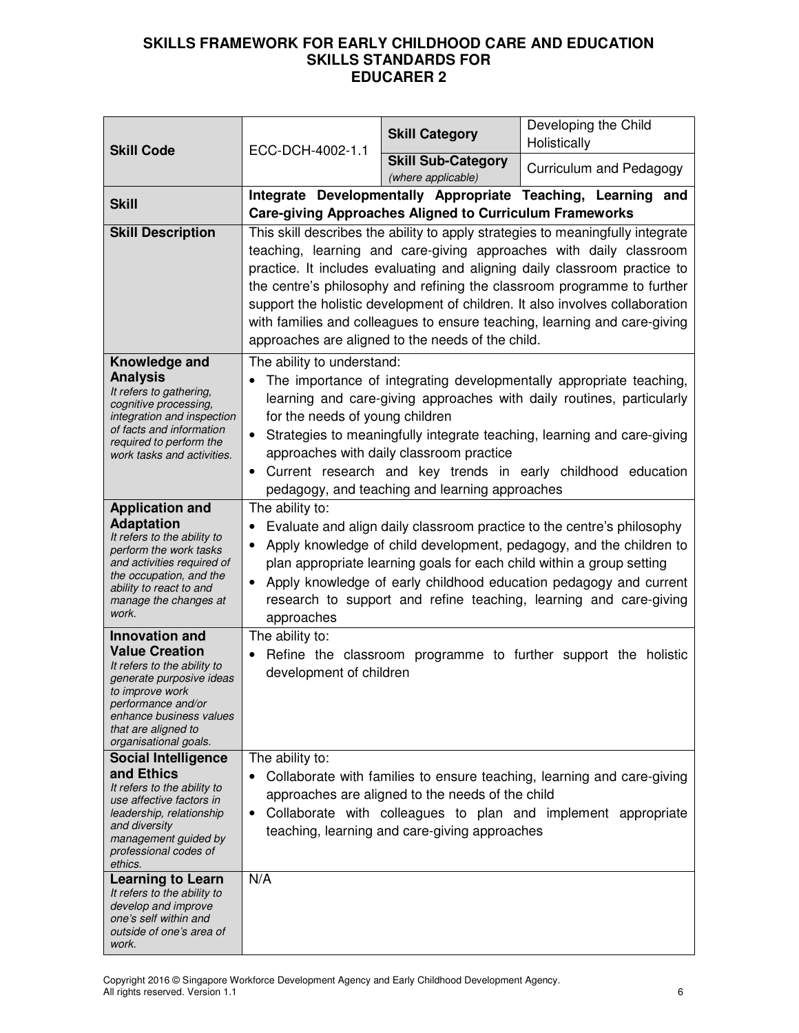|                                                                                                                                                                                                                               | ECC-DCH-4002-1.1<br><b>Skill Code</b>                                                                                                                                                                                                                                                                                                                                                                                                                                                                                                                                                                                                                                                                                                                                 | <b>Skill Category</b>                                                                             | Developing the Child<br>Holistically                                                                                                    |
|-------------------------------------------------------------------------------------------------------------------------------------------------------------------------------------------------------------------------------|-----------------------------------------------------------------------------------------------------------------------------------------------------------------------------------------------------------------------------------------------------------------------------------------------------------------------------------------------------------------------------------------------------------------------------------------------------------------------------------------------------------------------------------------------------------------------------------------------------------------------------------------------------------------------------------------------------------------------------------------------------------------------|---------------------------------------------------------------------------------------------------|-----------------------------------------------------------------------------------------------------------------------------------------|
|                                                                                                                                                                                                                               |                                                                                                                                                                                                                                                                                                                                                                                                                                                                                                                                                                                                                                                                                                                                                                       | <b>Skill Sub-Category</b><br>(where applicable)                                                   | Curriculum and Pedagogy                                                                                                                 |
| <b>Skill</b><br><b>Skill Description</b><br>Knowledge and<br><b>Analysis</b><br>It refers to gathering,                                                                                                                       | Integrate Developmentally Appropriate Teaching, Learning and<br><b>Care-giving Approaches Aligned to Curriculum Frameworks</b><br>This skill describes the ability to apply strategies to meaningfully integrate<br>teaching, learning and care-giving approaches with daily classroom<br>practice. It includes evaluating and aligning daily classroom practice to<br>the centre's philosophy and refining the classroom programme to further<br>support the holistic development of children. It also involves collaboration<br>with families and colleagues to ensure teaching, learning and care-giving<br>approaches are aligned to the needs of the child.<br>The ability to understand:<br>The importance of integrating developmentally appropriate teaching, |                                                                                                   |                                                                                                                                         |
| cognitive processing,<br>integration and inspection<br>of facts and information<br>required to perform the<br>work tasks and activities.                                                                                      | learning and care-giving approaches with daily routines, particularly<br>for the needs of young children<br>Strategies to meaningfully integrate teaching, learning and care-giving<br>approaches with daily classroom practice<br>Current research and key trends in early childhood education<br>$\bullet$<br>pedagogy, and teaching and learning approaches                                                                                                                                                                                                                                                                                                                                                                                                        |                                                                                                   |                                                                                                                                         |
| <b>Application and</b><br><b>Adaptation</b><br>It refers to the ability to<br>perform the work tasks<br>and activities required of<br>the occupation, and the<br>ability to react to and<br>manage the changes at<br>work.    | The ability to:<br>Evaluate and align daily classroom practice to the centre's philosophy<br>Apply knowledge of child development, pedagogy, and the children to<br>plan appropriate learning goals for each child within a group setting<br>Apply knowledge of early childhood education pedagogy and current<br>research to support and refine teaching, learning and care-giving<br>approaches                                                                                                                                                                                                                                                                                                                                                                     |                                                                                                   |                                                                                                                                         |
| <b>Innovation and</b><br><b>Value Creation</b><br>It refers to the ability to<br>generate purposive ideas<br>to improve work<br>performance and/or<br>enhance business values<br>that are aligned to<br>organisational goals. | The ability to:<br>development of children                                                                                                                                                                                                                                                                                                                                                                                                                                                                                                                                                                                                                                                                                                                            |                                                                                                   | Refine the classroom programme to further support the holistic                                                                          |
| <b>Social Intelligence</b><br>and Ethics<br>It refers to the ability to<br>use affective factors in<br>leadership, relationship<br>and diversity<br>management guided by<br>professional codes of<br>ethics.                  | The ability to:<br>$\bullet$                                                                                                                                                                                                                                                                                                                                                                                                                                                                                                                                                                                                                                                                                                                                          | approaches are aligned to the needs of the child<br>teaching, learning and care-giving approaches | Collaborate with families to ensure teaching, learning and care-giving<br>Collaborate with colleagues to plan and implement appropriate |
| <b>Learning to Learn</b><br>It refers to the ability to<br>develop and improve<br>one's self within and<br>outside of one's area of<br>work.                                                                                  | N/A                                                                                                                                                                                                                                                                                                                                                                                                                                                                                                                                                                                                                                                                                                                                                                   |                                                                                                   |                                                                                                                                         |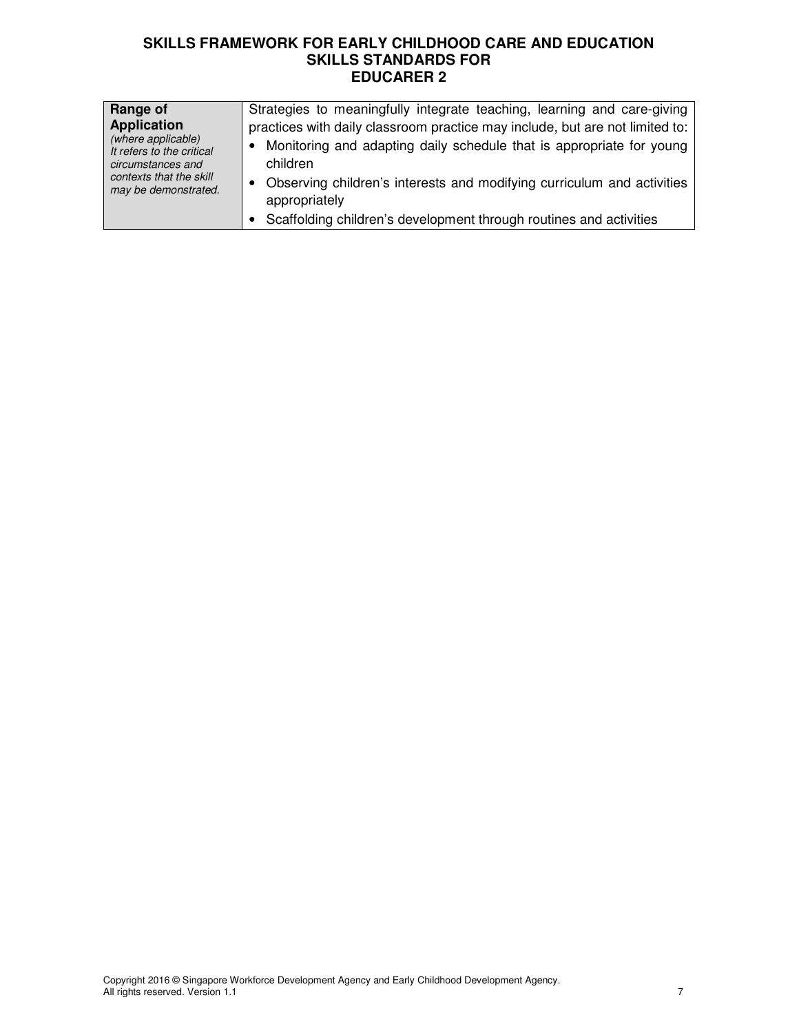| <b>Range of</b><br><b>Application</b><br>(where applicable)<br>It refers to the critical<br>circumstances and<br>contexts that the skill<br>may be demonstrated. | Strategies to meaningfully integrate teaching, learning and care-giving<br>practices with daily classroom practice may include, but are not limited to:<br>Monitoring and adapting daily schedule that is appropriate for young<br>children<br>• Observing children's interests and modifying curriculum and activities<br>appropriately |
|------------------------------------------------------------------------------------------------------------------------------------------------------------------|------------------------------------------------------------------------------------------------------------------------------------------------------------------------------------------------------------------------------------------------------------------------------------------------------------------------------------------|
|                                                                                                                                                                  | Scaffolding children's development through routines and activities                                                                                                                                                                                                                                                                       |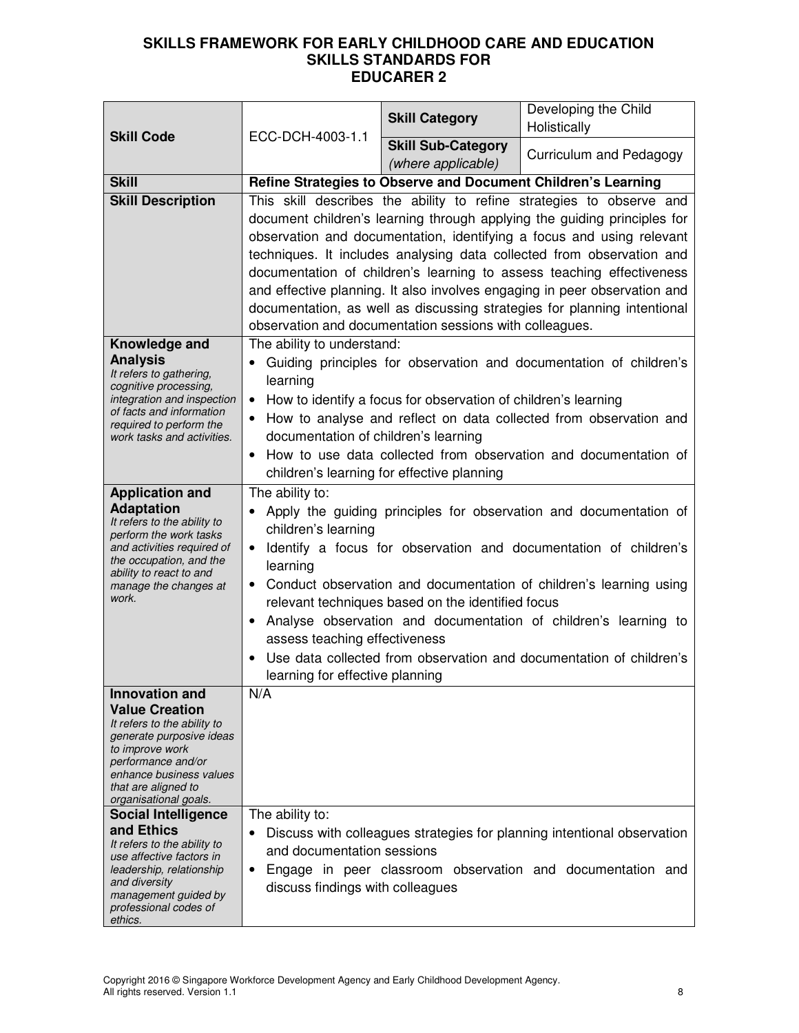| <b>Skill Code</b>                                                            | ECC-DCH-4003-1.1                                                              | <b>Skill Category</b>                                          | Developing the Child<br>Holistically                                      |  |
|------------------------------------------------------------------------------|-------------------------------------------------------------------------------|----------------------------------------------------------------|---------------------------------------------------------------------------|--|
|                                                                              |                                                                               | <b>Skill Sub-Category</b><br>(where applicable)                | Curriculum and Pedagogy                                                   |  |
| <b>Skill</b>                                                                 |                                                                               |                                                                | Refine Strategies to Observe and Document Children's Learning             |  |
| <b>Skill Description</b>                                                     |                                                                               |                                                                | This skill describes the ability to refine strategies to observe and      |  |
|                                                                              |                                                                               |                                                                | document children's learning through applying the guiding principles for  |  |
|                                                                              |                                                                               |                                                                | observation and documentation, identifying a focus and using relevant     |  |
|                                                                              |                                                                               |                                                                | techniques. It includes analysing data collected from observation and     |  |
|                                                                              |                                                                               |                                                                | documentation of children's learning to assess teaching effectiveness     |  |
|                                                                              |                                                                               |                                                                | and effective planning. It also involves engaging in peer observation and |  |
|                                                                              |                                                                               | observation and documentation sessions with colleagues.        | documentation, as well as discussing strategies for planning intentional  |  |
| Knowledge and                                                                | The ability to understand:                                                    |                                                                |                                                                           |  |
| <b>Analysis</b>                                                              |                                                                               |                                                                | Guiding principles for observation and documentation of children's        |  |
| It refers to gathering,                                                      | learning                                                                      |                                                                |                                                                           |  |
| cognitive processing,<br>integration and inspection                          | $\bullet$                                                                     | How to identify a focus for observation of children's learning |                                                                           |  |
| of facts and information                                                     |                                                                               |                                                                | How to analyse and reflect on data collected from observation and         |  |
| required to perform the<br>work tasks and activities.                        | documentation of children's learning                                          |                                                                |                                                                           |  |
|                                                                              | $\bullet$                                                                     |                                                                | How to use data collected from observation and documentation of           |  |
|                                                                              |                                                                               | children's learning for effective planning                     |                                                                           |  |
| <b>Application and</b>                                                       | The ability to:                                                               |                                                                |                                                                           |  |
| <b>Adaptation</b>                                                            |                                                                               |                                                                | Apply the guiding principles for observation and documentation of         |  |
| It refers to the ability to<br>children's learning<br>perform the work tasks |                                                                               |                                                                |                                                                           |  |
| and activities required of<br>the occupation, and the                        | Identify a focus for observation and documentation of children's<br>$\bullet$ |                                                                |                                                                           |  |
| ability to react to and                                                      | learning                                                                      |                                                                |                                                                           |  |
| manage the changes at<br>work.                                               | $\bullet$                                                                     |                                                                | Conduct observation and documentation of children's learning using        |  |
|                                                                              |                                                                               | relevant techniques based on the identified focus              |                                                                           |  |
|                                                                              | ٠<br>assess teaching effectiveness                                            |                                                                | Analyse observation and documentation of children's learning to           |  |
|                                                                              |                                                                               |                                                                | Use data collected from observation and documentation of children's       |  |
|                                                                              | learning for effective planning                                               |                                                                |                                                                           |  |
| <b>Innovation and</b>                                                        | N/A                                                                           |                                                                |                                                                           |  |
| <b>Value Creation</b>                                                        |                                                                               |                                                                |                                                                           |  |
| It refers to the ability to<br>generate purposive ideas                      |                                                                               |                                                                |                                                                           |  |
| to improve work                                                              |                                                                               |                                                                |                                                                           |  |
| performance and/or<br>enhance business values                                |                                                                               |                                                                |                                                                           |  |
| that are aligned to<br>organisational goals.                                 |                                                                               |                                                                |                                                                           |  |
| <b>Social Intelligence</b>                                                   | The ability to:                                                               |                                                                |                                                                           |  |
| and Ethics                                                                   |                                                                               |                                                                | Discuss with colleagues strategies for planning intentional observation   |  |
| It refers to the ability to<br>use affective factors in                      | and documentation sessions                                                    |                                                                |                                                                           |  |
| leadership, relationship                                                     | ٠                                                                             |                                                                | Engage in peer classroom observation and documentation and                |  |
| and diversity<br>management guided by                                        | discuss findings with colleagues                                              |                                                                |                                                                           |  |
| professional codes of                                                        |                                                                               |                                                                |                                                                           |  |
| ethics.                                                                      |                                                                               |                                                                |                                                                           |  |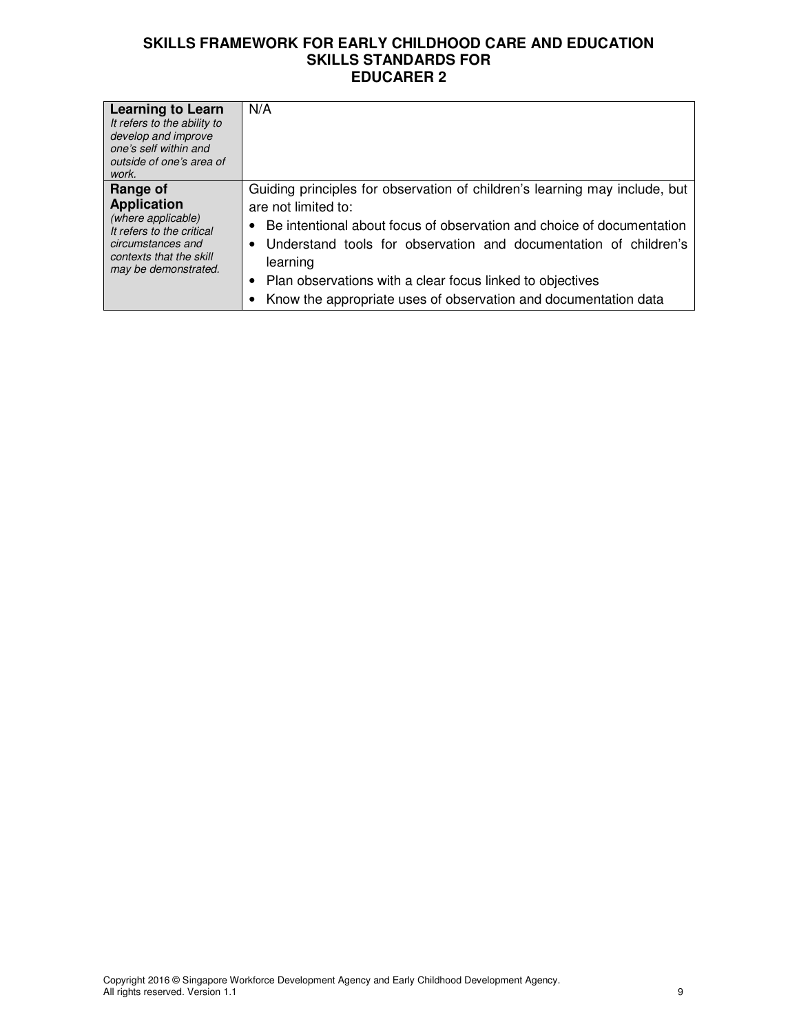| <b>Learning to Learn</b><br>It refers to the ability to<br>develop and improve<br>one's self within and<br>outside of one's area of<br>work.              | N/A                                                                                                                                                                                                                                                                                                                                                                                                     |
|-----------------------------------------------------------------------------------------------------------------------------------------------------------|---------------------------------------------------------------------------------------------------------------------------------------------------------------------------------------------------------------------------------------------------------------------------------------------------------------------------------------------------------------------------------------------------------|
| Range of<br><b>Application</b><br>(where applicable)<br>It refers to the critical<br>circumstances and<br>contexts that the skill<br>may be demonstrated. | Guiding principles for observation of children's learning may include, but<br>are not limited to:<br>Be intentional about focus of observation and choice of documentation<br>Understand tools for observation and documentation of children's<br>$\bullet$<br>learning<br>Plan observations with a clear focus linked to objectives<br>Know the appropriate uses of observation and documentation data |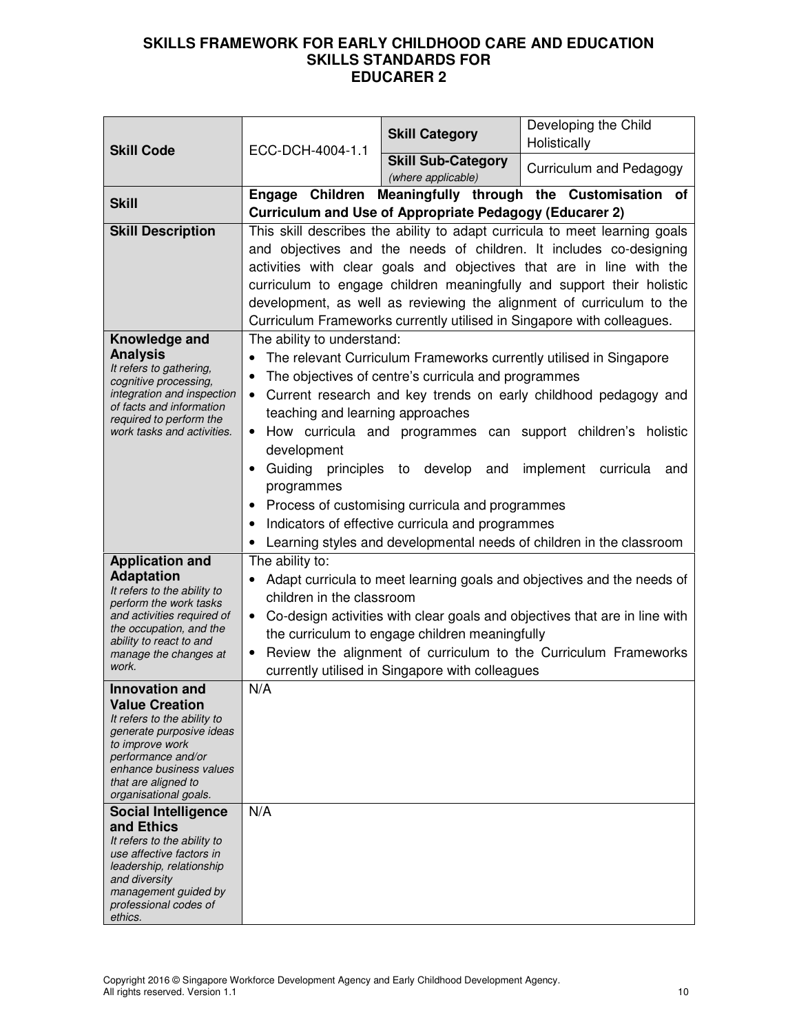| <b>Skill Code</b>                                                                                                                                                                                                                                           | ECC-DCH-4004-1.1                                                                                                                                                                                                                                                                                                                                                                                                                                    | <b>Skill Category</b>                                                                                                                                                             | Developing the Child<br>Holistically                                                                                                                                                                                                                                                                               |  |
|-------------------------------------------------------------------------------------------------------------------------------------------------------------------------------------------------------------------------------------------------------------|-----------------------------------------------------------------------------------------------------------------------------------------------------------------------------------------------------------------------------------------------------------------------------------------------------------------------------------------------------------------------------------------------------------------------------------------------------|-----------------------------------------------------------------------------------------------------------------------------------------------------------------------------------|--------------------------------------------------------------------------------------------------------------------------------------------------------------------------------------------------------------------------------------------------------------------------------------------------------------------|--|
|                                                                                                                                                                                                                                                             |                                                                                                                                                                                                                                                                                                                                                                                                                                                     | <b>Skill Sub-Category</b><br>(where applicable)                                                                                                                                   | Curriculum and Pedagogy                                                                                                                                                                                                                                                                                            |  |
| <b>Skill</b>                                                                                                                                                                                                                                                |                                                                                                                                                                                                                                                                                                                                                                                                                                                     | <b>Curriculum and Use of Appropriate Pedagogy (Educarer 2)</b>                                                                                                                    | Engage Children Meaningfully through the Customisation of                                                                                                                                                                                                                                                          |  |
| <b>Skill Description</b>                                                                                                                                                                                                                                    | This skill describes the ability to adapt curricula to meet learning goals<br>and objectives and the needs of children. It includes co-designing<br>activities with clear goals and objectives that are in line with the<br>curriculum to engage children meaningfully and support their holistic<br>development, as well as reviewing the alignment of curriculum to the<br>Curriculum Frameworks currently utilised in Singapore with colleagues. |                                                                                                                                                                                   |                                                                                                                                                                                                                                                                                                                    |  |
| Knowledge and<br><b>Analysis</b><br>It refers to gathering,<br>cognitive processing,<br>integration and inspection<br>of facts and information<br>required to perform the<br>work tasks and activities.                                                     | The ability to understand:<br>$\bullet$<br>$\bullet$<br>teaching and learning approaches<br>development<br>Guiding principles<br>$\bullet$<br>programmes                                                                                                                                                                                                                                                                                            | The objectives of centre's curricula and programmes<br>to<br>develop and<br>• Process of customising curricula and programmes<br>Indicators of effective curricula and programmes | The relevant Curriculum Frameworks currently utilised in Singapore<br>Current research and key trends on early childhood pedagogy and<br>• How curricula and programmes can support children's holistic<br>implement<br>curricula<br>and<br>• Learning styles and developmental needs of children in the classroom |  |
| <b>Application and</b><br><b>Adaptation</b><br>It refers to the ability to<br>perform the work tasks<br>and activities required of<br>the occupation, and the<br>ability to react to and<br>manage the changes at<br>work.                                  | The ability to:<br>children in the classroom                                                                                                                                                                                                                                                                                                                                                                                                        | the curriculum to engage children meaningfully<br>currently utilised in Singapore with colleagues                                                                                 | Adapt curricula to meet learning goals and objectives and the needs of<br>• Co-design activities with clear goals and objectives that are in line with<br>Review the alignment of curriculum to the Curriculum Frameworks                                                                                          |  |
| <b>Innovation and</b><br><b>Value Creation</b><br>It refers to the ability to<br>generate purposive ideas<br>to improve work<br>performance and/or<br>enhance business values<br>that are aligned to<br>organisational goals.<br><b>Social Intelligence</b> | N/A<br>N/A                                                                                                                                                                                                                                                                                                                                                                                                                                          |                                                                                                                                                                                   |                                                                                                                                                                                                                                                                                                                    |  |
| and Ethics<br>It refers to the ability to<br>use affective factors in<br>leadership, relationship<br>and diversity<br>management guided by<br>professional codes of<br>ethics.                                                                              |                                                                                                                                                                                                                                                                                                                                                                                                                                                     |                                                                                                                                                                                   |                                                                                                                                                                                                                                                                                                                    |  |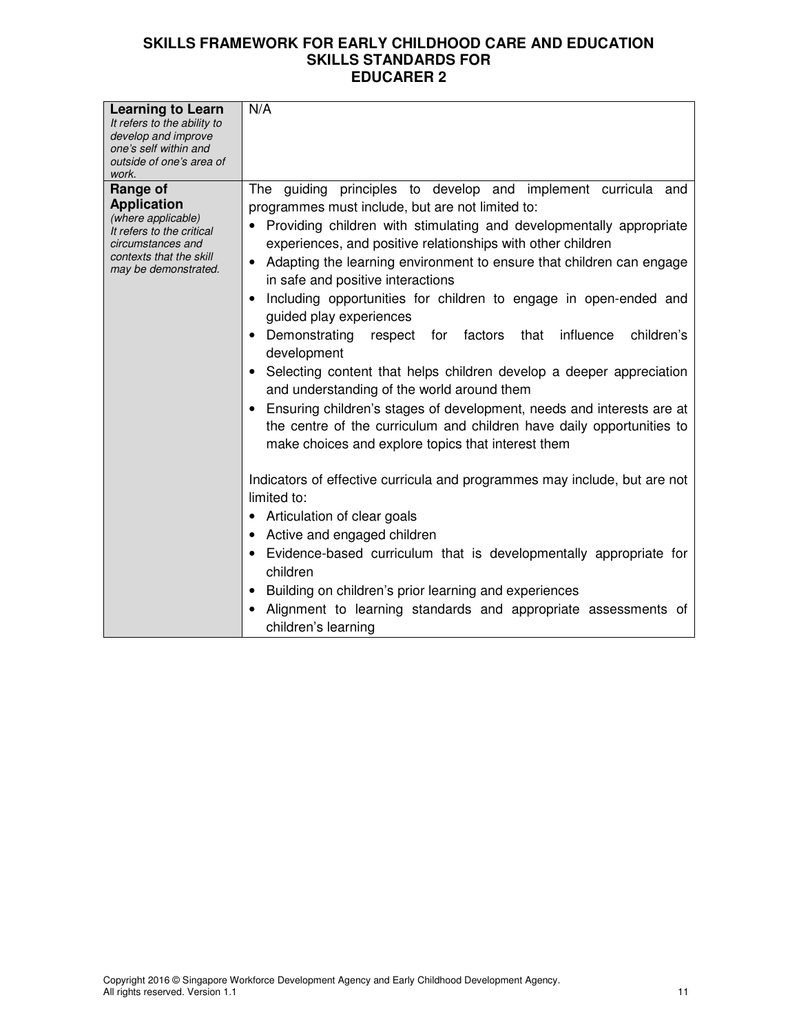| <b>Learning to Learn</b><br>It refers to the ability to<br>develop and improve<br>one's self within and<br>outside of one's area of<br>work.              | N/A                                                                                                                                                                                                                                                                                                                                                                                                                                                                                                                                                                                                                                                                                                                                                                                                                                                                                       |
|-----------------------------------------------------------------------------------------------------------------------------------------------------------|-------------------------------------------------------------------------------------------------------------------------------------------------------------------------------------------------------------------------------------------------------------------------------------------------------------------------------------------------------------------------------------------------------------------------------------------------------------------------------------------------------------------------------------------------------------------------------------------------------------------------------------------------------------------------------------------------------------------------------------------------------------------------------------------------------------------------------------------------------------------------------------------|
| Range of<br><b>Application</b><br>(where applicable)<br>It refers to the critical<br>circumstances and<br>contexts that the skill<br>may be demonstrated. | The guiding principles to develop and implement curricula and<br>programmes must include, but are not limited to:<br>• Providing children with stimulating and developmentally appropriate<br>experiences, and positive relationships with other children<br>Adapting the learning environment to ensure that children can engage<br>in safe and positive interactions<br>Including opportunities for children to engage in open-ended and<br>guided play experiences<br>Demonstrating<br>children's<br>respect for factors that<br>influence<br>development<br>Selecting content that helps children develop a deeper appreciation<br>and understanding of the world around them<br>Ensuring children's stages of development, needs and interests are at<br>the centre of the curriculum and children have daily opportunities to<br>make choices and explore topics that interest them |
|                                                                                                                                                           | Indicators of effective curricula and programmes may include, but are not<br>limited to:<br>Articulation of clear goals<br>Active and engaged children<br>Evidence-based curriculum that is developmentally appropriate for<br>children<br>Building on children's prior learning and experiences<br>Alignment to learning standards and appropriate assessments of<br>children's learning                                                                                                                                                                                                                                                                                                                                                                                                                                                                                                 |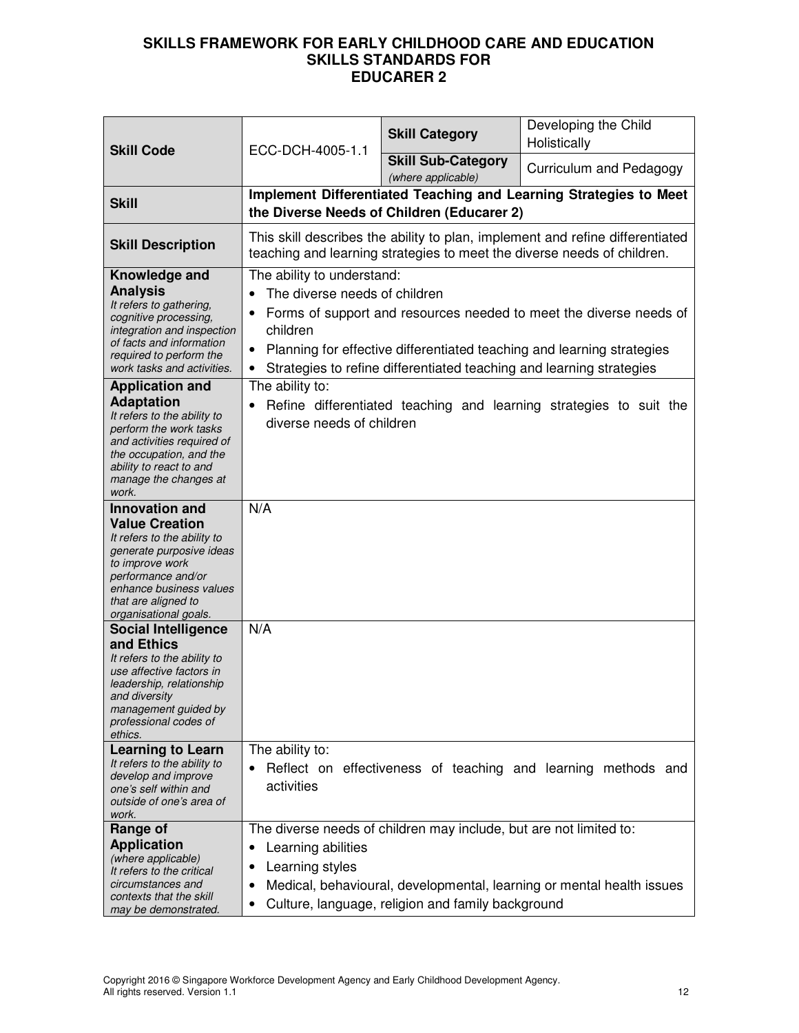| <b>Skill Code</b>                                                                                                                                                                                                             | ECC-DCH-4005-1.1                                                             | <b>Skill Category</b>                                                                                                   | Developing the Child<br>Holistically                                                                                                                     |
|-------------------------------------------------------------------------------------------------------------------------------------------------------------------------------------------------------------------------------|------------------------------------------------------------------------------|-------------------------------------------------------------------------------------------------------------------------|----------------------------------------------------------------------------------------------------------------------------------------------------------|
|                                                                                                                                                                                                                               |                                                                              | <b>Skill Sub-Category</b><br>(where applicable)                                                                         | Curriculum and Pedagogy                                                                                                                                  |
| <b>Skill</b>                                                                                                                                                                                                                  |                                                                              | the Diverse Needs of Children (Educarer 2)                                                                              | Implement Differentiated Teaching and Learning Strategies to Meet                                                                                        |
| <b>Skill Description</b>                                                                                                                                                                                                      |                                                                              |                                                                                                                         | This skill describes the ability to plan, implement and refine differentiated<br>teaching and learning strategies to meet the diverse needs of children. |
| Knowledge and<br><b>Analysis</b><br>It refers to gathering,<br>cognitive processing,<br>integration and inspection<br>of facts and information<br>required to perform the<br>work tasks and activities.                       | The ability to understand:<br>The diverse needs of children<br>children<br>٠ | Strategies to refine differentiated teaching and learning strategies                                                    | Forms of support and resources needed to meet the diverse needs of<br>Planning for effective differentiated teaching and learning strategies             |
| <b>Application and</b><br><b>Adaptation</b><br>It refers to the ability to<br>perform the work tasks<br>and activities required of<br>the occupation, and the<br>ability to react to and<br>manage the changes at<br>work.    | The ability to:<br>diverse needs of children                                 |                                                                                                                         | Refine differentiated teaching and learning strategies to suit the                                                                                       |
| <b>Innovation and</b><br><b>Value Creation</b><br>It refers to the ability to<br>generate purposive ideas<br>to improve work<br>performance and/or<br>enhance business values<br>that are aligned to<br>organisational goals. | N/A                                                                          |                                                                                                                         |                                                                                                                                                          |
| <b>Social Intelligence</b><br>and Ethics<br>It refers to the ability to<br>use affective factors in<br>leadership, relationship<br>and diversity<br>management guided by<br>professional codes of<br>ethics.                  | N/A                                                                          |                                                                                                                         |                                                                                                                                                          |
| <b>Learning to Learn</b><br>It refers to the ability to<br>develop and improve<br>one's self within and<br>outside of one's area of<br>work.                                                                                  | The ability to:<br>$\bullet$<br>activities                                   |                                                                                                                         | Reflect on effectiveness of teaching and learning methods and                                                                                            |
| Range of<br><b>Application</b><br>(where applicable)<br>It refers to the critical<br>circumstances and<br>contexts that the skill<br>may be demonstrated.                                                                     | Learning abilities<br>٠<br>Learning styles                                   | The diverse needs of children may include, but are not limited to:<br>Culture, language, religion and family background | Medical, behavioural, developmental, learning or mental health issues                                                                                    |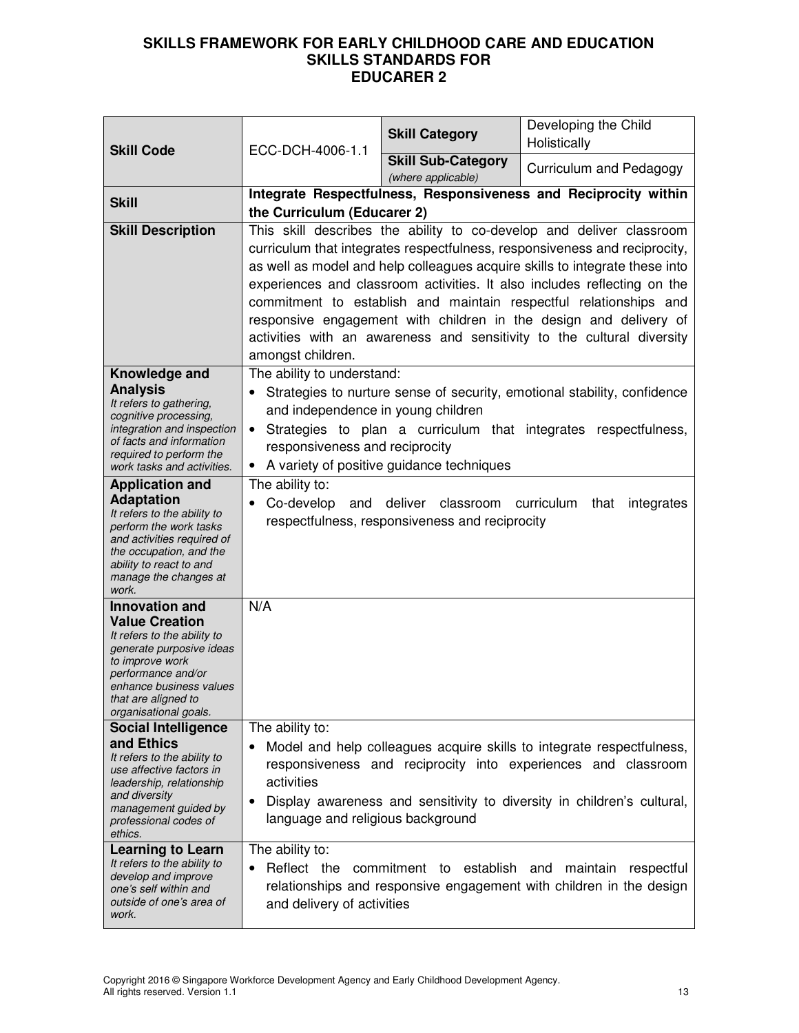| <b>Skill Code</b><br>ECC-DCH-4006-1.1                                                                                                                                                                                         | <b>Skill Category</b>                                                                                                                                                                                                                                                                                                                                                                                                                                                                                                                                  | Developing the Child<br>Holistically                                                          |                                                                                                                                                                                                                  |
|-------------------------------------------------------------------------------------------------------------------------------------------------------------------------------------------------------------------------------|--------------------------------------------------------------------------------------------------------------------------------------------------------------------------------------------------------------------------------------------------------------------------------------------------------------------------------------------------------------------------------------------------------------------------------------------------------------------------------------------------------------------------------------------------------|-----------------------------------------------------------------------------------------------|------------------------------------------------------------------------------------------------------------------------------------------------------------------------------------------------------------------|
|                                                                                                                                                                                                                               |                                                                                                                                                                                                                                                                                                                                                                                                                                                                                                                                                        | <b>Skill Sub-Category</b><br>(where applicable)                                               | Curriculum and Pedagogy                                                                                                                                                                                          |
| <b>Skill</b>                                                                                                                                                                                                                  | the Curriculum (Educarer 2)                                                                                                                                                                                                                                                                                                                                                                                                                                                                                                                            |                                                                                               | Integrate Respectfulness, Responsiveness and Reciprocity within                                                                                                                                                  |
| <b>Skill Description</b>                                                                                                                                                                                                      | This skill describes the ability to co-develop and deliver classroom<br>curriculum that integrates respectfulness, responsiveness and reciprocity,<br>as well as model and help colleagues acquire skills to integrate these into<br>experiences and classroom activities. It also includes reflecting on the<br>commitment to establish and maintain respectful relationships and<br>responsive engagement with children in the design and delivery of<br>activities with an awareness and sensitivity to the cultural diversity<br>amongst children. |                                                                                               |                                                                                                                                                                                                                  |
| Knowledge and<br><b>Analysis</b><br>It refers to gathering,<br>cognitive processing,<br>integration and inspection<br>of facts and information<br>required to perform the<br>work tasks and activities.                       | The ability to understand:<br>Strategies to nurture sense of security, emotional stability, confidence<br>and independence in young children<br>Strategies to plan a curriculum that integrates respectfulness,<br>responsiveness and reciprocity<br>• A variety of positive guidance techniques                                                                                                                                                                                                                                                       |                                                                                               |                                                                                                                                                                                                                  |
| <b>Application and</b><br><b>Adaptation</b><br>It refers to the ability to<br>perform the work tasks<br>and activities required of<br>the occupation, and the<br>ability to react to and<br>manage the changes at<br>work.    | The ability to:                                                                                                                                                                                                                                                                                                                                                                                                                                                                                                                                        | Co-develop and deliver classroom curriculum<br>respectfulness, responsiveness and reciprocity | that<br>integrates                                                                                                                                                                                               |
| <b>Innovation and</b><br><b>Value Creation</b><br>It refers to the ability to<br>generate purposive ideas<br>to improve work<br>performance and/or<br>enhance business values<br>that are aligned to<br>organisational goals. | N/A                                                                                                                                                                                                                                                                                                                                                                                                                                                                                                                                                    |                                                                                               |                                                                                                                                                                                                                  |
| <b>Social Intelligence</b><br>and Ethics<br>It refers to the ability to<br>use affective factors in<br>leadership, relationship<br>and diversity<br>management guided by<br>professional codes of<br>ethics.                  | The ability to:<br>activities<br>٠<br>language and religious background                                                                                                                                                                                                                                                                                                                                                                                                                                                                                |                                                                                               | Model and help colleagues acquire skills to integrate respectfulness,<br>responsiveness and reciprocity into experiences and classroom<br>Display awareness and sensitivity to diversity in children's cultural, |
| <b>Learning to Learn</b><br>It refers to the ability to<br>develop and improve<br>one's self within and<br>outside of one's area of<br>work.                                                                                  | The ability to:<br>Reflect the<br>and delivery of activities                                                                                                                                                                                                                                                                                                                                                                                                                                                                                           | commitment to establish                                                                       | and<br>maintain respectful<br>relationships and responsive engagement with children in the design                                                                                                                |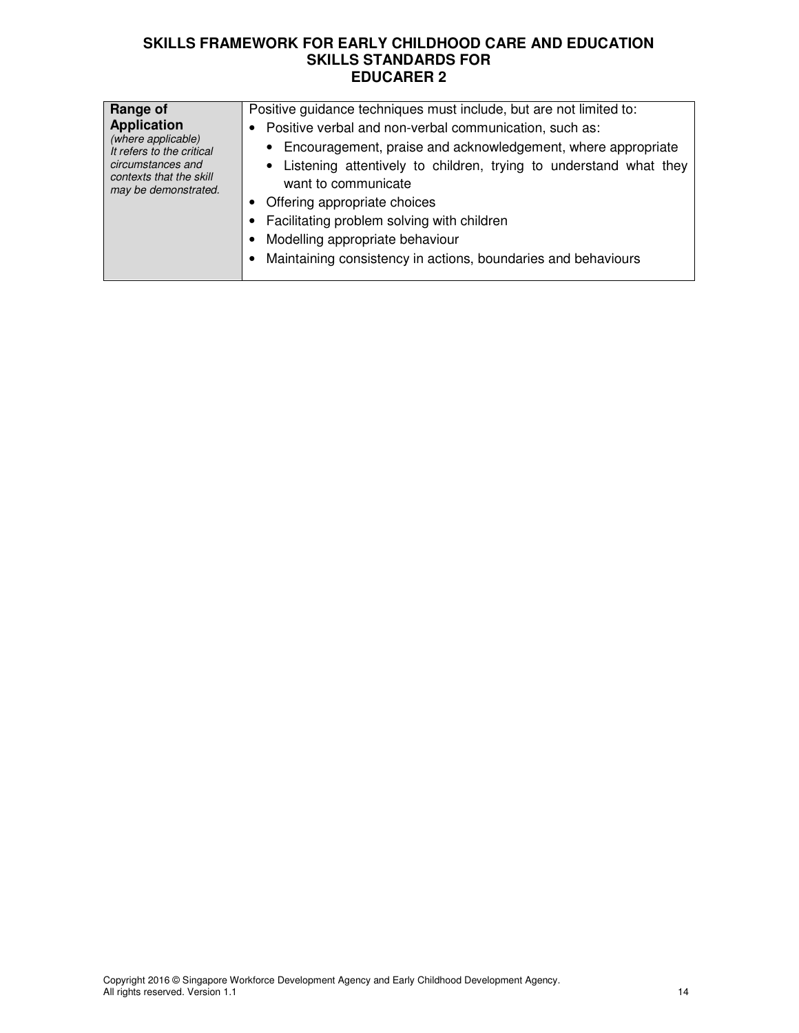| Range of<br><b>Application</b><br>(where applicable)<br>It refers to the critical<br>circumstances and<br>contexts that the skill<br>may be demonstrated. | Positive guidance techniques must include, but are not limited to:<br>Positive verbal and non-verbal communication, such as:<br>• Encouragement, praise and acknowledgement, where appropriate<br>• Listening attentively to children, trying to understand what they<br>want to communicate<br>Offering appropriate choices<br>Facilitating problem solving with children<br>Modelling appropriate behaviour<br>Maintaining consistency in actions, boundaries and behaviours |
|-----------------------------------------------------------------------------------------------------------------------------------------------------------|--------------------------------------------------------------------------------------------------------------------------------------------------------------------------------------------------------------------------------------------------------------------------------------------------------------------------------------------------------------------------------------------------------------------------------------------------------------------------------|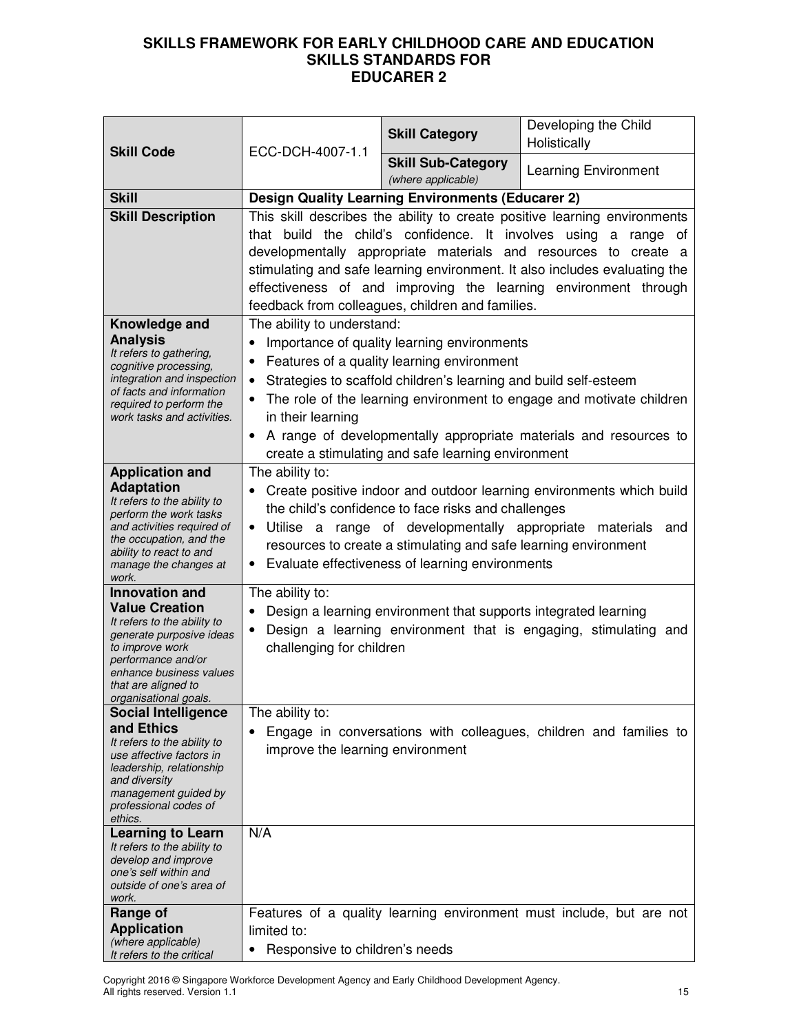| <b>Skill Code</b>                                                                                                                                                                                                             | ECC-DCH-4007-1.1                                             | <b>Skill Category</b>                                                                                                                                                                                                                   | Developing the Child<br>Holistically                                                                                                                                                                                                                                                                        |
|-------------------------------------------------------------------------------------------------------------------------------------------------------------------------------------------------------------------------------|--------------------------------------------------------------|-----------------------------------------------------------------------------------------------------------------------------------------------------------------------------------------------------------------------------------------|-------------------------------------------------------------------------------------------------------------------------------------------------------------------------------------------------------------------------------------------------------------------------------------------------------------|
|                                                                                                                                                                                                                               |                                                              | <b>Skill Sub-Category</b><br>(where applicable)                                                                                                                                                                                         | <b>Learning Environment</b>                                                                                                                                                                                                                                                                                 |
| <b>Skill</b>                                                                                                                                                                                                                  |                                                              | <b>Design Quality Learning Environments (Educarer 2)</b>                                                                                                                                                                                |                                                                                                                                                                                                                                                                                                             |
| <b>Skill Description</b>                                                                                                                                                                                                      |                                                              | that build the child's confidence. It involves using<br>feedback from colleagues, children and families.                                                                                                                                | This skill describes the ability to create positive learning environments<br>a range of<br>developmentally appropriate materials and resources to create a<br>stimulating and safe learning environment. It also includes evaluating the<br>effectiveness of and improving the learning environment through |
| Knowledge and<br><b>Analysis</b><br>It refers to gathering,<br>cognitive processing,<br>integration and inspection<br>of facts and information<br>required to perform the<br>work tasks and activities.                       | The ability to understand:<br>$\bullet$<br>in their learning | Importance of quality learning environments<br>Features of a quality learning environment<br>Strategies to scaffold children's learning and build self-esteem<br>create a stimulating and safe learning environment                     | The role of the learning environment to engage and motivate children<br>A range of developmentally appropriate materials and resources to                                                                                                                                                                   |
| <b>Application and</b><br><b>Adaptation</b><br>It refers to the ability to<br>perform the work tasks<br>and activities required of<br>the occupation, and the<br>ability to react to and<br>manage the changes at<br>work.    | The ability to:<br>٠                                         | the child's confidence to face risks and challenges<br>• Utilise a range of developmentally appropriate materials<br>resources to create a stimulating and safe learning environment<br>Evaluate effectiveness of learning environments | Create positive indoor and outdoor learning environments which build<br>and                                                                                                                                                                                                                                 |
| <b>Innovation and</b><br><b>Value Creation</b><br>It refers to the ability to<br>generate purposive ideas<br>to improve work<br>performance and/or<br>enhance business values<br>that are aligned to<br>organisational goals. | The ability to:<br>challenging for children                  | Design a learning environment that supports integrated learning                                                                                                                                                                         | Design a learning environment that is engaging, stimulating and                                                                                                                                                                                                                                             |
| <b>Social Intelligence</b>                                                                                                                                                                                                    | The ability to:                                              |                                                                                                                                                                                                                                         |                                                                                                                                                                                                                                                                                                             |
| and Ethics<br>It refers to the ability to<br>use affective factors in<br>leadership, relationship<br>and diversity<br>management guided by<br>professional codes of<br>ethics.                                                | improve the learning environment                             |                                                                                                                                                                                                                                         | Engage in conversations with colleagues, children and families to                                                                                                                                                                                                                                           |
| <b>Learning to Learn</b><br>It refers to the ability to<br>develop and improve<br>one's self within and<br>outside of one's area of<br>work.                                                                                  | N/A                                                          |                                                                                                                                                                                                                                         |                                                                                                                                                                                                                                                                                                             |
| Range of<br><b>Application</b><br>(where applicable)<br>It refers to the critical                                                                                                                                             | limited to:<br>• Responsive to children's needs              |                                                                                                                                                                                                                                         | Features of a quality learning environment must include, but are not                                                                                                                                                                                                                                        |

Copyright 2016 © Singapore Workforce Development Agency and Early Childhood Development Agency. All rights reserved. Version 1.1 15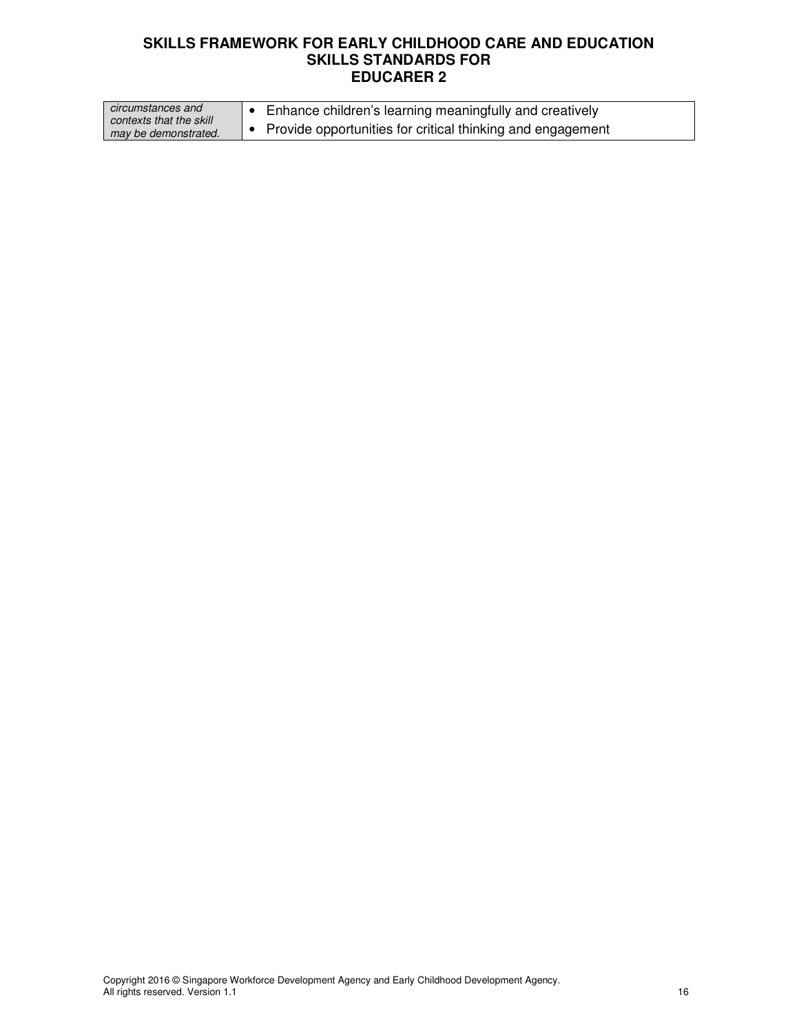| circumstances and       | $\bullet$ Enhance children's learning meaningfully and creatively |
|-------------------------|-------------------------------------------------------------------|
| contexts that the skill |                                                                   |
| may be demonstrated.    | Provide opportunities for critical thinking and engagement        |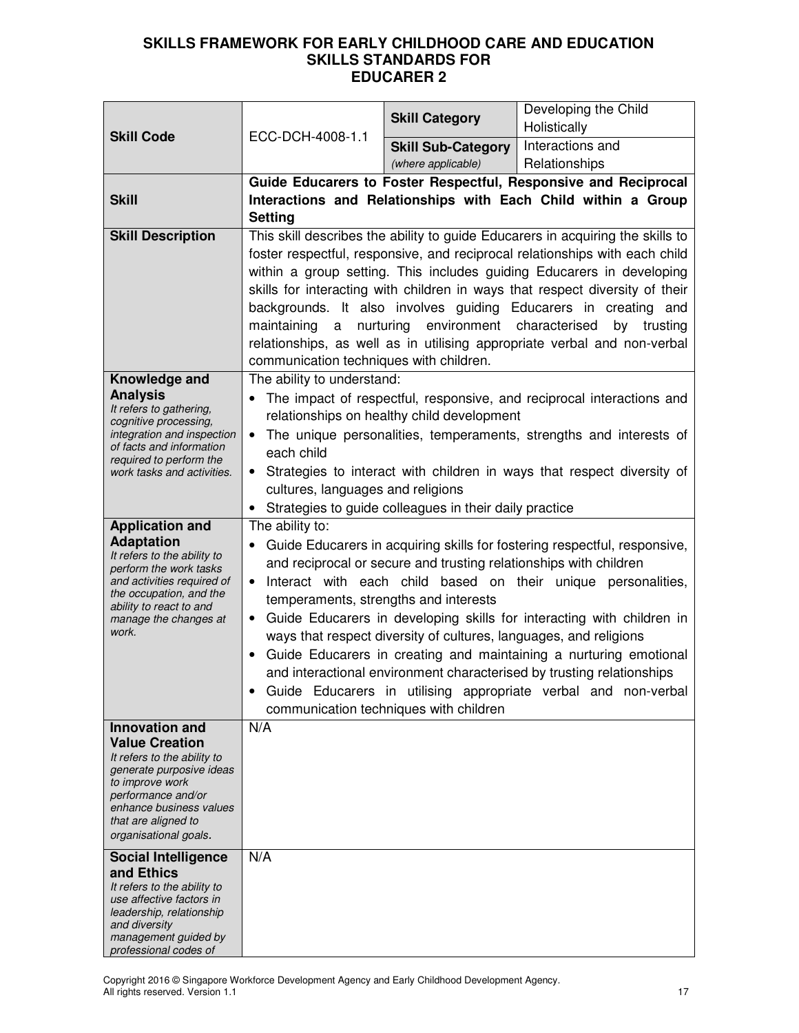|                                                       |                                                                                                                | <b>Skill Category</b>                                                                            | Developing the Child                                                                                                                                 |  |
|-------------------------------------------------------|----------------------------------------------------------------------------------------------------------------|--------------------------------------------------------------------------------------------------|------------------------------------------------------------------------------------------------------------------------------------------------------|--|
| <b>Skill Code</b>                                     | ECC-DCH-4008-1.1                                                                                               |                                                                                                  | Holistically                                                                                                                                         |  |
|                                                       |                                                                                                                | <b>Skill Sub-Category</b>                                                                        | Interactions and                                                                                                                                     |  |
|                                                       |                                                                                                                | (where applicable)                                                                               | Relationships                                                                                                                                        |  |
|                                                       |                                                                                                                |                                                                                                  | Guide Educarers to Foster Respectful, Responsive and Reciprocal                                                                                      |  |
| <b>Skill</b>                                          | Interactions and Relationships with Each Child within a Group                                                  |                                                                                                  |                                                                                                                                                      |  |
|                                                       |                                                                                                                | <b>Setting</b><br>This skill describes the ability to guide Educarers in acquiring the skills to |                                                                                                                                                      |  |
| <b>Skill Description</b>                              |                                                                                                                |                                                                                                  |                                                                                                                                                      |  |
|                                                       |                                                                                                                |                                                                                                  | foster respectful, responsive, and reciprocal relationships with each child<br>within a group setting. This includes guiding Educarers in developing |  |
|                                                       |                                                                                                                |                                                                                                  | skills for interacting with children in ways that respect diversity of their                                                                         |  |
|                                                       |                                                                                                                |                                                                                                  | backgrounds. It also involves guiding Educarers in creating and                                                                                      |  |
|                                                       | maintaining<br>a                                                                                               | nurturing environment characterised                                                              | trusting<br>by                                                                                                                                       |  |
|                                                       |                                                                                                                |                                                                                                  | relationships, as well as in utilising appropriate verbal and non-verbal                                                                             |  |
|                                                       | communication techniques with children.                                                                        |                                                                                                  |                                                                                                                                                      |  |
| Knowledge and                                         | The ability to understand:                                                                                     |                                                                                                  |                                                                                                                                                      |  |
| <b>Analysis</b>                                       |                                                                                                                |                                                                                                  | The impact of respectful, responsive, and reciprocal interactions and                                                                                |  |
| It refers to gathering,<br>cognitive processing,      |                                                                                                                | relationships on healthy child development                                                       |                                                                                                                                                      |  |
| integration and inspection                            | $\bullet$                                                                                                      |                                                                                                  | The unique personalities, temperaments, strengths and interests of                                                                                   |  |
| of facts and information<br>required to perform the   | each child                                                                                                     |                                                                                                  |                                                                                                                                                      |  |
| work tasks and activities.                            |                                                                                                                |                                                                                                  | Strategies to interact with children in ways that respect diversity of                                                                               |  |
|                                                       | cultures, languages and religions                                                                              |                                                                                                  |                                                                                                                                                      |  |
|                                                       | • Strategies to guide colleagues in their daily practice                                                       |                                                                                                  |                                                                                                                                                      |  |
| <b>Application and</b>                                | The ability to:                                                                                                |                                                                                                  |                                                                                                                                                      |  |
| <b>Adaptation</b><br>It refers to the ability to      | Guide Educarers in acquiring skills for fostering respectful, responsive,                                      |                                                                                                  |                                                                                                                                                      |  |
| perform the work tasks                                | and reciprocal or secure and trusting relationships with children                                              |                                                                                                  |                                                                                                                                                      |  |
| and activities required of<br>the occupation, and the | Interact with each child based on their unique personalities,<br>$\bullet$                                     |                                                                                                  |                                                                                                                                                      |  |
| ability to react to and<br>manage the changes at      | temperaments, strengths and interests<br>Guide Educarers in developing skills for interacting with children in |                                                                                                  |                                                                                                                                                      |  |
| work.                                                 |                                                                                                                | ways that respect diversity of cultures, languages, and religions                                |                                                                                                                                                      |  |
|                                                       |                                                                                                                |                                                                                                  | Guide Educarers in creating and maintaining a nurturing emotional                                                                                    |  |
|                                                       |                                                                                                                |                                                                                                  | and interactional environment characterised by trusting relationships                                                                                |  |
|                                                       |                                                                                                                |                                                                                                  | Guide Educarers in utilising appropriate verbal and non-verbal                                                                                       |  |
|                                                       |                                                                                                                | communication techniques with children                                                           |                                                                                                                                                      |  |
| Innovation and                                        | N/A                                                                                                            |                                                                                                  |                                                                                                                                                      |  |
| <b>Value Creation</b><br>It refers to the ability to  |                                                                                                                |                                                                                                  |                                                                                                                                                      |  |
| generate purposive ideas                              |                                                                                                                |                                                                                                  |                                                                                                                                                      |  |
| to improve work<br>performance and/or                 |                                                                                                                |                                                                                                  |                                                                                                                                                      |  |
| enhance business values                               |                                                                                                                |                                                                                                  |                                                                                                                                                      |  |
| that are aligned to                                   |                                                                                                                |                                                                                                  |                                                                                                                                                      |  |
| organisational goals.                                 |                                                                                                                |                                                                                                  |                                                                                                                                                      |  |
| <b>Social Intelligence</b><br>and Ethics              | N/A                                                                                                            |                                                                                                  |                                                                                                                                                      |  |
| It refers to the ability to                           |                                                                                                                |                                                                                                  |                                                                                                                                                      |  |
| use affective factors in<br>leadership, relationship  |                                                                                                                |                                                                                                  |                                                                                                                                                      |  |
| and diversity                                         |                                                                                                                |                                                                                                  |                                                                                                                                                      |  |
| management guided by<br>professional codes of         |                                                                                                                |                                                                                                  |                                                                                                                                                      |  |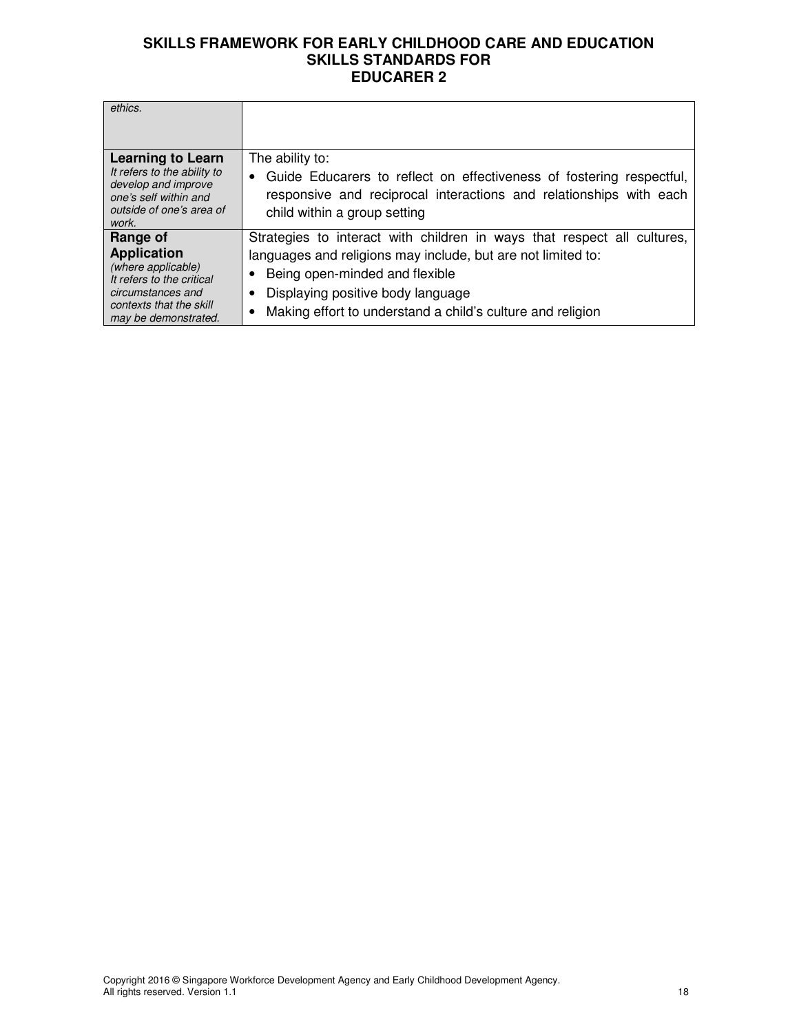| ethics.                                                                                                                                                   |                                                                                                                                                                                                                                                                              |
|-----------------------------------------------------------------------------------------------------------------------------------------------------------|------------------------------------------------------------------------------------------------------------------------------------------------------------------------------------------------------------------------------------------------------------------------------|
| <b>Learning to Learn</b><br>It refers to the ability to<br>develop and improve<br>one's self within and<br>outside of one's area of<br>work.              | The ability to:<br>Guide Educarers to reflect on effectiveness of fostering respectful,<br>$\bullet$<br>responsive and reciprocal interactions and relationships with each<br>child within a group setting                                                                   |
| Range of<br><b>Application</b><br>(where applicable)<br>It refers to the critical<br>circumstances and<br>contexts that the skill<br>may be demonstrated. | Strategies to interact with children in ways that respect all cultures,<br>languages and religions may include, but are not limited to:<br>Being open-minded and flexible<br>Displaying positive body language<br>Making effort to understand a child's culture and religion |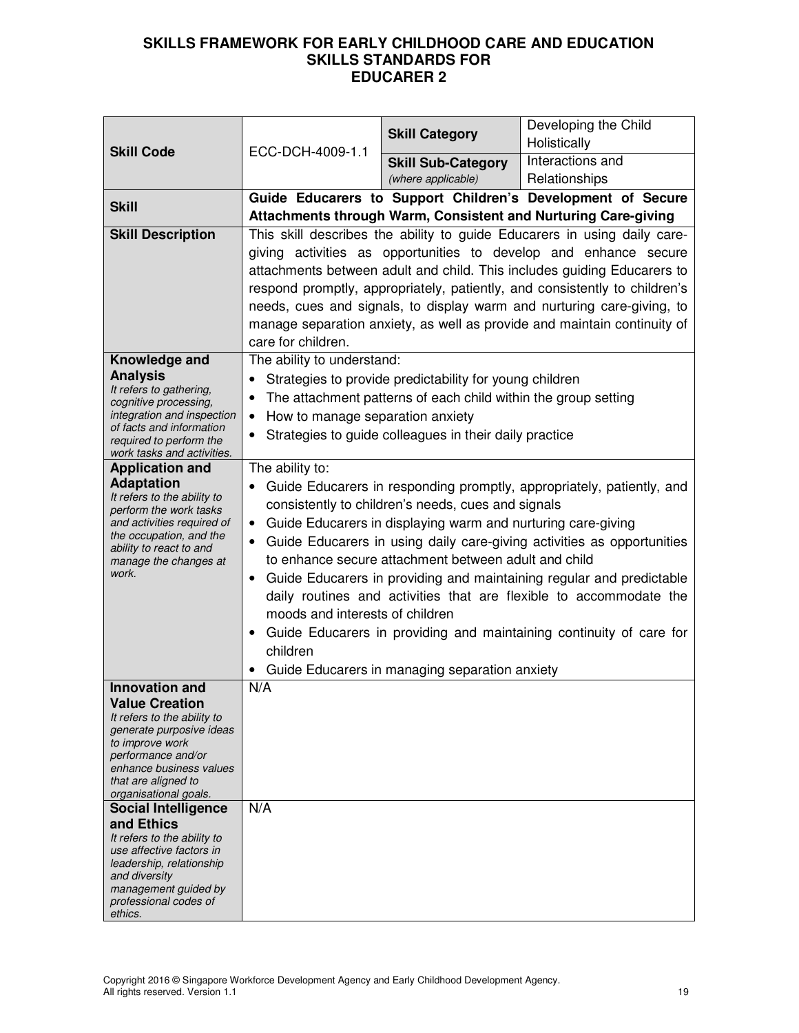| <b>Skill Code</b>                                                                                                                                                                                | ECC-DCH-4009-1.1                                                                                                                                                                                                                                                                                                                                                                                                                                                                                                                                                                                                                                                                                | <b>Skill Category</b>                                          | Developing the Child<br>Holistically                                                                                                                                                                                                                                                                                                                                                                                                                        |
|--------------------------------------------------------------------------------------------------------------------------------------------------------------------------------------------------|-------------------------------------------------------------------------------------------------------------------------------------------------------------------------------------------------------------------------------------------------------------------------------------------------------------------------------------------------------------------------------------------------------------------------------------------------------------------------------------------------------------------------------------------------------------------------------------------------------------------------------------------------------------------------------------------------|----------------------------------------------------------------|-------------------------------------------------------------------------------------------------------------------------------------------------------------------------------------------------------------------------------------------------------------------------------------------------------------------------------------------------------------------------------------------------------------------------------------------------------------|
|                                                                                                                                                                                                  |                                                                                                                                                                                                                                                                                                                                                                                                                                                                                                                                                                                                                                                                                                 | <b>Skill Sub-Category</b><br>(where applicable)                | Interactions and<br>Relationships                                                                                                                                                                                                                                                                                                                                                                                                                           |
| <b>Skill</b>                                                                                                                                                                                     |                                                                                                                                                                                                                                                                                                                                                                                                                                                                                                                                                                                                                                                                                                 |                                                                | Guide Educarers to Support Children's Development of Secure                                                                                                                                                                                                                                                                                                                                                                                                 |
|                                                                                                                                                                                                  |                                                                                                                                                                                                                                                                                                                                                                                                                                                                                                                                                                                                                                                                                                 |                                                                | Attachments through Warm, Consistent and Nurturing Care-giving                                                                                                                                                                                                                                                                                                                                                                                              |
| <b>Skill Description</b>                                                                                                                                                                         | care for children.                                                                                                                                                                                                                                                                                                                                                                                                                                                                                                                                                                                                                                                                              |                                                                | This skill describes the ability to guide Educarers in using daily care-<br>giving activities as opportunities to develop and enhance secure<br>attachments between adult and child. This includes guiding Educarers to<br>respond promptly, appropriately, patiently, and consistently to children's<br>needs, cues and signals, to display warm and nurturing care-giving, to<br>manage separation anxiety, as well as provide and maintain continuity of |
| Knowledge and                                                                                                                                                                                    | The ability to understand:                                                                                                                                                                                                                                                                                                                                                                                                                                                                                                                                                                                                                                                                      |                                                                |                                                                                                                                                                                                                                                                                                                                                                                                                                                             |
| <b>Analysis</b><br>It refers to gathering,                                                                                                                                                       | ٠                                                                                                                                                                                                                                                                                                                                                                                                                                                                                                                                                                                                                                                                                               | Strategies to provide predictability for young children        |                                                                                                                                                                                                                                                                                                                                                                                                                                                             |
| cognitive processing,                                                                                                                                                                            | $\bullet$                                                                                                                                                                                                                                                                                                                                                                                                                                                                                                                                                                                                                                                                                       | The attachment patterns of each child within the group setting |                                                                                                                                                                                                                                                                                                                                                                                                                                                             |
| integration and inspection<br>of facts and information                                                                                                                                           | How to manage separation anxiety<br>$\bullet$                                                                                                                                                                                                                                                                                                                                                                                                                                                                                                                                                                                                                                                   |                                                                |                                                                                                                                                                                                                                                                                                                                                                                                                                                             |
| required to perform the<br>work tasks and activities.                                                                                                                                            |                                                                                                                                                                                                                                                                                                                                                                                                                                                                                                                                                                                                                                                                                                 | Strategies to guide colleagues in their daily practice         |                                                                                                                                                                                                                                                                                                                                                                                                                                                             |
| <b>Application and</b>                                                                                                                                                                           | The ability to:                                                                                                                                                                                                                                                                                                                                                                                                                                                                                                                                                                                                                                                                                 |                                                                |                                                                                                                                                                                                                                                                                                                                                                                                                                                             |
| <b>Adaptation</b><br>It refers to the ability to<br>perform the work tasks<br>and activities required of<br>the occupation, and the<br>ability to react to and<br>manage the changes at<br>work. | Guide Educarers in responding promptly, appropriately, patiently, and<br>consistently to children's needs, cues and signals<br>Guide Educarers in displaying warm and nurturing care-giving<br>$\bullet$<br>Guide Educarers in using daily care-giving activities as opportunities<br>٠<br>to enhance secure attachment between adult and child<br>Guide Educarers in providing and maintaining regular and predictable<br>$\bullet$<br>daily routines and activities that are flexible to accommodate the<br>moods and interests of children<br>Guide Educarers in providing and maintaining continuity of care for<br>$\bullet$<br>children<br>Guide Educarers in managing separation anxiety |                                                                |                                                                                                                                                                                                                                                                                                                                                                                                                                                             |
| <b>Innovation and</b>                                                                                                                                                                            | N/A                                                                                                                                                                                                                                                                                                                                                                                                                                                                                                                                                                                                                                                                                             |                                                                |                                                                                                                                                                                                                                                                                                                                                                                                                                                             |
| <b>Value Creation</b><br>It refers to the ability to                                                                                                                                             |                                                                                                                                                                                                                                                                                                                                                                                                                                                                                                                                                                                                                                                                                                 |                                                                |                                                                                                                                                                                                                                                                                                                                                                                                                                                             |
| generate purposive ideas<br>to improve work                                                                                                                                                      |                                                                                                                                                                                                                                                                                                                                                                                                                                                                                                                                                                                                                                                                                                 |                                                                |                                                                                                                                                                                                                                                                                                                                                                                                                                                             |
| performance and/or                                                                                                                                                                               |                                                                                                                                                                                                                                                                                                                                                                                                                                                                                                                                                                                                                                                                                                 |                                                                |                                                                                                                                                                                                                                                                                                                                                                                                                                                             |
| enhance business values<br>that are aligned to                                                                                                                                                   |                                                                                                                                                                                                                                                                                                                                                                                                                                                                                                                                                                                                                                                                                                 |                                                                |                                                                                                                                                                                                                                                                                                                                                                                                                                                             |
| organisational goals.                                                                                                                                                                            |                                                                                                                                                                                                                                                                                                                                                                                                                                                                                                                                                                                                                                                                                                 |                                                                |                                                                                                                                                                                                                                                                                                                                                                                                                                                             |
| <b>Social Intelligence</b><br>and Ethics                                                                                                                                                         | N/A                                                                                                                                                                                                                                                                                                                                                                                                                                                                                                                                                                                                                                                                                             |                                                                |                                                                                                                                                                                                                                                                                                                                                                                                                                                             |
| It refers to the ability to                                                                                                                                                                      |                                                                                                                                                                                                                                                                                                                                                                                                                                                                                                                                                                                                                                                                                                 |                                                                |                                                                                                                                                                                                                                                                                                                                                                                                                                                             |
| use affective factors in<br>leadership, relationship                                                                                                                                             |                                                                                                                                                                                                                                                                                                                                                                                                                                                                                                                                                                                                                                                                                                 |                                                                |                                                                                                                                                                                                                                                                                                                                                                                                                                                             |
| and diversity                                                                                                                                                                                    |                                                                                                                                                                                                                                                                                                                                                                                                                                                                                                                                                                                                                                                                                                 |                                                                |                                                                                                                                                                                                                                                                                                                                                                                                                                                             |
| management guided by<br>professional codes of                                                                                                                                                    |                                                                                                                                                                                                                                                                                                                                                                                                                                                                                                                                                                                                                                                                                                 |                                                                |                                                                                                                                                                                                                                                                                                                                                                                                                                                             |
| ethics.                                                                                                                                                                                          |                                                                                                                                                                                                                                                                                                                                                                                                                                                                                                                                                                                                                                                                                                 |                                                                |                                                                                                                                                                                                                                                                                                                                                                                                                                                             |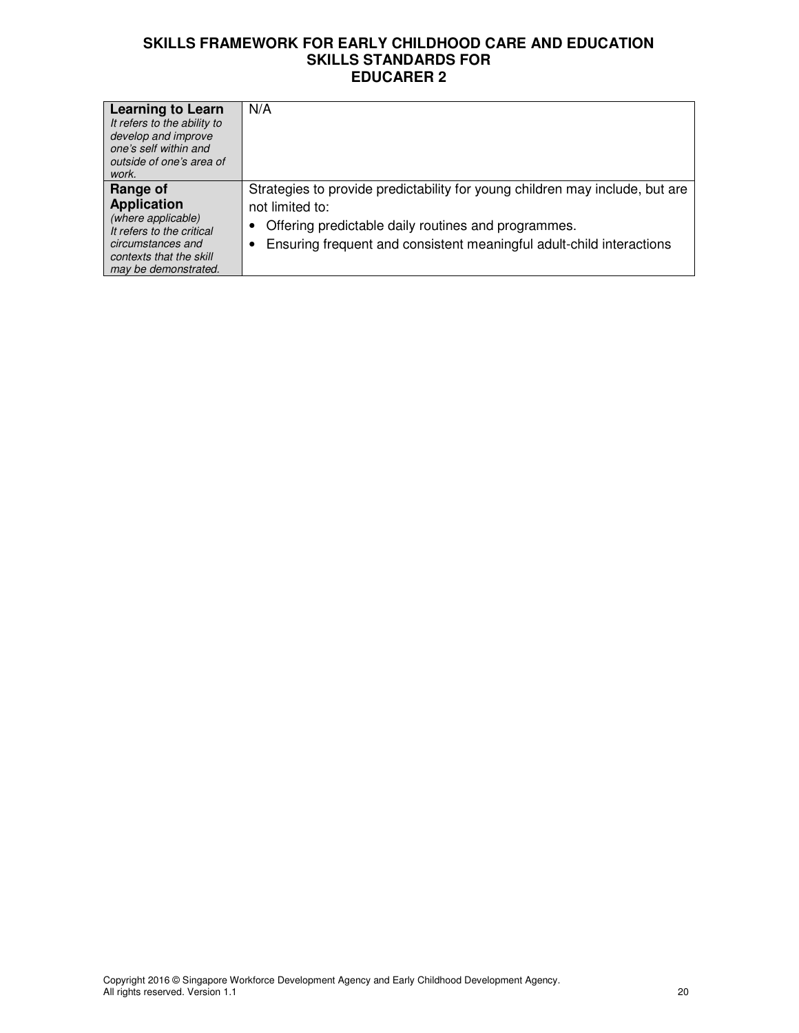| <b>Learning to Learn</b><br>It refers to the ability to<br>develop and improve<br>one's self within and<br>outside of one's area of<br>work.              | N/A                                                                                                                                                                                                                            |
|-----------------------------------------------------------------------------------------------------------------------------------------------------------|--------------------------------------------------------------------------------------------------------------------------------------------------------------------------------------------------------------------------------|
| Range of<br><b>Application</b><br>(where applicable)<br>It refers to the critical<br>circumstances and<br>contexts that the skill<br>may be demonstrated. | Strategies to provide predictability for young children may include, but are<br>not limited to:<br>Offering predictable daily routines and programmes.<br>Ensuring frequent and consistent meaningful adult-child interactions |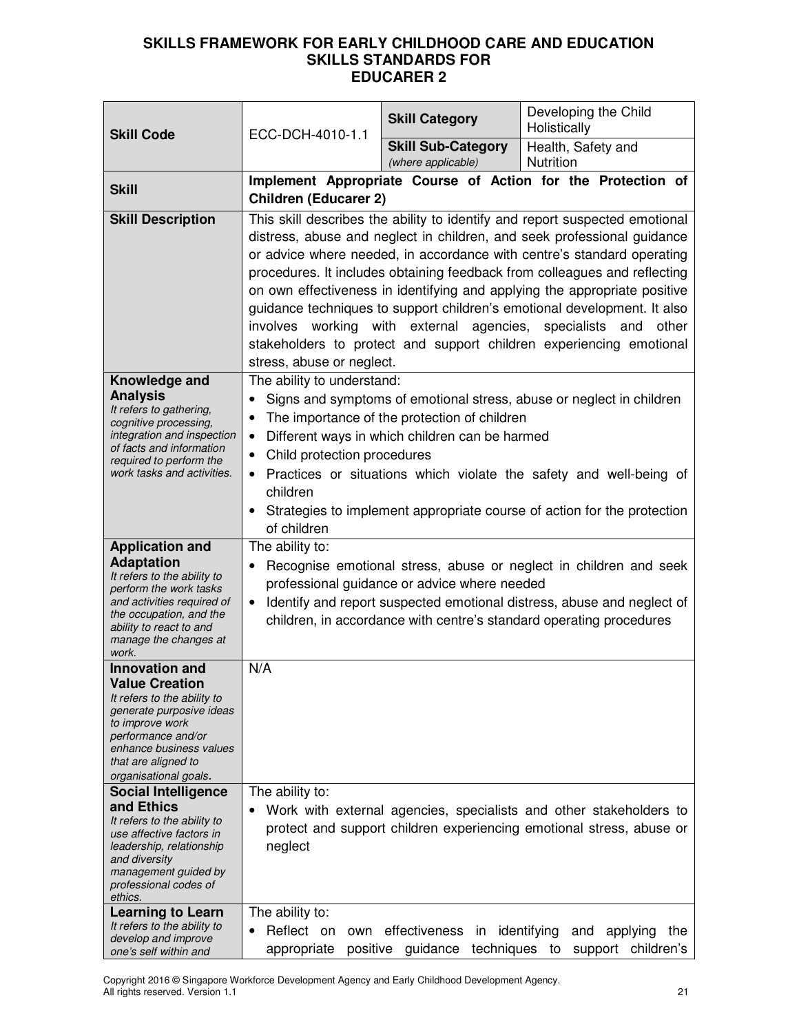| <b>Skill Code</b>                                                                                                                                                                                                                                                                                                                                                                                         | ECC-DCH-4010-1.1                                                                                                                                                                                                                                                                                                                                                                                                                                                                                                                                                                                                                             | <b>Skill Category</b>                                                                          | Developing the Child<br>Holistically                                                                                                                                                                                    |
|-----------------------------------------------------------------------------------------------------------------------------------------------------------------------------------------------------------------------------------------------------------------------------------------------------------------------------------------------------------------------------------------------------------|----------------------------------------------------------------------------------------------------------------------------------------------------------------------------------------------------------------------------------------------------------------------------------------------------------------------------------------------------------------------------------------------------------------------------------------------------------------------------------------------------------------------------------------------------------------------------------------------------------------------------------------------|------------------------------------------------------------------------------------------------|-------------------------------------------------------------------------------------------------------------------------------------------------------------------------------------------------------------------------|
|                                                                                                                                                                                                                                                                                                                                                                                                           |                                                                                                                                                                                                                                                                                                                                                                                                                                                                                                                                                                                                                                              | <b>Skill Sub-Category</b><br>(where applicable)                                                | Health, Safety and<br>Nutrition                                                                                                                                                                                         |
| <b>Skill</b>                                                                                                                                                                                                                                                                                                                                                                                              | <b>Children (Educarer 2)</b>                                                                                                                                                                                                                                                                                                                                                                                                                                                                                                                                                                                                                 |                                                                                                | Implement Appropriate Course of Action for the Protection of                                                                                                                                                            |
| <b>Skill Description</b>                                                                                                                                                                                                                                                                                                                                                                                  | This skill describes the ability to identify and report suspected emotional<br>distress, abuse and neglect in children, and seek professional guidance<br>or advice where needed, in accordance with centre's standard operating<br>procedures. It includes obtaining feedback from colleagues and reflecting<br>on own effectiveness in identifying and applying the appropriate positive<br>guidance techniques to support children's emotional development. It also<br>involves working with external agencies, specialists and other<br>stakeholders to protect and support children experiencing emotional<br>stress, abuse or neglect. |                                                                                                |                                                                                                                                                                                                                         |
| Knowledge and<br><b>Analysis</b><br>It refers to gathering,<br>cognitive processing,<br>integration and inspection<br>of facts and information<br>required to perform the<br>work tasks and activities.                                                                                                                                                                                                   | The ability to understand:<br>$\bullet$<br>$\bullet$<br>Child protection procedures<br>٠<br>children<br>of children                                                                                                                                                                                                                                                                                                                                                                                                                                                                                                                          | The importance of the protection of children<br>Different ways in which children can be harmed | Signs and symptoms of emotional stress, abuse or neglect in children<br>• Practices or situations which violate the safety and well-being of<br>Strategies to implement appropriate course of action for the protection |
| <b>Application and</b><br><b>Adaptation</b><br>It refers to the ability to<br>perform the work tasks<br>and activities required of<br>the occupation, and the<br>ability to react to and<br>manage the changes at<br>work.                                                                                                                                                                                | The ability to:<br>$\bullet$                                                                                                                                                                                                                                                                                                                                                                                                                                                                                                                                                                                                                 | professional guidance or advice where needed                                                   | Recognise emotional stress, abuse or neglect in children and seek<br>Identify and report suspected emotional distress, abuse and neglect of<br>children, in accordance with centre's standard operating procedures      |
| <b>Innovation and</b><br><b>Value Creation</b><br>It refers to the ability to<br>generate purposive ideas<br>to improve work<br>performance and/or<br>enhance business values<br>that are aligned to<br>organisational goals.<br><b>Social Intelligence</b><br>and Ethics<br>It refers to the ability to<br>use affective factors in<br>leadership, relationship<br>and diversity<br>management guided by | N/A<br>The ability to:<br>neglect                                                                                                                                                                                                                                                                                                                                                                                                                                                                                                                                                                                                            |                                                                                                | Work with external agencies, specialists and other stakeholders to<br>protect and support children experiencing emotional stress, abuse or                                                                              |
| professional codes of<br>ethics.<br>Learning to Learn<br>It refers to the ability to<br>develop and improve<br>one's self within and                                                                                                                                                                                                                                                                      | The ability to:<br>Reflect on<br>own<br>appropriate                                                                                                                                                                                                                                                                                                                                                                                                                                                                                                                                                                                          | effectiveness<br>in identifying<br>positive guidance                                           | and<br>applying<br>the<br>techniques to<br>support children's                                                                                                                                                           |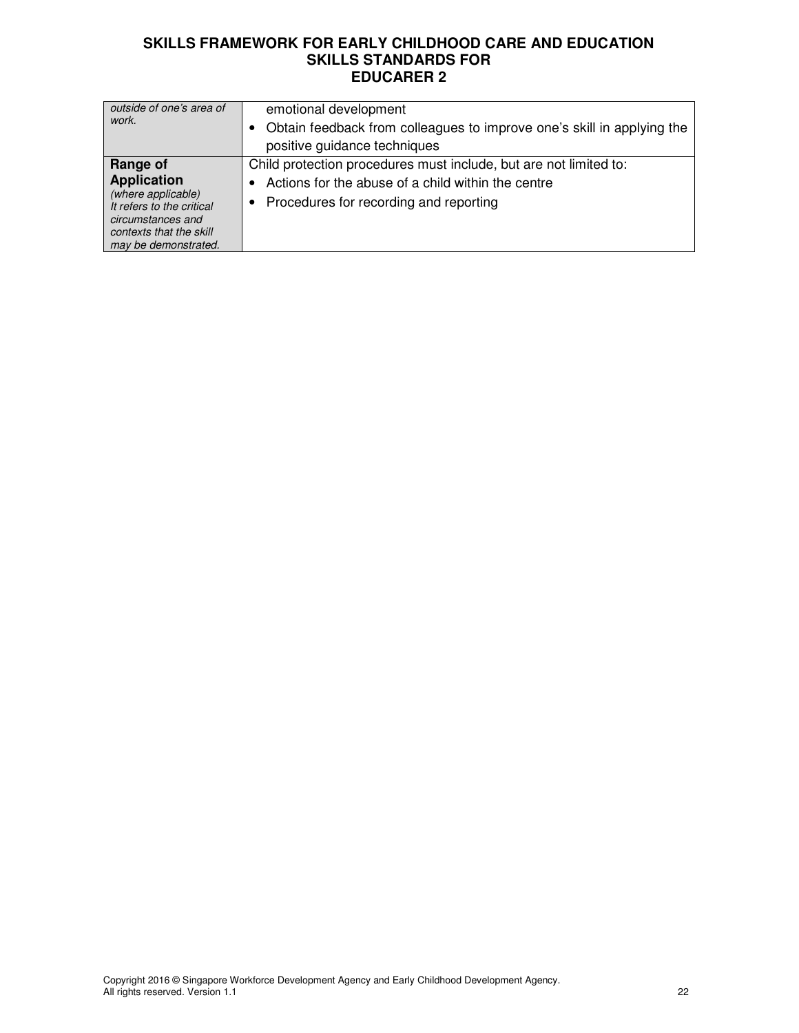| outside of one's area of<br>work.                                                                                                                         | emotional development<br>Obtain feedback from colleagues to improve one's skill in applying the<br>positive guidance techniques                                        |
|-----------------------------------------------------------------------------------------------------------------------------------------------------------|------------------------------------------------------------------------------------------------------------------------------------------------------------------------|
| Range of<br><b>Application</b><br>(where applicable)<br>It refers to the critical<br>circumstances and<br>contexts that the skill<br>may be demonstrated. | Child protection procedures must include, but are not limited to:<br>Actions for the abuse of a child within the centre<br>Procedures for recording and reporting<br>٠ |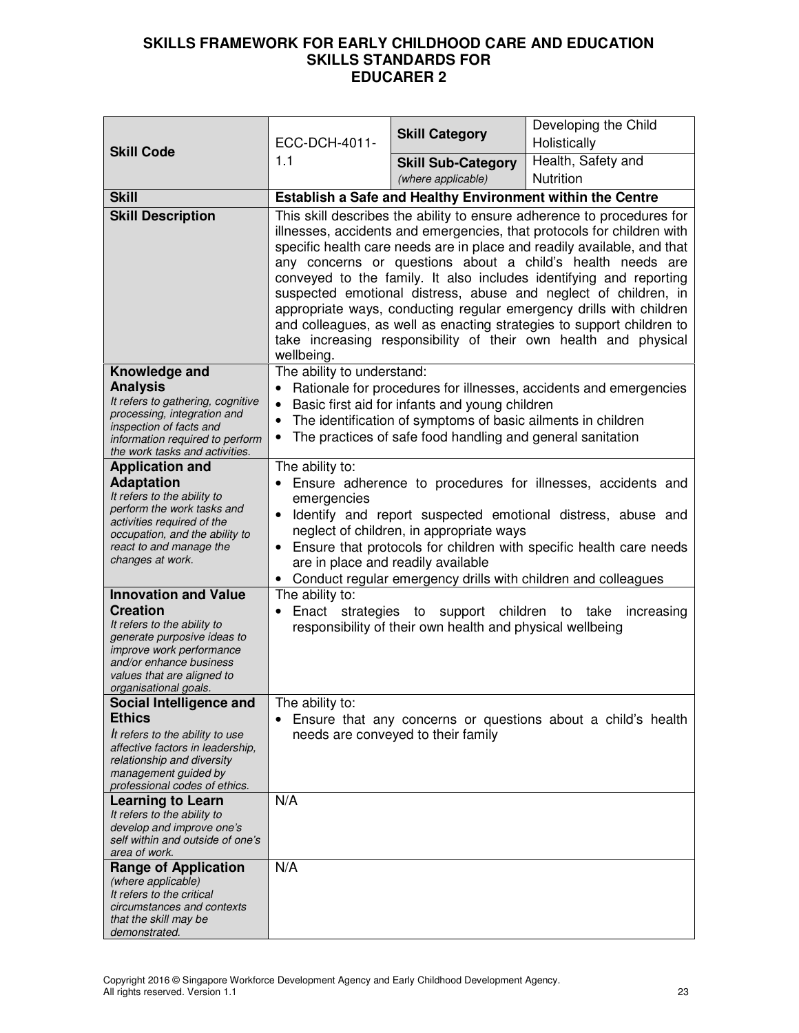| <b>Skill Code</b>                                                                                          | ECC-DCH-4011-<br>1.1       | <b>Skill Category</b>                                        | Developing the Child<br>Holistically                                                                                                                                                                                                                                                                                                                                                                                                                                                                                                                                                                                                                  |
|------------------------------------------------------------------------------------------------------------|----------------------------|--------------------------------------------------------------|-------------------------------------------------------------------------------------------------------------------------------------------------------------------------------------------------------------------------------------------------------------------------------------------------------------------------------------------------------------------------------------------------------------------------------------------------------------------------------------------------------------------------------------------------------------------------------------------------------------------------------------------------------|
|                                                                                                            |                            | <b>Skill Sub-Category</b>                                    | Health, Safety and                                                                                                                                                                                                                                                                                                                                                                                                                                                                                                                                                                                                                                    |
| <b>Skill</b>                                                                                               |                            | (where applicable)                                           | Nutrition                                                                                                                                                                                                                                                                                                                                                                                                                                                                                                                                                                                                                                             |
|                                                                                                            |                            | Establish a Safe and Healthy Environment within the Centre   |                                                                                                                                                                                                                                                                                                                                                                                                                                                                                                                                                                                                                                                       |
| <b>Skill Description</b>                                                                                   | wellbeing.                 |                                                              | This skill describes the ability to ensure adherence to procedures for<br>illnesses, accidents and emergencies, that protocols for children with<br>specific health care needs are in place and readily available, and that<br>any concerns or questions about a child's health needs are<br>conveyed to the family. It also includes identifying and reporting<br>suspected emotional distress, abuse and neglect of children, in<br>appropriate ways, conducting regular emergency drills with children<br>and colleagues, as well as enacting strategies to support children to<br>take increasing responsibility of their own health and physical |
| Knowledge and                                                                                              | The ability to understand: |                                                              |                                                                                                                                                                                                                                                                                                                                                                                                                                                                                                                                                                                                                                                       |
| <b>Analysis</b><br>It refers to gathering, cognitive                                                       |                            | Basic first aid for infants and young children               | Rationale for procedures for illnesses, accidents and emergencies                                                                                                                                                                                                                                                                                                                                                                                                                                                                                                                                                                                     |
| processing, integration and                                                                                |                            | The identification of symptoms of basic ailments in children |                                                                                                                                                                                                                                                                                                                                                                                                                                                                                                                                                                                                                                                       |
| inspection of facts and<br>information required to perform                                                 | ٠                          | The practices of safe food handling and general sanitation   |                                                                                                                                                                                                                                                                                                                                                                                                                                                                                                                                                                                                                                                       |
| the work tasks and activities.                                                                             |                            |                                                              |                                                                                                                                                                                                                                                                                                                                                                                                                                                                                                                                                                                                                                                       |
| <b>Application and</b>                                                                                     | The ability to:            |                                                              |                                                                                                                                                                                                                                                                                                                                                                                                                                                                                                                                                                                                                                                       |
| <b>Adaptation</b><br>It refers to the ability to                                                           | emergencies                |                                                              | Ensure adherence to procedures for illnesses, accidents and                                                                                                                                                                                                                                                                                                                                                                                                                                                                                                                                                                                           |
| perform the work tasks and                                                                                 |                            |                                                              | Identify and report suspected emotional distress, abuse and                                                                                                                                                                                                                                                                                                                                                                                                                                                                                                                                                                                           |
| activities required of the<br>occupation, and the ability to                                               |                            | neglect of children, in appropriate ways                     |                                                                                                                                                                                                                                                                                                                                                                                                                                                                                                                                                                                                                                                       |
| react to and manage the                                                                                    |                            |                                                              | Ensure that protocols for children with specific health care needs                                                                                                                                                                                                                                                                                                                                                                                                                                                                                                                                                                                    |
| changes at work.                                                                                           |                            | are in place and readily available                           | Conduct regular emergency drills with children and colleagues                                                                                                                                                                                                                                                                                                                                                                                                                                                                                                                                                                                         |
| <b>Innovation and Value</b>                                                                                | The ability to:            |                                                              |                                                                                                                                                                                                                                                                                                                                                                                                                                                                                                                                                                                                                                                       |
| <b>Creation</b><br>It refers to the ability to<br>generate purposive ideas to                              | Enact strategies to        | responsibility of their own health and physical wellbeing    | support children to take increasing                                                                                                                                                                                                                                                                                                                                                                                                                                                                                                                                                                                                                   |
| improve work performance<br>and/or enhance business<br>values that are aligned to<br>organisational goals. |                            |                                                              |                                                                                                                                                                                                                                                                                                                                                                                                                                                                                                                                                                                                                                                       |
| Social Intelligence and                                                                                    | The ability to:            |                                                              |                                                                                                                                                                                                                                                                                                                                                                                                                                                                                                                                                                                                                                                       |
| <b>Ethics</b>                                                                                              |                            |                                                              | Ensure that any concerns or questions about a child's health                                                                                                                                                                                                                                                                                                                                                                                                                                                                                                                                                                                          |
| It refers to the ability to use<br>affective factors in leadership,                                        |                            | needs are conveyed to their family                           |                                                                                                                                                                                                                                                                                                                                                                                                                                                                                                                                                                                                                                                       |
| relationship and diversity<br>management guided by                                                         |                            |                                                              |                                                                                                                                                                                                                                                                                                                                                                                                                                                                                                                                                                                                                                                       |
| professional codes of ethics.                                                                              |                            |                                                              |                                                                                                                                                                                                                                                                                                                                                                                                                                                                                                                                                                                                                                                       |
| <b>Learning to Learn</b>                                                                                   | N/A                        |                                                              |                                                                                                                                                                                                                                                                                                                                                                                                                                                                                                                                                                                                                                                       |
| It refers to the ability to<br>develop and improve one's                                                   |                            |                                                              |                                                                                                                                                                                                                                                                                                                                                                                                                                                                                                                                                                                                                                                       |
| self within and outside of one's                                                                           |                            |                                                              |                                                                                                                                                                                                                                                                                                                                                                                                                                                                                                                                                                                                                                                       |
| area of work.<br><b>Range of Application</b>                                                               | N/A                        |                                                              |                                                                                                                                                                                                                                                                                                                                                                                                                                                                                                                                                                                                                                                       |
| (where applicable)                                                                                         |                            |                                                              |                                                                                                                                                                                                                                                                                                                                                                                                                                                                                                                                                                                                                                                       |
| It refers to the critical<br>circumstances and contexts                                                    |                            |                                                              |                                                                                                                                                                                                                                                                                                                                                                                                                                                                                                                                                                                                                                                       |
| that the skill may be                                                                                      |                            |                                                              |                                                                                                                                                                                                                                                                                                                                                                                                                                                                                                                                                                                                                                                       |
| demonstrated.                                                                                              |                            |                                                              |                                                                                                                                                                                                                                                                                                                                                                                                                                                                                                                                                                                                                                                       |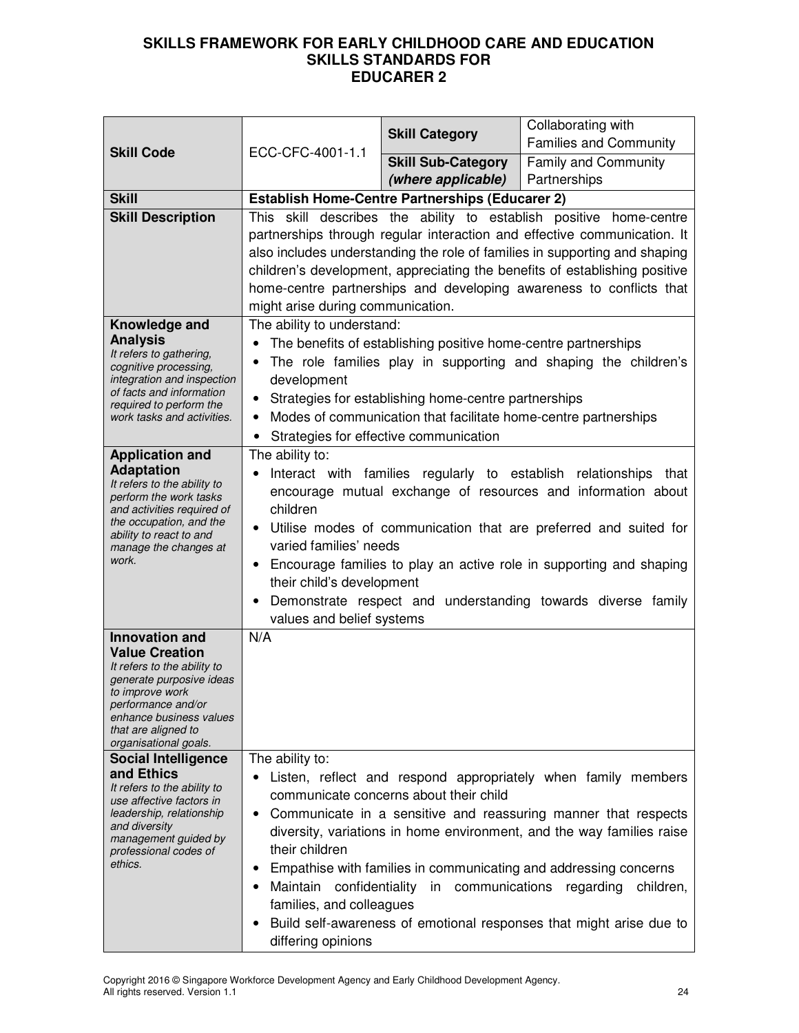|                                                                            |                                   | <b>Skill Category</b>                                          | Collaborating with                                                         |
|----------------------------------------------------------------------------|-----------------------------------|----------------------------------------------------------------|----------------------------------------------------------------------------|
| <b>Skill Code</b>                                                          | ECC-CFC-4001-1.1                  |                                                                | <b>Families and Community</b>                                              |
|                                                                            |                                   | <b>Skill Sub-Category</b>                                      | <b>Family and Community</b>                                                |
|                                                                            |                                   | (where applicable)                                             | Partnerships                                                               |
| <b>Skill</b>                                                               |                                   | <b>Establish Home-Centre Partnerships (Educarer 2)</b>         |                                                                            |
| <b>Skill Description</b>                                                   |                                   |                                                                | This skill describes the ability to establish positive home-centre         |
|                                                                            |                                   |                                                                | partnerships through regular interaction and effective communication. It   |
|                                                                            |                                   |                                                                | also includes understanding the role of families in supporting and shaping |
|                                                                            |                                   |                                                                | children's development, appreciating the benefits of establishing positive |
|                                                                            |                                   |                                                                | home-centre partnerships and developing awareness to conflicts that        |
|                                                                            | might arise during communication. |                                                                |                                                                            |
| Knowledge and<br><b>Analysis</b>                                           | The ability to understand:        |                                                                |                                                                            |
| It refers to gathering,                                                    |                                   | The benefits of establishing positive home-centre partnerships |                                                                            |
| cognitive processing,                                                      |                                   |                                                                | The role families play in supporting and shaping the children's            |
| integration and inspection<br>of facts and information                     | development                       |                                                                |                                                                            |
| required to perform the                                                    |                                   | Strategies for establishing home-centre partnerships           |                                                                            |
| work tasks and activities.                                                 | $\bullet$                         |                                                                | Modes of communication that facilitate home-centre partnerships            |
|                                                                            |                                   | Strategies for effective communication                         |                                                                            |
| <b>Application and</b><br><b>Adaptation</b>                                | The ability to:<br>$\bullet$      |                                                                | Interact with families regularly to establish relationships that           |
| It refers to the ability to                                                |                                   |                                                                | encourage mutual exchange of resources and information about               |
| perform the work tasks<br>and activities required of                       | children                          |                                                                |                                                                            |
| the occupation, and the                                                    |                                   |                                                                | Utilise modes of communication that are preferred and suited for           |
| ability to react to and<br>varied families' needs<br>manage the changes at |                                   |                                                                |                                                                            |
| work.                                                                      |                                   |                                                                | Encourage families to play an active role in supporting and shaping        |
|                                                                            | their child's development         |                                                                |                                                                            |
|                                                                            |                                   |                                                                | Demonstrate respect and understanding towards diverse family               |
|                                                                            | values and belief systems         |                                                                |                                                                            |
| <b>Innovation and</b>                                                      | N/A                               |                                                                |                                                                            |
| <b>Value Creation</b><br>It refers to the ability to                       |                                   |                                                                |                                                                            |
| generate purposive ideas                                                   |                                   |                                                                |                                                                            |
| to improve work                                                            |                                   |                                                                |                                                                            |
| performance and/or<br>enhance business values                              |                                   |                                                                |                                                                            |
| that are aligned to                                                        |                                   |                                                                |                                                                            |
| organisational goals.<br><b>Social Intelligence</b>                        | The ability to:                   |                                                                |                                                                            |
| and Ethics                                                                 | $\bullet$                         |                                                                | Listen, reflect and respond appropriately when family members              |
| It refers to the ability to                                                |                                   | communicate concerns about their child                         |                                                                            |
| use affective factors in<br>leadership, relationship                       |                                   |                                                                | Communicate in a sensitive and reassuring manner that respects             |
| and diversity                                                              |                                   |                                                                | diversity, variations in home environment, and the way families raise      |
| management guided by<br>professional codes of                              | their children                    |                                                                |                                                                            |
| ethics.                                                                    |                                   |                                                                | Empathise with families in communicating and addressing concerns           |
|                                                                            | Maintain                          | confidentiality in communications regarding                    | children,                                                                  |
|                                                                            | families, and colleagues          |                                                                |                                                                            |
|                                                                            |                                   |                                                                | Build self-awareness of emotional responses that might arise due to        |
|                                                                            | differing opinions                |                                                                |                                                                            |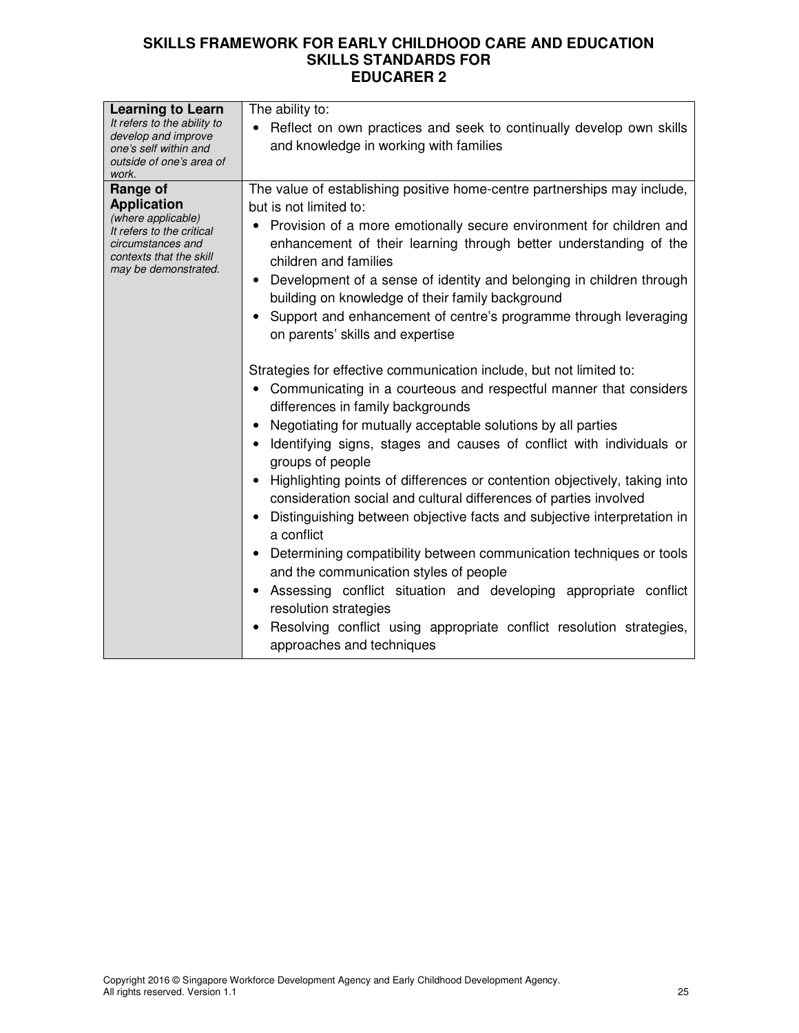| <b>Learning to Learn</b><br>It refers to the ability to<br>develop and improve<br>one's self within and<br>outside of one's area of<br>work.              | The ability to:<br>• Reflect on own practices and seek to continually develop own skills<br>and knowledge in working with families                                                                                                                                                                                                                                                                                                                                                                                                                                                                                                                                                                                                                                                                                                                                                                                                                                                                                                                                                                                                                                                                                                                                                                                                                                                                           |
|-----------------------------------------------------------------------------------------------------------------------------------------------------------|--------------------------------------------------------------------------------------------------------------------------------------------------------------------------------------------------------------------------------------------------------------------------------------------------------------------------------------------------------------------------------------------------------------------------------------------------------------------------------------------------------------------------------------------------------------------------------------------------------------------------------------------------------------------------------------------------------------------------------------------------------------------------------------------------------------------------------------------------------------------------------------------------------------------------------------------------------------------------------------------------------------------------------------------------------------------------------------------------------------------------------------------------------------------------------------------------------------------------------------------------------------------------------------------------------------------------------------------------------------------------------------------------------------|
| Range of<br><b>Application</b><br>(where applicable)<br>It refers to the critical<br>circumstances and<br>contexts that the skill<br>may be demonstrated. | The value of establishing positive home-centre partnerships may include,<br>but is not limited to:<br>Provision of a more emotionally secure environment for children and<br>enhancement of their learning through better understanding of the<br>children and families<br>Development of a sense of identity and belonging in children through<br>building on knowledge of their family background<br>Support and enhancement of centre's programme through leveraging<br>on parents' skills and expertise<br>Strategies for effective communication include, but not limited to:<br>• Communicating in a courteous and respectful manner that considers<br>differences in family backgrounds<br>Negotiating for mutually acceptable solutions by all parties<br>• Identifying signs, stages and causes of conflict with individuals or<br>groups of people<br>Highlighting points of differences or contention objectively, taking into<br>consideration social and cultural differences of parties involved<br>• Distinguishing between objective facts and subjective interpretation in<br>a conflict<br>Determining compatibility between communication techniques or tools<br>and the communication styles of people<br>Assessing conflict situation and developing appropriate conflict<br>$\bullet$<br>resolution strategies<br>Resolving conflict using appropriate conflict resolution strategies, |
|                                                                                                                                                           | approaches and techniques                                                                                                                                                                                                                                                                                                                                                                                                                                                                                                                                                                                                                                                                                                                                                                                                                                                                                                                                                                                                                                                                                                                                                                                                                                                                                                                                                                                    |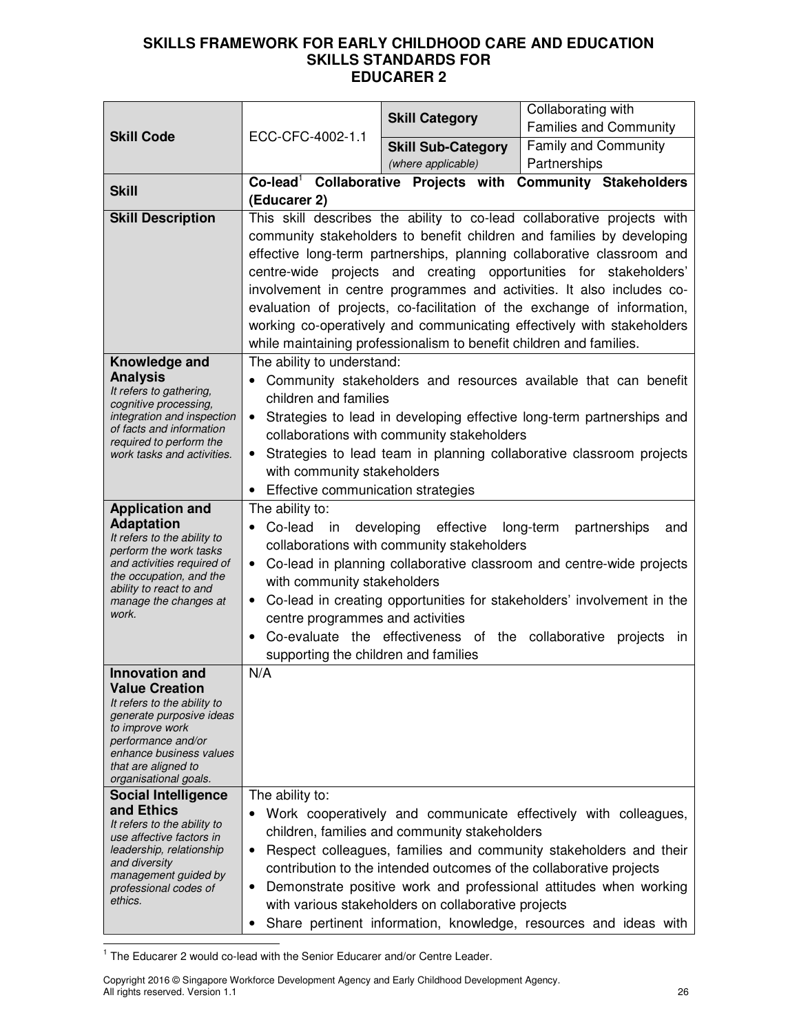|                                                         |                                                                                                                                                                                                                                                          |                                                                     | Collaborating with                                                                                                                               |
|---------------------------------------------------------|----------------------------------------------------------------------------------------------------------------------------------------------------------------------------------------------------------------------------------------------------------|---------------------------------------------------------------------|--------------------------------------------------------------------------------------------------------------------------------------------------|
| <b>Skill Code</b>                                       | ECC-CFC-4002-1.1                                                                                                                                                                                                                                         | <b>Skill Category</b>                                               | <b>Families and Community</b>                                                                                                                    |
|                                                         |                                                                                                                                                                                                                                                          | <b>Skill Sub-Category</b>                                           | <b>Family and Community</b>                                                                                                                      |
|                                                         |                                                                                                                                                                                                                                                          | (where applicable)                                                  | Partnerships                                                                                                                                     |
| <b>Skill</b>                                            | Co-lead <sup>1</sup> Collaborative Projects with                                                                                                                                                                                                         |                                                                     | <b>Community Stakeholders</b>                                                                                                                    |
|                                                         | (Educarer 2)                                                                                                                                                                                                                                             |                                                                     |                                                                                                                                                  |
| <b>Skill Description</b>                                |                                                                                                                                                                                                                                                          |                                                                     | This skill describes the ability to co-lead collaborative projects with                                                                          |
|                                                         |                                                                                                                                                                                                                                                          |                                                                     | community stakeholders to benefit children and families by developing                                                                            |
|                                                         |                                                                                                                                                                                                                                                          |                                                                     | effective long-term partnerships, planning collaborative classroom and                                                                           |
|                                                         |                                                                                                                                                                                                                                                          |                                                                     | centre-wide projects and creating opportunities for stakeholders'                                                                                |
|                                                         |                                                                                                                                                                                                                                                          |                                                                     | involvement in centre programmes and activities. It also includes co-<br>evaluation of projects, co-facilitation of the exchange of information, |
|                                                         |                                                                                                                                                                                                                                                          |                                                                     | working co-operatively and communicating effectively with stakeholders                                                                           |
|                                                         |                                                                                                                                                                                                                                                          | while maintaining professionalism to benefit children and families. |                                                                                                                                                  |
| Knowledge and                                           | The ability to understand:                                                                                                                                                                                                                               |                                                                     |                                                                                                                                                  |
| <b>Analysis</b>                                         |                                                                                                                                                                                                                                                          |                                                                     | Community stakeholders and resources available that can benefit                                                                                  |
| It refers to gathering,<br>cognitive processing,        | children and families                                                                                                                                                                                                                                    |                                                                     |                                                                                                                                                  |
| integration and inspection                              | $\bullet$                                                                                                                                                                                                                                                |                                                                     | Strategies to lead in developing effective long-term partnerships and                                                                            |
| of facts and information<br>required to perform the     |                                                                                                                                                                                                                                                          | collaborations with community stakeholders                          |                                                                                                                                                  |
| work tasks and activities.                              | $\bullet$                                                                                                                                                                                                                                                |                                                                     | Strategies to lead team in planning collaborative classroom projects                                                                             |
|                                                         | with community stakeholders                                                                                                                                                                                                                              |                                                                     |                                                                                                                                                  |
|                                                         | Effective communication strategies<br>$\bullet$                                                                                                                                                                                                          |                                                                     |                                                                                                                                                  |
| <b>Application and</b>                                  | The ability to:                                                                                                                                                                                                                                          |                                                                     |                                                                                                                                                  |
| <b>Adaptation</b><br>It refers to the ability to        | developing effective<br>Co-lead<br>long-term<br>partnerships<br>in<br>and<br>$\bullet$<br>collaborations with community stakeholders<br>Co-lead in planning collaborative classroom and centre-wide projects<br>$\bullet$<br>with community stakeholders |                                                                     |                                                                                                                                                  |
| perform the work tasks                                  |                                                                                                                                                                                                                                                          |                                                                     |                                                                                                                                                  |
| and activities required of<br>the occupation, and the   |                                                                                                                                                                                                                                                          |                                                                     |                                                                                                                                                  |
| ability to react to and                                 | Co-lead in creating opportunities for stakeholders' involvement in the                                                                                                                                                                                   |                                                                     |                                                                                                                                                  |
| manage the changes at<br>work.                          | centre programmes and activities                                                                                                                                                                                                                         |                                                                     |                                                                                                                                                  |
|                                                         | Co-evaluate the effectiveness of the collaborative projects<br>$\bullet$<br>- in                                                                                                                                                                         |                                                                     |                                                                                                                                                  |
|                                                         | supporting the children and families                                                                                                                                                                                                                     |                                                                     |                                                                                                                                                  |
| <b>Innovation and</b>                                   | N/A                                                                                                                                                                                                                                                      |                                                                     |                                                                                                                                                  |
| <b>Value Creation</b><br>It refers to the ability to    |                                                                                                                                                                                                                                                          |                                                                     |                                                                                                                                                  |
| generate purposive ideas                                |                                                                                                                                                                                                                                                          |                                                                     |                                                                                                                                                  |
| to improve work<br>performance and/or                   |                                                                                                                                                                                                                                                          |                                                                     |                                                                                                                                                  |
| enhance business values                                 |                                                                                                                                                                                                                                                          |                                                                     |                                                                                                                                                  |
| that are aligned to<br>organisational goals.            |                                                                                                                                                                                                                                                          |                                                                     |                                                                                                                                                  |
| <b>Social Intelligence</b>                              | The ability to:                                                                                                                                                                                                                                          |                                                                     |                                                                                                                                                  |
| and Ethics                                              |                                                                                                                                                                                                                                                          |                                                                     | Work cooperatively and communicate effectively with colleagues,                                                                                  |
| It refers to the ability to<br>use affective factors in |                                                                                                                                                                                                                                                          | children, families and community stakeholders                       |                                                                                                                                                  |
| leadership, relationship                                | Respect colleagues, families and community stakeholders and their<br>$\bullet$                                                                                                                                                                           |                                                                     |                                                                                                                                                  |
| and diversity<br>management guided by                   |                                                                                                                                                                                                                                                          |                                                                     | contribution to the intended outcomes of the collaborative projects                                                                              |
| professional codes of                                   | $\bullet$                                                                                                                                                                                                                                                |                                                                     | Demonstrate positive work and professional attitudes when working                                                                                |
| ethics.                                                 | with various stakeholders on collaborative projects                                                                                                                                                                                                      |                                                                     |                                                                                                                                                  |
|                                                         |                                                                                                                                                                                                                                                          |                                                                     | Share pertinent information, knowledge, resources and ideas with                                                                                 |

1 The Educarer 2 would co-lead with the Senior Educarer and/or Centre Leader.

Copyright 2016 © Singapore Workforce Development Agency and Early Childhood Development Agency. All rights reserved. Version 1.1 26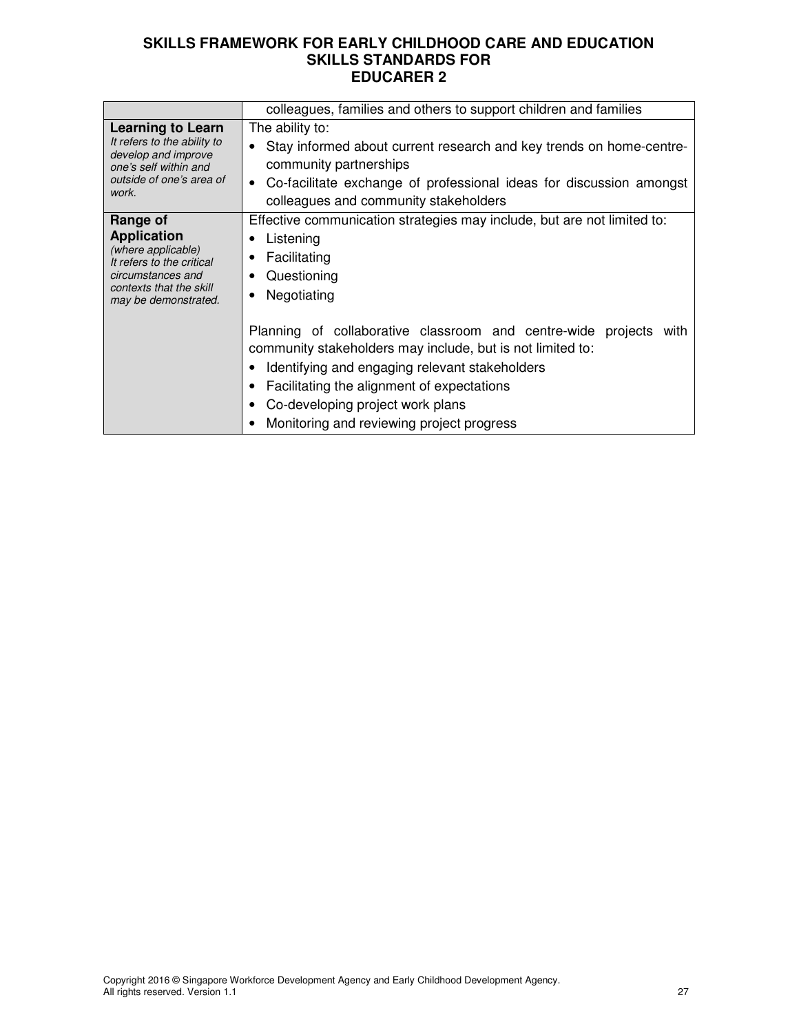|                                                                                                                                                           | colleagues, families and others to support children and families                                                                                                                                                                                                                                                                                                                                             |  |  |
|-----------------------------------------------------------------------------------------------------------------------------------------------------------|--------------------------------------------------------------------------------------------------------------------------------------------------------------------------------------------------------------------------------------------------------------------------------------------------------------------------------------------------------------------------------------------------------------|--|--|
| <b>Learning to Learn</b><br>It refers to the ability to<br>develop and improve<br>one's self within and<br>outside of one's area of<br>work.              | The ability to:<br>Stay informed about current research and key trends on home-centre-<br>community partnerships<br>Co-facilitate exchange of professional ideas for discussion amongst<br>colleagues and community stakeholders                                                                                                                                                                             |  |  |
| Range of<br><b>Application</b><br>(where applicable)<br>It refers to the critical<br>circumstances and<br>contexts that the skill<br>may be demonstrated. | Effective communication strategies may include, but are not limited to:<br>Listening<br>Facilitating<br>Questioning<br>Negotiating<br>Planning of collaborative classroom and centre-wide projects<br>with<br>community stakeholders may include, but is not limited to:<br>Identifying and engaging relevant stakeholders<br>Facilitating the alignment of expectations<br>Co-developing project work plans |  |  |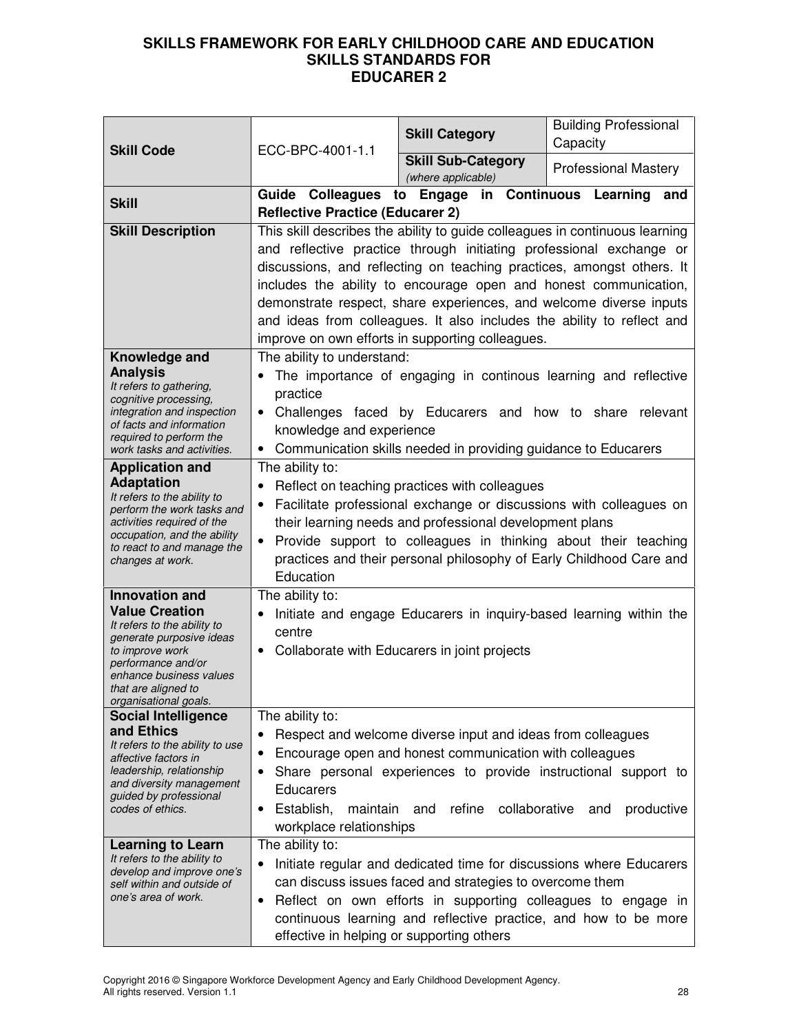| <b>Skill Code</b>                                                                                                                                                                                                             | ECC-BPC-4001-1.1                                                                                                                                                                                                                                                                                                                                                                                                                                                                                    | <b>Skill Category</b>                                                                                                                                                                                                                                              | <b>Building Professional</b><br>Capacity |
|-------------------------------------------------------------------------------------------------------------------------------------------------------------------------------------------------------------------------------|-----------------------------------------------------------------------------------------------------------------------------------------------------------------------------------------------------------------------------------------------------------------------------------------------------------------------------------------------------------------------------------------------------------------------------------------------------------------------------------------------------|--------------------------------------------------------------------------------------------------------------------------------------------------------------------------------------------------------------------------------------------------------------------|------------------------------------------|
|                                                                                                                                                                                                                               |                                                                                                                                                                                                                                                                                                                                                                                                                                                                                                     | <b>Skill Sub-Category</b><br>(where applicable)                                                                                                                                                                                                                    | <b>Professional Mastery</b>              |
| <b>Skill</b>                                                                                                                                                                                                                  | <b>Reflective Practice (Educarer 2)</b>                                                                                                                                                                                                                                                                                                                                                                                                                                                             | Guide Colleagues to Engage in Continuous Learning                                                                                                                                                                                                                  | and                                      |
| <b>Skill Description</b>                                                                                                                                                                                                      | This skill describes the ability to guide colleagues in continuous learning<br>and reflective practice through initiating professional exchange or<br>discussions, and reflecting on teaching practices, amongst others. It<br>includes the ability to encourage open and honest communication,<br>demonstrate respect, share experiences, and welcome diverse inputs<br>and ideas from colleagues. It also includes the ability to reflect and<br>improve on own efforts in supporting colleagues. |                                                                                                                                                                                                                                                                    |                                          |
| Knowledge and<br><b>Analysis</b><br>It refers to gathering,<br>cognitive processing,<br>integration and inspection<br>of facts and information<br>required to perform the<br>work tasks and activities.                       | The ability to understand:<br>The importance of engaging in continous learning and reflective<br>practice<br>Challenges faced by Educarers and how to share relevant<br>knowledge and experience<br>Communication skills needed in providing guidance to Educarers<br>$\bullet$                                                                                                                                                                                                                     |                                                                                                                                                                                                                                                                    |                                          |
| <b>Application and</b><br><b>Adaptation</b><br>It refers to the ability to<br>perform the work tasks and<br>activities required of the<br>occupation, and the ability<br>to react to and manage the<br>changes at work.       | The ability to:<br>Reflect on teaching practices with colleagues<br>Facilitate professional exchange or discussions with colleagues on<br>$\bullet$<br>their learning needs and professional development plans<br>Provide support to colleagues in thinking about their teaching<br>$\bullet$<br>practices and their personal philosophy of Early Childhood Care and<br>Education                                                                                                                   |                                                                                                                                                                                                                                                                    |                                          |
| <b>Innovation and</b><br><b>Value Creation</b><br>It refers to the ability to<br>generate purposive ideas<br>to improve work<br>performance and/or<br>enhance business values<br>that are aligned to<br>organisational goals. | The ability to:<br>$\bullet$<br>centre<br>$\bullet$                                                                                                                                                                                                                                                                                                                                                                                                                                                 | Initiate and engage Educarers in inquiry-based learning within the<br>Collaborate with Educarers in joint projects                                                                                                                                                 |                                          |
| <b>Social Intelligence</b><br>and Ethics<br>It refers to the ability to use<br>affective factors in<br>leadership, relationship<br>and diversity management<br>guided by professional<br>codes of ethics.                     | The ability to:<br>$\bullet$<br>Educarers<br>Establish,<br>maintain<br>$\bullet$<br>workplace relationships                                                                                                                                                                                                                                                                                                                                                                                         | Respect and welcome diverse input and ideas from colleagues<br>Encourage open and honest communication with colleagues<br>Share personal experiences to provide instructional support to<br>refine<br>collaborative<br>and                                         | productive<br>and                        |
| <b>Learning to Learn</b><br>It refers to the ability to<br>develop and improve one's<br>self within and outside of<br>one's area of work.                                                                                     | The ability to:<br>$\bullet$<br>$\bullet$<br>effective in helping or supporting others                                                                                                                                                                                                                                                                                                                                                                                                              | Initiate regular and dedicated time for discussions where Educarers<br>can discuss issues faced and strategies to overcome them<br>Reflect on own efforts in supporting colleagues to engage in<br>continuous learning and reflective practice, and how to be more |                                          |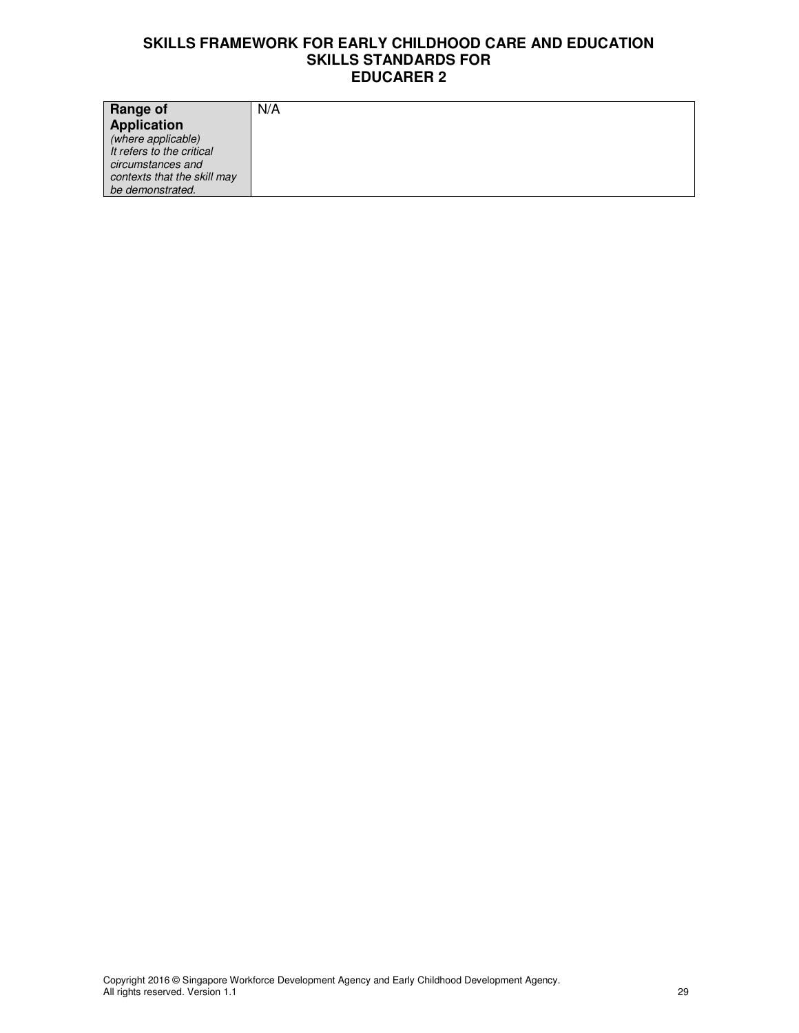| <b>Range of</b>             | N/A |
|-----------------------------|-----|
| Application                 |     |
| (where applicable)          |     |
| It refers to the critical   |     |
| circumstances and           |     |
| contexts that the skill may |     |
| be demonstrated.            |     |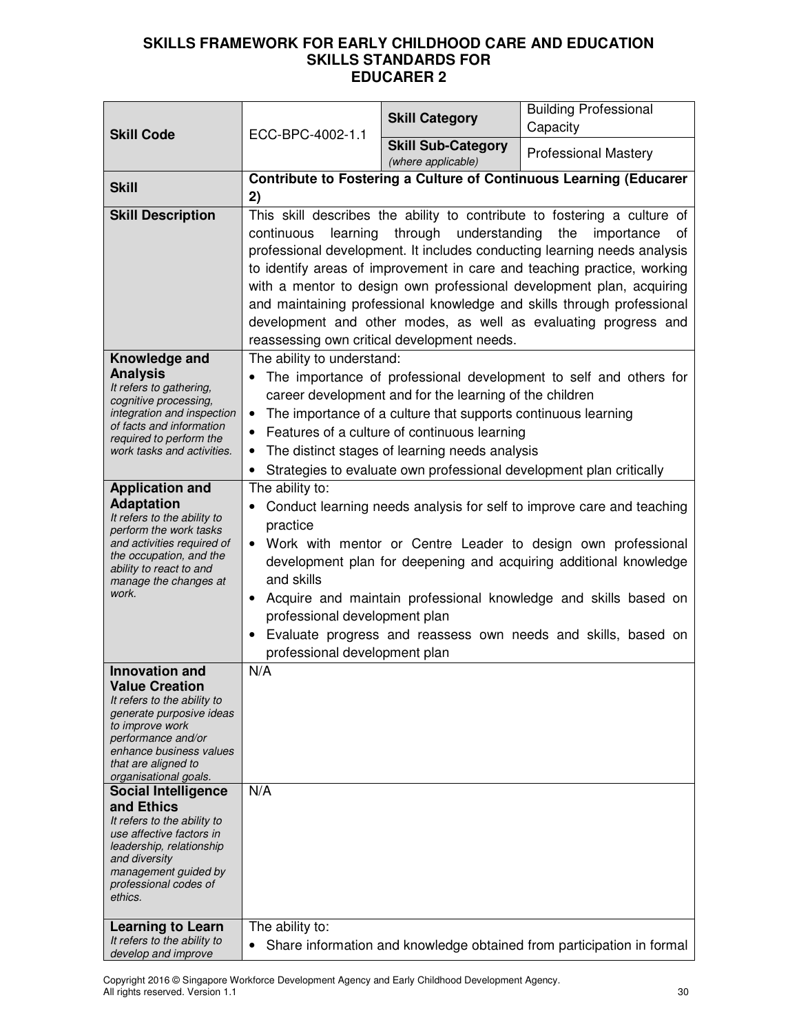| <b>Skill Code</b>                                                                                                                                                                                                                                                                                                                                                                                                                                                         | ECC-BPC-4002-1.1                                                                                                                                                                                                                                                                                                                                                                                                                                                                                                                                                                  | <b>Skill Category</b>       | <b>Building Professional</b><br>Capacity                              |
|---------------------------------------------------------------------------------------------------------------------------------------------------------------------------------------------------------------------------------------------------------------------------------------------------------------------------------------------------------------------------------------------------------------------------------------------------------------------------|-----------------------------------------------------------------------------------------------------------------------------------------------------------------------------------------------------------------------------------------------------------------------------------------------------------------------------------------------------------------------------------------------------------------------------------------------------------------------------------------------------------------------------------------------------------------------------------|-----------------------------|-----------------------------------------------------------------------|
|                                                                                                                                                                                                                                                                                                                                                                                                                                                                           | <b>Skill Sub-Category</b><br>(where applicable)                                                                                                                                                                                                                                                                                                                                                                                                                                                                                                                                   | <b>Professional Mastery</b> |                                                                       |
| <b>Skill</b>                                                                                                                                                                                                                                                                                                                                                                                                                                                              | 2)                                                                                                                                                                                                                                                                                                                                                                                                                                                                                                                                                                                |                             | Contribute to Fostering a Culture of Continuous Learning (Educarer    |
| <b>Skill Description</b>                                                                                                                                                                                                                                                                                                                                                                                                                                                  | This skill describes the ability to contribute to fostering a culture of<br>through understanding<br>the<br>continuous<br>learning<br>importance<br>οf<br>professional development. It includes conducting learning needs analysis<br>to identify areas of improvement in care and teaching practice, working<br>with a mentor to design own professional development plan, acquiring<br>and maintaining professional knowledge and skills through professional<br>development and other modes, as well as evaluating progress and<br>reassessing own critical development needs. |                             |                                                                       |
| Knowledge and<br><b>Analysis</b><br>It refers to gathering,<br>cognitive processing,<br>integration and inspection<br>of facts and information<br>required to perform the<br>work tasks and activities.                                                                                                                                                                                                                                                                   | The ability to understand:<br>The importance of professional development to self and others for<br>career development and for the learning of the children<br>The importance of a culture that supports continuous learning<br>Features of a culture of continuous learning<br>$\bullet$<br>The distinct stages of learning needs analysis<br>Strategies to evaluate own professional development plan critically                                                                                                                                                                 |                             |                                                                       |
| <b>Application and</b><br><b>Adaptation</b><br>It refers to the ability to<br>perform the work tasks<br>and activities required of<br>the occupation, and the<br>ability to react to and<br>manage the changes at<br>work.                                                                                                                                                                                                                                                | The ability to:<br>Conduct learning needs analysis for self to improve care and teaching<br>practice<br>Work with mentor or Centre Leader to design own professional<br>$\bullet$<br>development plan for deepening and acquiring additional knowledge<br>and skills<br>Acquire and maintain professional knowledge and skills based on<br>$\bullet$<br>professional development plan<br>Evaluate progress and reassess own needs and skills, based on<br>professional development plan                                                                                           |                             |                                                                       |
| <b>Innovation and</b><br><b>Value Creation</b><br>It refers to the ability to<br>generate purposive ideas<br>to improve work<br>performance and/or<br>enhance business values<br>that are aligned to<br>organisational goals.<br><b>Social Intelligence</b><br>and Ethics<br>It refers to the ability to<br>use affective factors in<br>leadership, relationship<br>and diversity<br>management guided by<br>professional codes of<br>ethics.<br><b>Learning to Learn</b> | N/A<br>N/A<br>The ability to:                                                                                                                                                                                                                                                                                                                                                                                                                                                                                                                                                     |                             |                                                                       |
| It refers to the ability to<br>develop and improve                                                                                                                                                                                                                                                                                                                                                                                                                        | $\bullet$                                                                                                                                                                                                                                                                                                                                                                                                                                                                                                                                                                         |                             | Share information and knowledge obtained from participation in formal |

Copyright 2016 © Singapore Workforce Development Agency and Early Childhood Development Agency. All rights reserved. Version 1.1 30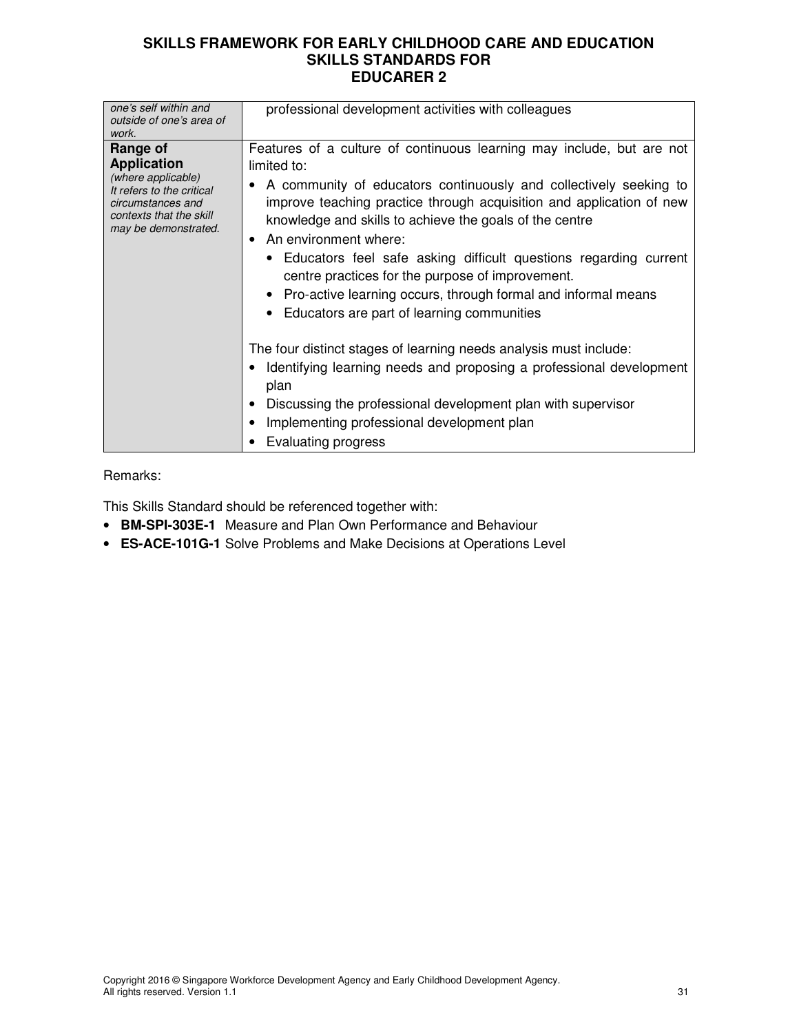| one's self within and<br>outside of one's area of<br>work.                                                                                                | professional development activities with colleagues                                                                                                                                                                                                                                                                                                                                                                                                                                                                                                                  |
|-----------------------------------------------------------------------------------------------------------------------------------------------------------|----------------------------------------------------------------------------------------------------------------------------------------------------------------------------------------------------------------------------------------------------------------------------------------------------------------------------------------------------------------------------------------------------------------------------------------------------------------------------------------------------------------------------------------------------------------------|
| Range of<br><b>Application</b><br>(where applicable)<br>It refers to the critical<br>circumstances and<br>contexts that the skill<br>may be demonstrated. | Features of a culture of continuous learning may include, but are not<br>limited to:<br>• A community of educators continuously and collectively seeking to<br>improve teaching practice through acquisition and application of new<br>knowledge and skills to achieve the goals of the centre<br>An environment where:<br>• Educators feel safe asking difficult questions regarding current<br>centre practices for the purpose of improvement.<br>• Pro-active learning occurs, through formal and informal means<br>• Educators are part of learning communities |
|                                                                                                                                                           | The four distinct stages of learning needs analysis must include:<br>Identifying learning needs and proposing a professional development<br>plan<br>Discussing the professional development plan with supervisor<br>Implementing professional development plan<br>Evaluating progress                                                                                                                                                                                                                                                                                |

#### Remarks:

This Skills Standard should be referenced together with:

- **BM-SPI-303E-1** Measure and Plan Own Performance and Behaviour
- **ES-ACE-101G-1** Solve Problems and Make Decisions at Operations Level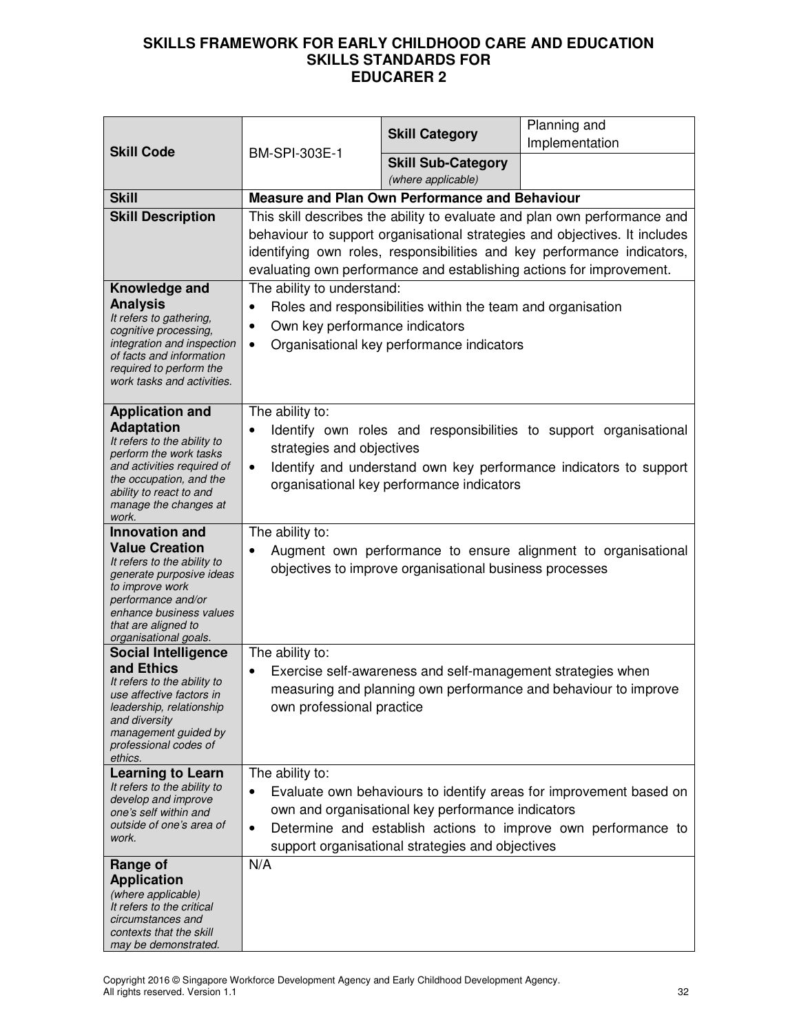| <b>Skill Code</b>                                                                                                                                                                                                             | BM-SPI-303E-1                                                                                                                                                                                                                                                                                              | <b>Skill Category</b>                                                                                 | Planning and<br>Implementation                                                                                                      |
|-------------------------------------------------------------------------------------------------------------------------------------------------------------------------------------------------------------------------------|------------------------------------------------------------------------------------------------------------------------------------------------------------------------------------------------------------------------------------------------------------------------------------------------------------|-------------------------------------------------------------------------------------------------------|-------------------------------------------------------------------------------------------------------------------------------------|
|                                                                                                                                                                                                                               |                                                                                                                                                                                                                                                                                                            | <b>Skill Sub-Category</b><br>(where applicable)                                                       |                                                                                                                                     |
| <b>Skill</b>                                                                                                                                                                                                                  |                                                                                                                                                                                                                                                                                                            | Measure and Plan Own Performance and Behaviour                                                        |                                                                                                                                     |
| <b>Skill Description</b>                                                                                                                                                                                                      | This skill describes the ability to evaluate and plan own performance and<br>behaviour to support organisational strategies and objectives. It includes<br>identifying own roles, responsibilities and key performance indicators,<br>evaluating own performance and establishing actions for improvement. |                                                                                                       |                                                                                                                                     |
| Knowledge and<br><b>Analysis</b><br>It refers to gathering,<br>cognitive processing,<br>integration and inspection<br>of facts and information<br>required to perform the<br>work tasks and activities.                       | The ability to understand:<br>Roles and responsibilities within the team and organisation<br>$\bullet$<br>Own key performance indicators<br>٠<br>Organisational key performance indicators<br>٠                                                                                                            |                                                                                                       |                                                                                                                                     |
| <b>Application and</b><br><b>Adaptation</b><br>It refers to the ability to<br>perform the work tasks<br>and activities required of<br>the occupation, and the<br>ability to react to and<br>manage the changes at<br>work.    | The ability to:<br>Identify own roles and responsibilities to support organisational<br>strategies and objectives<br>Identify and understand own key performance indicators to support<br>$\bullet$<br>organisational key performance indicators                                                           |                                                                                                       |                                                                                                                                     |
| <b>Innovation and</b><br><b>Value Creation</b><br>It refers to the ability to<br>generate purposive ideas<br>to improve work<br>performance and/or<br>enhance business values<br>that are aligned to<br>organisational goals. | The ability to:                                                                                                                                                                                                                                                                                            | objectives to improve organisational business processes                                               | Augment own performance to ensure alignment to organisational                                                                       |
| <b>Social Intelligence</b>                                                                                                                                                                                                    | The ability to:                                                                                                                                                                                                                                                                                            |                                                                                                       |                                                                                                                                     |
| and Ethics<br>It refers to the ability to<br>use affective factors in<br>leadership, relationship<br>and diversity<br>management guided by<br>professional codes of<br>ethics.                                                | own professional practice                                                                                                                                                                                                                                                                                  | Exercise self-awareness and self-management strategies when                                           | measuring and planning own performance and behaviour to improve                                                                     |
| <b>Learning to Learn</b><br>It refers to the ability to<br>develop and improve<br>one's self within and<br>outside of one's area of<br>work.                                                                                  | The ability to:<br>$\bullet$                                                                                                                                                                                                                                                                               | own and organisational key performance indicators<br>support organisational strategies and objectives | Evaluate own behaviours to identify areas for improvement based on<br>Determine and establish actions to improve own performance to |
| Range of<br><b>Application</b><br>(where applicable)<br>It refers to the critical<br>circumstances and<br>contexts that the skill<br>may be demonstrated.                                                                     | N/A                                                                                                                                                                                                                                                                                                        |                                                                                                       |                                                                                                                                     |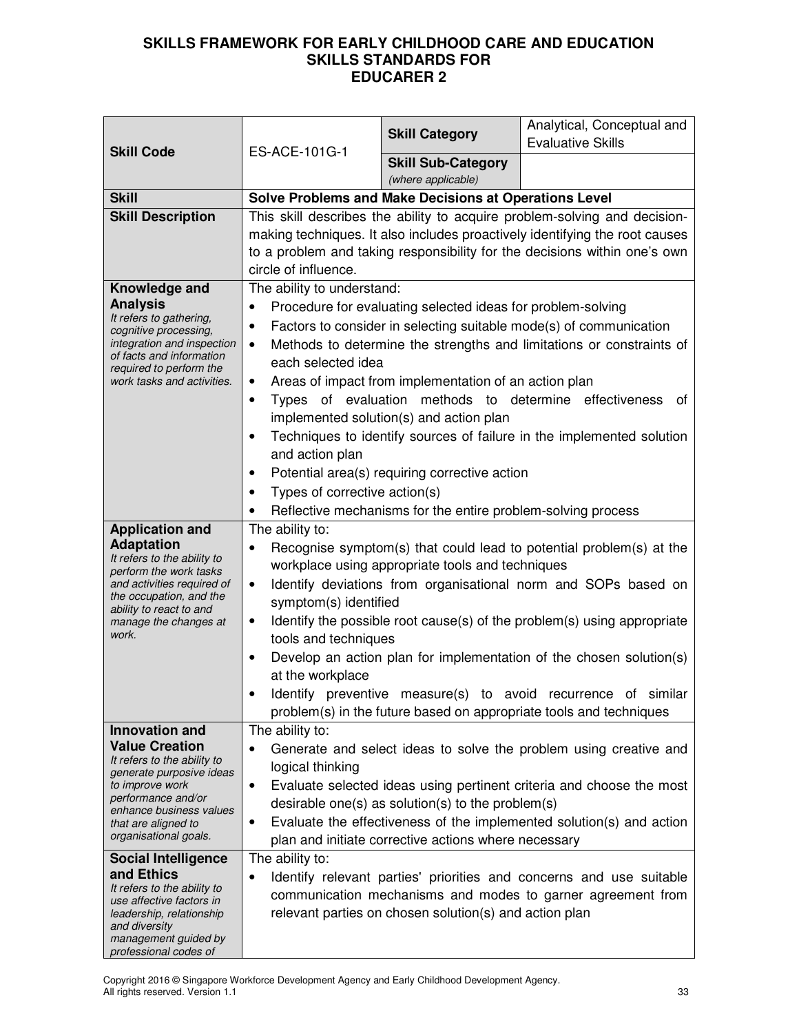| <b>Skill Code</b>                                                                                                                                                                                                                                                                                                                                                                                                                  | ES-ACE-101G-1                                                                                                                                                                                                                                                 | <b>Skill Category</b>                                                                                                                                                                                                                                                            | Analytical, Conceptual and<br><b>Evaluative Skills</b>                                                                                                                                                                                                                                                                                                                                                                         |
|------------------------------------------------------------------------------------------------------------------------------------------------------------------------------------------------------------------------------------------------------------------------------------------------------------------------------------------------------------------------------------------------------------------------------------|---------------------------------------------------------------------------------------------------------------------------------------------------------------------------------------------------------------------------------------------------------------|----------------------------------------------------------------------------------------------------------------------------------------------------------------------------------------------------------------------------------------------------------------------------------|--------------------------------------------------------------------------------------------------------------------------------------------------------------------------------------------------------------------------------------------------------------------------------------------------------------------------------------------------------------------------------------------------------------------------------|
|                                                                                                                                                                                                                                                                                                                                                                                                                                    |                                                                                                                                                                                                                                                               | <b>Skill Sub-Category</b><br>(where applicable)                                                                                                                                                                                                                                  |                                                                                                                                                                                                                                                                                                                                                                                                                                |
| <b>Skill</b>                                                                                                                                                                                                                                                                                                                                                                                                                       |                                                                                                                                                                                                                                                               | <b>Solve Problems and Make Decisions at Operations Level</b>                                                                                                                                                                                                                     |                                                                                                                                                                                                                                                                                                                                                                                                                                |
| <b>Skill Description</b>                                                                                                                                                                                                                                                                                                                                                                                                           | This skill describes the ability to acquire problem-solving and decision-<br>making techniques. It also includes proactively identifying the root causes<br>to a problem and taking responsibility for the decisions within one's own<br>circle of influence. |                                                                                                                                                                                                                                                                                  |                                                                                                                                                                                                                                                                                                                                                                                                                                |
| Knowledge and<br><b>Analysis</b><br>It refers to gathering,<br>cognitive processing,<br>integration and inspection<br>of facts and information<br>required to perform the<br>work tasks and activities.                                                                                                                                                                                                                            | The ability to understand:<br>$\bullet$<br>$\bullet$<br>$\bullet$<br>each selected idea<br>$\bullet$<br>$\bullet$<br>and action plan<br>$\bullet$<br>Types of corrective action(s)<br>$\bullet$                                                               | Procedure for evaluating selected ideas for problem-solving<br>Areas of impact from implementation of an action plan<br>implemented solution(s) and action plan<br>Potential area(s) requiring corrective action<br>Reflective mechanisms for the entire problem-solving process | Factors to consider in selecting suitable mode(s) of communication<br>Methods to determine the strengths and limitations or constraints of<br>Types of evaluation methods to determine effectiveness<br>οt<br>Techniques to identify sources of failure in the implemented solution                                                                                                                                            |
| <b>Application and</b>                                                                                                                                                                                                                                                                                                                                                                                                             | The ability to:                                                                                                                                                                                                                                               |                                                                                                                                                                                                                                                                                  |                                                                                                                                                                                                                                                                                                                                                                                                                                |
| <b>Adaptation</b><br>It refers to the ability to<br>perform the work tasks<br>and activities required of<br>the occupation, and the<br>ability to react to and<br>manage the changes at<br>work.                                                                                                                                                                                                                                   | $\bullet$<br>symptom(s) identified<br>$\bullet$<br>tools and techniques<br>$\bullet$<br>at the workplace                                                                                                                                                      | workplace using appropriate tools and techniques                                                                                                                                                                                                                                 | Recognise symptom(s) that could lead to potential problem(s) at the<br>Identify deviations from organisational norm and SOPs based on<br>Identify the possible root cause(s) of the problem(s) using appropriate<br>Develop an action plan for implementation of the chosen solution(s)<br>Identify preventive measure(s) to avoid recurrence of similar<br>problem(s) in the future based on appropriate tools and techniques |
| <b>Innovation and</b><br><b>Value Creation</b><br>It refers to the ability to<br>generate purposive ideas<br>to improve work<br>performance and/or<br>enhance business values<br>that are aligned to<br>organisational goals.<br><b>Social Intelligence</b><br>and Ethics<br>It refers to the ability to<br>use affective factors in<br>leadership, relationship<br>and diversity<br>management guided by<br>professional codes of | The ability to:<br>logical thinking<br>$\bullet$<br>$\bullet$<br>The ability to:<br>$\bullet$                                                                                                                                                                 | desirable one(s) as solution(s) to the problem(s)<br>plan and initiate corrective actions where necessary<br>relevant parties on chosen solution(s) and action plan                                                                                                              | Generate and select ideas to solve the problem using creative and<br>Evaluate selected ideas using pertinent criteria and choose the most<br>Evaluate the effectiveness of the implemented solution(s) and action<br>Identify relevant parties' priorities and concerns and use suitable<br>communication mechanisms and modes to garner agreement from                                                                        |

Copyright 2016 © Singapore Workforce Development Agency and Early Childhood Development Agency. All rights reserved. Version 1.1 33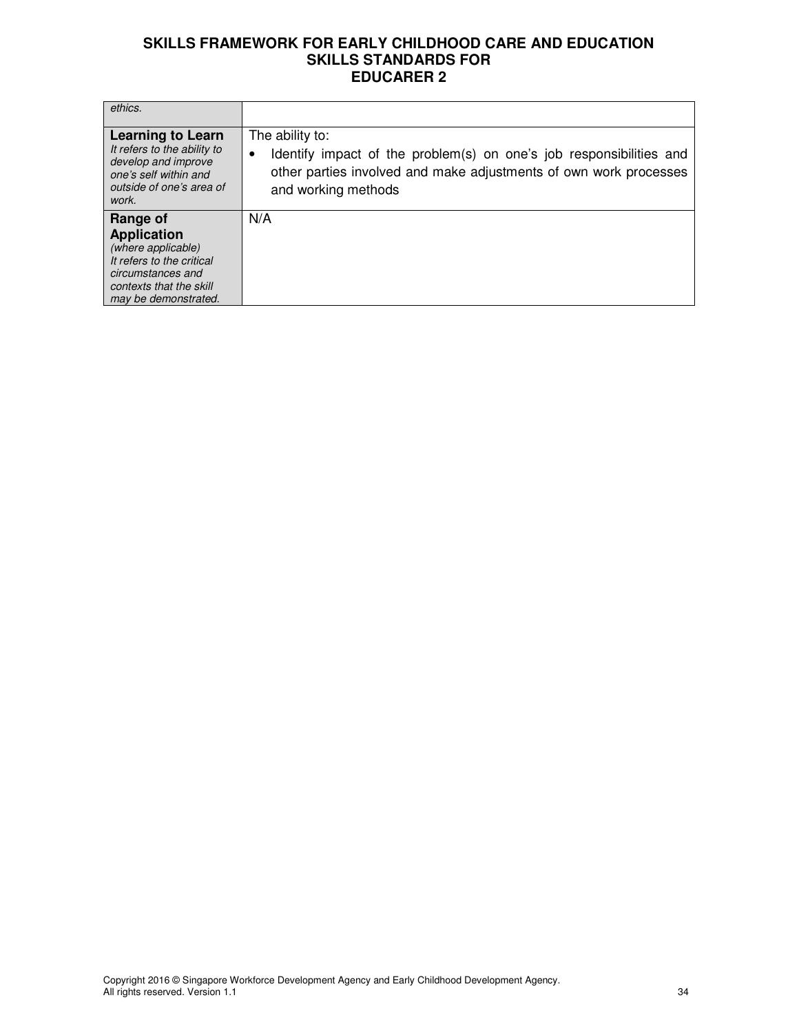| ethics.                                                                                                                                                   |                                                                                                                                                                                         |
|-----------------------------------------------------------------------------------------------------------------------------------------------------------|-----------------------------------------------------------------------------------------------------------------------------------------------------------------------------------------|
| <b>Learning to Learn</b><br>It refers to the ability to<br>develop and improve<br>one's self within and<br>outside of one's area of<br>work.              | The ability to:<br>Identify impact of the problem(s) on one's job responsibilities and<br>٠<br>other parties involved and make adjustments of own work processes<br>and working methods |
| Range of<br><b>Application</b><br>(where applicable)<br>It refers to the critical<br>circumstances and<br>contexts that the skill<br>may be demonstrated. | N/A                                                                                                                                                                                     |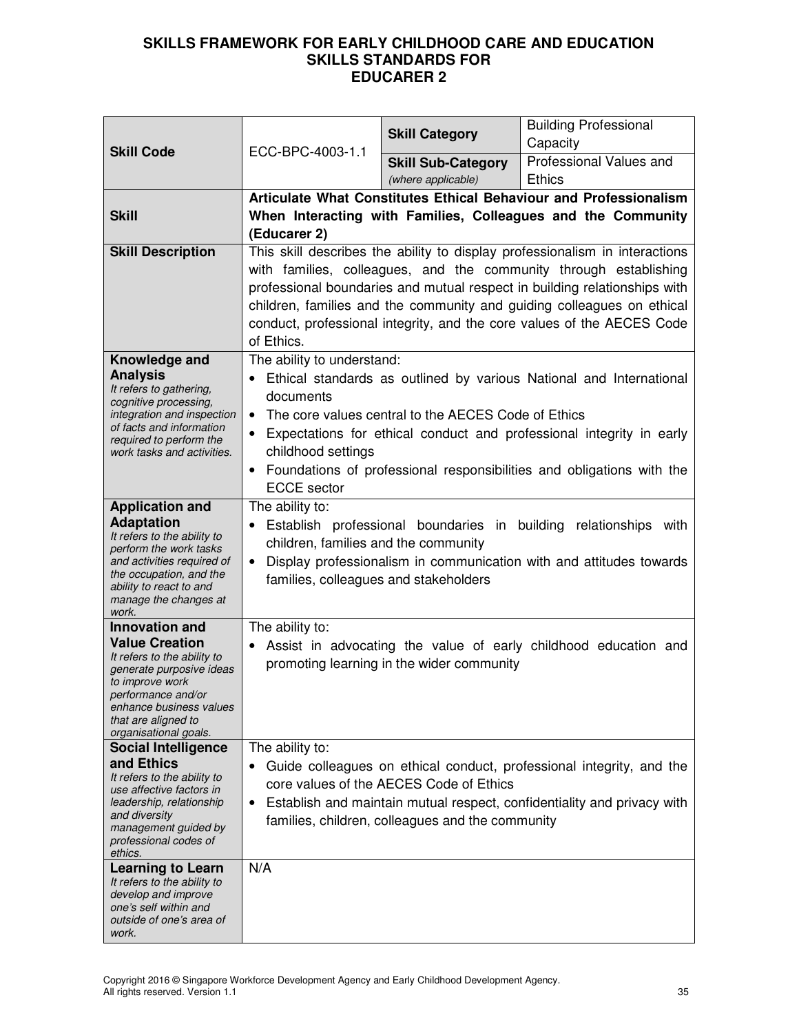|                                                                                                                                                                                                                                                                                                                                                                                   | <b>Skill Code</b><br>ECC-BPC-4003-1.1                                                                                                                                                                                                                                                                                                                                                                                          | <b>Skill Category</b>                           | <b>Building Professional</b><br>Capacity |
|-----------------------------------------------------------------------------------------------------------------------------------------------------------------------------------------------------------------------------------------------------------------------------------------------------------------------------------------------------------------------------------|--------------------------------------------------------------------------------------------------------------------------------------------------------------------------------------------------------------------------------------------------------------------------------------------------------------------------------------------------------------------------------------------------------------------------------|-------------------------------------------------|------------------------------------------|
|                                                                                                                                                                                                                                                                                                                                                                                   |                                                                                                                                                                                                                                                                                                                                                                                                                                | <b>Skill Sub-Category</b><br>(where applicable) | Professional Values and<br><b>Ethics</b> |
| <b>Skill</b>                                                                                                                                                                                                                                                                                                                                                                      | Articulate What Constitutes Ethical Behaviour and Professionalism<br>When Interacting with Families, Colleagues and the Community<br>(Educarer 2)                                                                                                                                                                                                                                                                              |                                                 |                                          |
| <b>Skill Description</b>                                                                                                                                                                                                                                                                                                                                                          | This skill describes the ability to display professionalism in interactions<br>with families, colleagues, and the community through establishing<br>professional boundaries and mutual respect in building relationships with<br>children, families and the community and guiding colleagues on ethical<br>conduct, professional integrity, and the core values of the AECES Code<br>of Ethics.                                |                                                 |                                          |
| Knowledge and<br><b>Analysis</b><br>It refers to gathering,<br>cognitive processing,<br>integration and inspection<br>of facts and information<br>required to perform the<br>work tasks and activities.                                                                                                                                                                           | The ability to understand:<br>Ethical standards as outlined by various National and International<br>documents<br>The core values central to the AECES Code of Ethics<br>$\bullet$<br>Expectations for ethical conduct and professional integrity in early<br>$\bullet$<br>childhood settings<br>• Foundations of professional responsibilities and obligations with the<br><b>ECCE</b> sector                                 |                                                 |                                          |
| <b>Application and</b><br><b>Adaptation</b><br>It refers to the ability to<br>perform the work tasks<br>and activities required of<br>the occupation, and the<br>ability to react to and<br>manage the changes at<br>work.                                                                                                                                                        | The ability to:<br>Establish professional boundaries in building relationships with<br>children, families and the community<br>Display professionalism in communication with and attitudes towards<br>$\bullet$<br>families, colleagues and stakeholders                                                                                                                                                                       |                                                 |                                          |
| <b>Innovation and</b><br><b>Value Creation</b><br>It refers to the ability to<br>generate purposive ideas<br>to improve work<br>performance and/or<br>enhance business values<br>that are aligned to<br>organisational goals.<br><b>Social Intelligence</b><br>and Ethics<br>It refers to the ability to<br>use affective factors in<br>leadership, relationship<br>and diversity | The ability to:<br>Assist in advocating the value of early childhood education and<br>promoting learning in the wider community<br>The ability to:<br>Guide colleagues on ethical conduct, professional integrity, and the<br>$\bullet$<br>core values of the AECES Code of Ethics<br>Establish and maintain mutual respect, confidentiality and privacy with<br>$\bullet$<br>families, children, colleagues and the community |                                                 |                                          |
| management guided by<br>professional codes of<br>ethics.<br><b>Learning to Learn</b><br>It refers to the ability to<br>develop and improve<br>one's self within and<br>outside of one's area of<br>work.                                                                                                                                                                          | N/A                                                                                                                                                                                                                                                                                                                                                                                                                            |                                                 |                                          |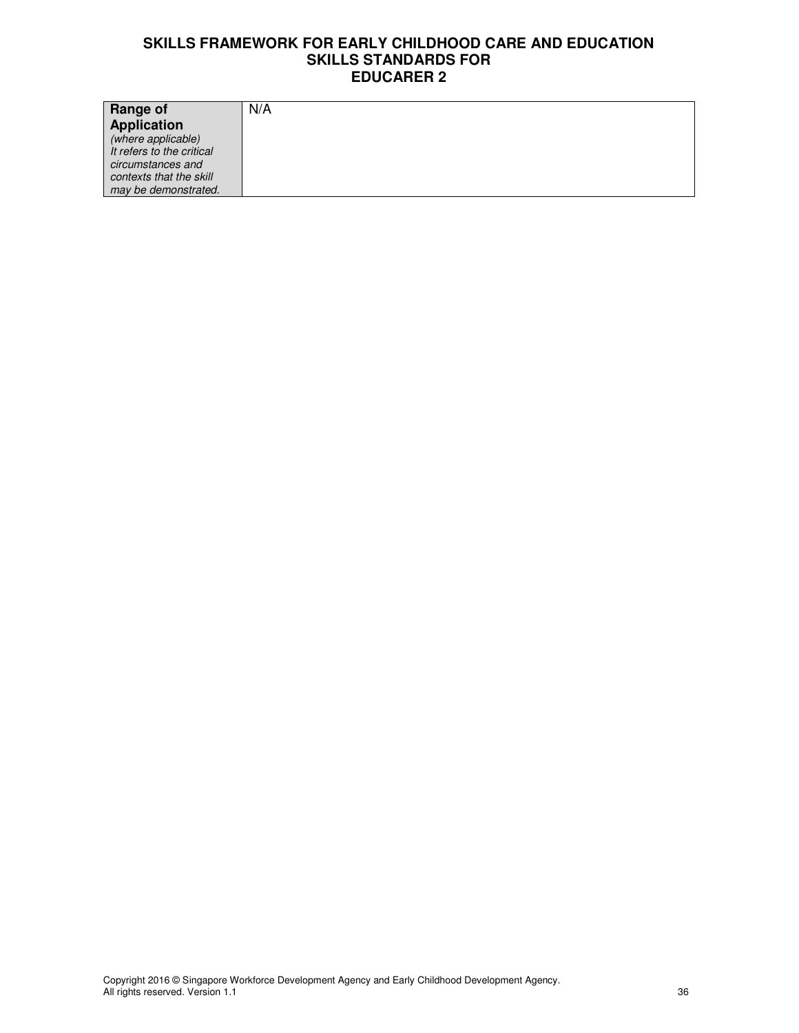| Range of                  | N/A |
|---------------------------|-----|
| Application               |     |
| (where applicable)        |     |
| It refers to the critical |     |
| circumstances and         |     |
| contexts that the skill   |     |
| may be demonstrated.      |     |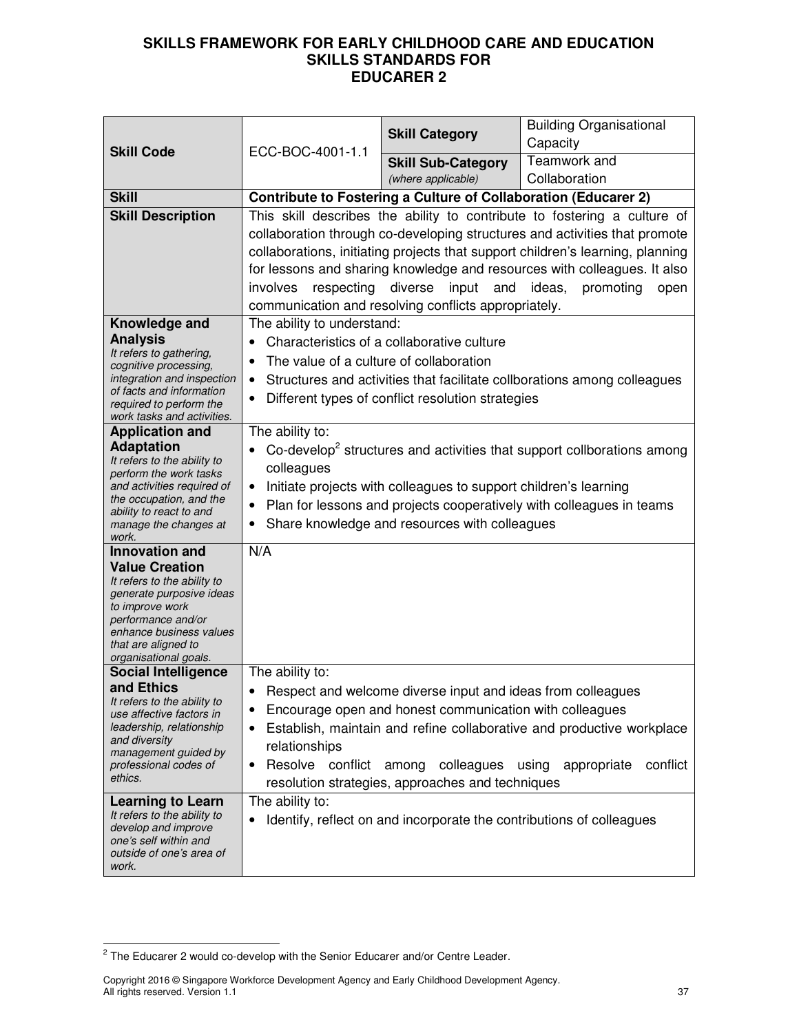|                                                                                                                                                                                                                                                                                                                                                              |                                                                                                                                                                                                                                                                                                                                                                                                                                                                  | <b>Skill Category</b>                                                                                                                                                                                                                                                     | <b>Building Organisational</b><br>Capacity                                                                |
|--------------------------------------------------------------------------------------------------------------------------------------------------------------------------------------------------------------------------------------------------------------------------------------------------------------------------------------------------------------|------------------------------------------------------------------------------------------------------------------------------------------------------------------------------------------------------------------------------------------------------------------------------------------------------------------------------------------------------------------------------------------------------------------------------------------------------------------|---------------------------------------------------------------------------------------------------------------------------------------------------------------------------------------------------------------------------------------------------------------------------|-----------------------------------------------------------------------------------------------------------|
| <b>Skill Code</b>                                                                                                                                                                                                                                                                                                                                            | ECC-BOC-4001-1.1                                                                                                                                                                                                                                                                                                                                                                                                                                                 | <b>Skill Sub-Category</b>                                                                                                                                                                                                                                                 | Teamwork and                                                                                              |
|                                                                                                                                                                                                                                                                                                                                                              |                                                                                                                                                                                                                                                                                                                                                                                                                                                                  | (where applicable)                                                                                                                                                                                                                                                        | Collaboration                                                                                             |
| <b>Skill</b>                                                                                                                                                                                                                                                                                                                                                 |                                                                                                                                                                                                                                                                                                                                                                                                                                                                  | <b>Contribute to Fostering a Culture of Collaboration (Educarer 2)</b>                                                                                                                                                                                                    |                                                                                                           |
| <b>Skill Description</b>                                                                                                                                                                                                                                                                                                                                     | This skill describes the ability to contribute to fostering a culture of<br>collaboration through co-developing structures and activities that promote<br>collaborations, initiating projects that support children's learning, planning<br>for lessons and sharing knowledge and resources with colleagues. It also<br>diverse<br>involves<br>respecting<br>input<br>and<br>ideas,<br>promoting<br>open<br>communication and resolving conflicts appropriately. |                                                                                                                                                                                                                                                                           |                                                                                                           |
| Knowledge and<br><b>Analysis</b><br>It refers to gathering,<br>cognitive processing,<br>integration and inspection<br>of facts and information<br>required to perform the<br>work tasks and activities.                                                                                                                                                      | The ability to understand:<br>Characteristics of a collaborative culture<br>$\bullet$<br>The value of a culture of collaboration<br>$\bullet$<br>Structures and activities that facilitate collborations among colleagues<br>٠<br>Different types of conflict resolution strategies<br>$\bullet$                                                                                                                                                                 |                                                                                                                                                                                                                                                                           |                                                                                                           |
| <b>Application and</b><br><b>Adaptation</b><br>It refers to the ability to<br>perform the work tasks<br>and activities required of<br>the occupation, and the<br>ability to react to and<br>manage the changes at<br>work.                                                                                                                                   | The ability to:<br>Co-develop <sup>2</sup> structures and activities that support collborations among<br>colleagues<br>Initiate projects with colleagues to support children's learning<br>$\bullet$<br>Plan for lessons and projects cooperatively with colleagues in teams<br>$\bullet$<br>Share knowledge and resources with colleagues<br>٠                                                                                                                  |                                                                                                                                                                                                                                                                           |                                                                                                           |
| <b>Innovation</b> and<br><b>Value Creation</b><br>It refers to the ability to<br>generate purposive ideas<br>to improve work<br>performance and/or<br>enhance business values<br>that are aligned to<br>organisational goals.                                                                                                                                | N/A                                                                                                                                                                                                                                                                                                                                                                                                                                                              |                                                                                                                                                                                                                                                                           |                                                                                                           |
| <b>Social Intelligence</b><br>and Ethics<br>It refers to the ability to<br>use affective factors in<br>leadership, relationship<br>and diversity<br>management guided by<br>professional codes of<br>ethics.<br><b>Learning to Learn</b><br>It refers to the ability to<br>develop and improve<br>one's self within and<br>outside of one's area of<br>work. | The ability to:<br>٠<br>٠<br>relationships<br>Resolve conflict<br>$\bullet$<br>The ability to:                                                                                                                                                                                                                                                                                                                                                                   | Respect and welcome diverse input and ideas from colleagues<br>Encourage open and honest communication with colleagues<br>colleagues<br>among<br>resolution strategies, approaches and techniques<br>Identify, reflect on and incorporate the contributions of colleagues | Establish, maintain and refine collaborative and productive workplace<br>conflict<br>using<br>appropriate |

 $2$  The Educarer 2 would co-develop with the Senior Educarer and/or Centre Leader.

Copyright 2016 © Singapore Workforce Development Agency and Early Childhood Development Agency. All rights reserved. Version 1.1 37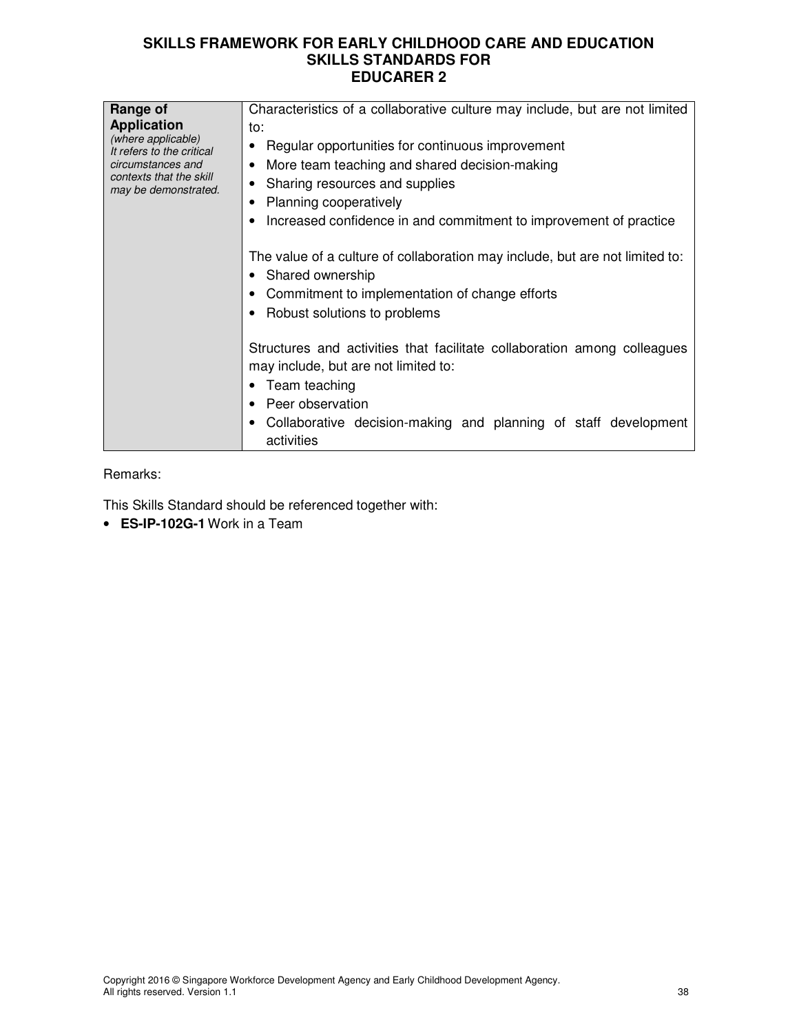| Range of<br><b>Application</b><br>(where applicable)<br>It refers to the critical<br>circumstances and<br>contexts that the skill<br>may be demonstrated. | Characteristics of a collaborative culture may include, but are not limited<br>to:<br>Regular opportunities for continuous improvement<br>More team teaching and shared decision-making<br>Sharing resources and supplies<br>Planning cooperatively<br>Increased confidence in and commitment to improvement of practice<br>The value of a culture of collaboration may include, but are not limited to:<br>• Shared ownership |
|-----------------------------------------------------------------------------------------------------------------------------------------------------------|--------------------------------------------------------------------------------------------------------------------------------------------------------------------------------------------------------------------------------------------------------------------------------------------------------------------------------------------------------------------------------------------------------------------------------|
|                                                                                                                                                           | Commitment to implementation of change efforts<br>Robust solutions to problems<br>Structures and activities that facilitate collaboration among colleagues<br>may include, but are not limited to:<br>Team teaching<br>Peer observation<br>Collaborative decision-making and planning of staff development<br>activities                                                                                                       |

Remarks:

This Skills Standard should be referenced together with:

• **ES-IP-102G-1** Work in a Team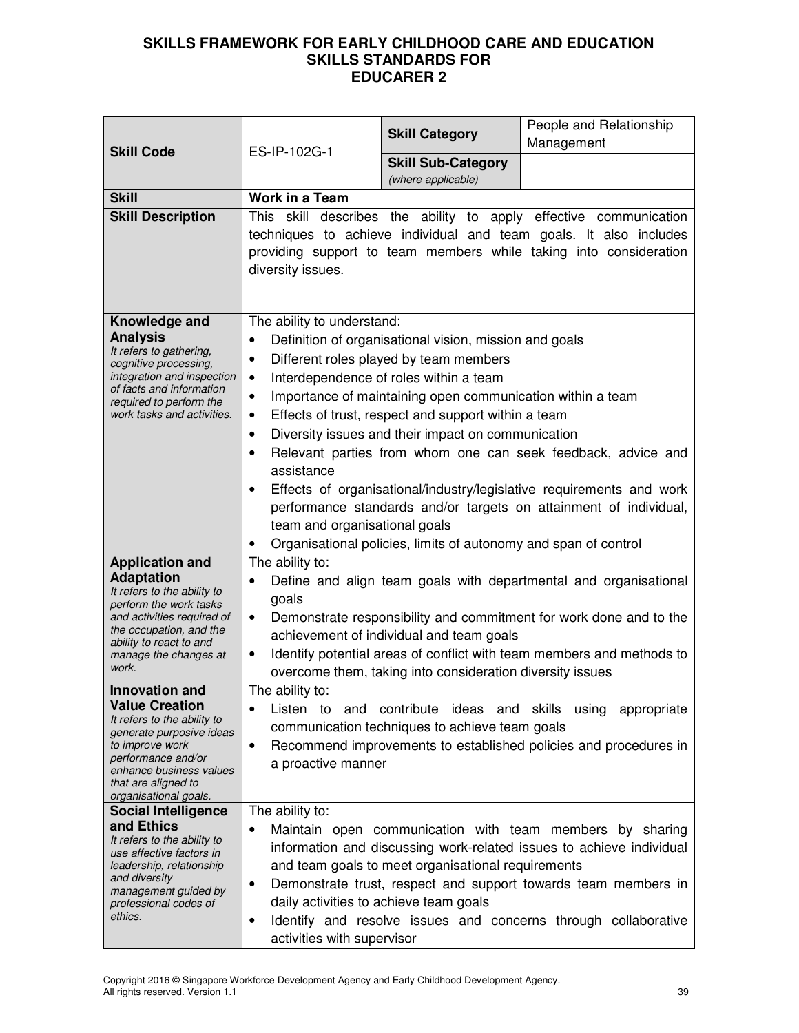| <b>Skill Code</b>                                                                                                                                                                                       | ES-IP-102G-1                                                                                                                                                              | <b>Skill Category</b>                                                                                                                                                                                                                                                                                                                                                                    | People and Relationship<br>Management                                                                                                                                                                                                                                |
|---------------------------------------------------------------------------------------------------------------------------------------------------------------------------------------------------------|---------------------------------------------------------------------------------------------------------------------------------------------------------------------------|------------------------------------------------------------------------------------------------------------------------------------------------------------------------------------------------------------------------------------------------------------------------------------------------------------------------------------------------------------------------------------------|----------------------------------------------------------------------------------------------------------------------------------------------------------------------------------------------------------------------------------------------------------------------|
|                                                                                                                                                                                                         |                                                                                                                                                                           | <b>Skill Sub-Category</b><br>(where applicable)                                                                                                                                                                                                                                                                                                                                          |                                                                                                                                                                                                                                                                      |
| <b>Skill</b>                                                                                                                                                                                            | <b>Work in a Team</b>                                                                                                                                                     |                                                                                                                                                                                                                                                                                                                                                                                          |                                                                                                                                                                                                                                                                      |
| <b>Skill Description</b>                                                                                                                                                                                | diversity issues.                                                                                                                                                         |                                                                                                                                                                                                                                                                                                                                                                                          | This skill describes the ability to apply effective communication<br>techniques to achieve individual and team goals. It also includes<br>providing support to team members while taking into consideration                                                          |
| Knowledge and<br><b>Analysis</b><br>It refers to gathering,<br>cognitive processing,<br>integration and inspection<br>of facts and information<br>required to perform the<br>work tasks and activities. | The ability to understand:<br>$\bullet$<br>$\bullet$<br>$\bullet$<br>$\bullet$<br>$\bullet$<br>$\bullet$<br>$\bullet$<br>assistance<br>٠<br>team and organisational goals | Definition of organisational vision, mission and goals<br>Different roles played by team members<br>Interdependence of roles within a team<br>Importance of maintaining open communication within a team<br>Effects of trust, respect and support within a team<br>Diversity issues and their impact on communication<br>Organisational policies, limits of autonomy and span of control | Relevant parties from whom one can seek feedback, advice and<br>Effects of organisational/industry/legislative requirements and work<br>performance standards and/or targets on attainment of individual,                                                            |
| <b>Application and</b>                                                                                                                                                                                  | The ability to:                                                                                                                                                           |                                                                                                                                                                                                                                                                                                                                                                                          |                                                                                                                                                                                                                                                                      |
| <b>Adaptation</b><br>It refers to the ability to<br>perform the work tasks<br>and activities required of<br>the occupation, and the<br>ability to react to and<br>manage the changes at<br>work.        | $\bullet$<br>goals<br>$\bullet$<br>$\bullet$                                                                                                                              | achievement of individual and team goals<br>overcome them, taking into consideration diversity issues                                                                                                                                                                                                                                                                                    | Define and align team goals with departmental and organisational<br>Demonstrate responsibility and commitment for work done and to the<br>Identify potential areas of conflict with team members and methods to                                                      |
| <b>Innovation and</b>                                                                                                                                                                                   | The ability to:                                                                                                                                                           |                                                                                                                                                                                                                                                                                                                                                                                          |                                                                                                                                                                                                                                                                      |
| <b>Value Creation</b><br>It refers to the ability to<br>generate purposive ideas<br>to improve work<br>performance and/or<br>enhance business values<br>that are aligned to<br>organisational goals.    | Listen<br>$\bullet$<br>a proactive manner                                                                                                                                 | communication techniques to achieve team goals                                                                                                                                                                                                                                                                                                                                           | to and contribute ideas and skills using appropriate<br>Recommend improvements to established policies and procedures in                                                                                                                                             |
| <b>Social Intelligence</b><br>and Ethics                                                                                                                                                                | The ability to:                                                                                                                                                           |                                                                                                                                                                                                                                                                                                                                                                                          |                                                                                                                                                                                                                                                                      |
| It refers to the ability to<br>use affective factors in<br>leadership, relationship<br>and diversity<br>management guided by<br>professional codes of<br>ethics.                                        | ٠<br>$\bullet$<br>daily activities to achieve team goals<br>$\bullet$<br>activities with supervisor                                                                       | and team goals to meet organisational requirements                                                                                                                                                                                                                                                                                                                                       | Maintain open communication with team members by sharing<br>information and discussing work-related issues to achieve individual<br>Demonstrate trust, respect and support towards team members in<br>Identify and resolve issues and concerns through collaborative |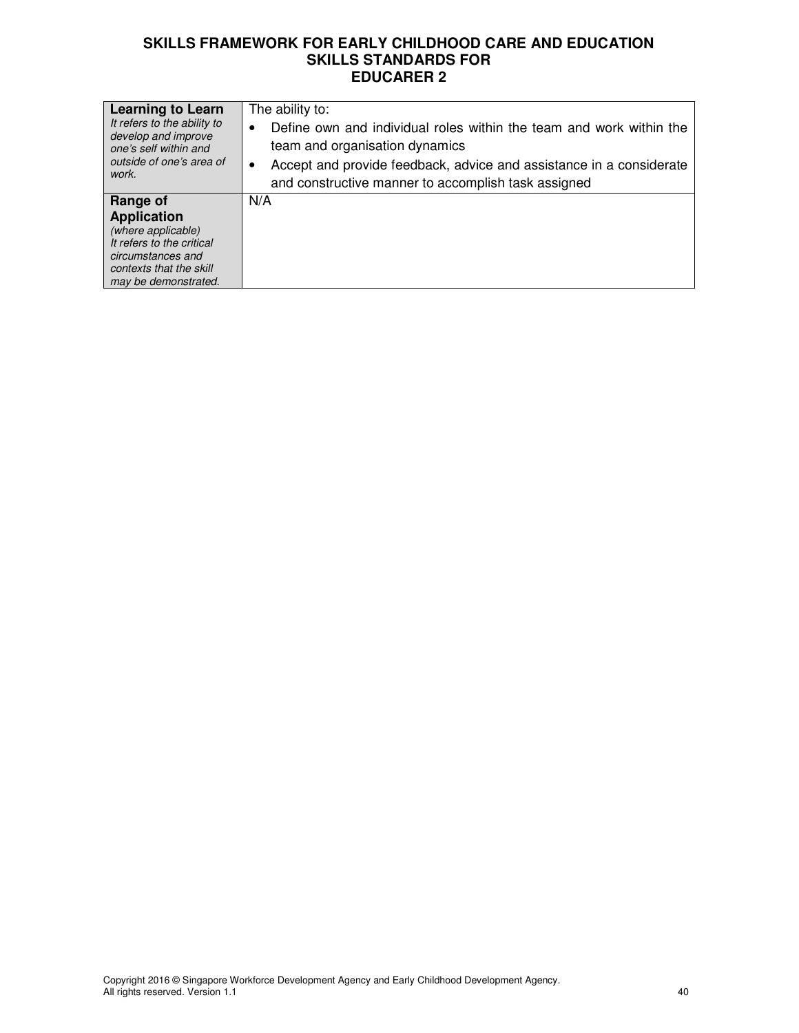| <b>Learning to Learn</b><br>It refers to the ability to<br>develop and improve<br>one's self within and<br>outside of one's area of<br>work.              | The ability to:<br>Define own and individual roles within the team and work within the<br>$\bullet$<br>team and organisation dynamics<br>Accept and provide feedback, advice and assistance in a considerate<br>٠<br>and constructive manner to accomplish task assigned |
|-----------------------------------------------------------------------------------------------------------------------------------------------------------|--------------------------------------------------------------------------------------------------------------------------------------------------------------------------------------------------------------------------------------------------------------------------|
| Range of<br><b>Application</b><br>(where applicable)<br>It refers to the critical<br>circumstances and<br>contexts that the skill<br>may be demonstrated. | N/A                                                                                                                                                                                                                                                                      |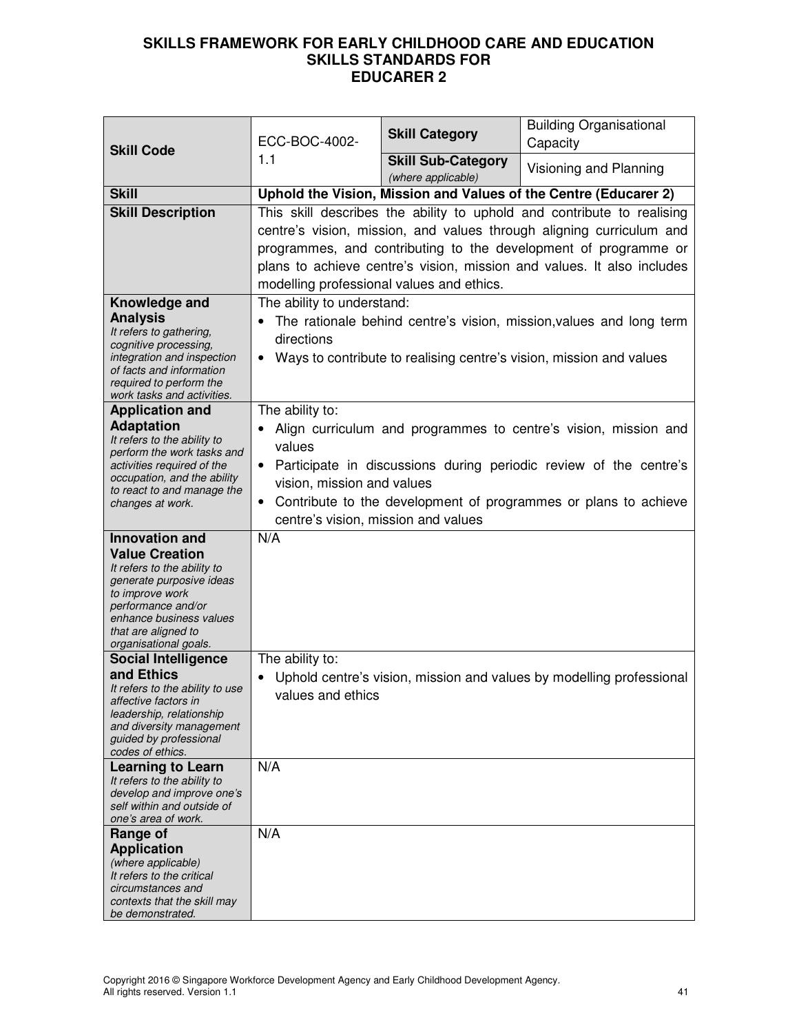| <b>Skill Code</b>                                                                                                                                                                                                             | ECC-BOC-4002-<br>1.1                                                                                                     | <b>Skill Category</b>                           | <b>Building Organisational</b><br>Capacity                                                                                                                                                                                                                                                  |
|-------------------------------------------------------------------------------------------------------------------------------------------------------------------------------------------------------------------------------|--------------------------------------------------------------------------------------------------------------------------|-------------------------------------------------|---------------------------------------------------------------------------------------------------------------------------------------------------------------------------------------------------------------------------------------------------------------------------------------------|
|                                                                                                                                                                                                                               |                                                                                                                          | <b>Skill Sub-Category</b><br>(where applicable) | Visioning and Planning                                                                                                                                                                                                                                                                      |
| <b>Skill</b>                                                                                                                                                                                                                  |                                                                                                                          |                                                 | Uphold the Vision, Mission and Values of the Centre (Educarer 2)                                                                                                                                                                                                                            |
| <b>Skill Description</b>                                                                                                                                                                                                      | modelling professional values and ethics.                                                                                |                                                 | This skill describes the ability to uphold and contribute to realising<br>centre's vision, mission, and values through aligning curriculum and<br>programmes, and contributing to the development of programme or<br>plans to achieve centre's vision, mission and values. It also includes |
| Knowledge and<br><b>Analysis</b><br>It refers to gathering,<br>cognitive processing,<br>integration and inspection<br>of facts and information<br>required to perform the<br>work tasks and activities.                       | The ability to understand:<br>directions                                                                                 |                                                 | The rationale behind centre's vision, mission, values and long term<br>Ways to contribute to realising centre's vision, mission and values                                                                                                                                                  |
| <b>Application and</b><br><b>Adaptation</b><br>It refers to the ability to<br>perform the work tasks and<br>activities required of the<br>occupation, and the ability<br>to react to and manage the<br>changes at work.       | The ability to:<br>values<br>$\bullet$<br>vision, mission and values<br>$\bullet$<br>centre's vision, mission and values |                                                 | Align curriculum and programmes to centre's vision, mission and<br>Participate in discussions during periodic review of the centre's<br>Contribute to the development of programmes or plans to achieve                                                                                     |
| <b>Innovation and</b><br><b>Value Creation</b><br>It refers to the ability to<br>generate purposive ideas<br>to improve work<br>performance and/or<br>enhance business values<br>that are aligned to<br>organisational goals. | N/A<br>The ability to:                                                                                                   |                                                 |                                                                                                                                                                                                                                                                                             |
| <b>Social Intelligence</b><br>and Ethics<br>It refers to the ability to use<br>affective factors in<br>leadership, relationship<br>and diversity management<br>guided by professional<br>codes of ethics.                     | values and ethics                                                                                                        |                                                 | Uphold centre's vision, mission and values by modelling professional                                                                                                                                                                                                                        |
| <b>Learning to Learn</b><br>It refers to the ability to<br>develop and improve one's<br>self within and outside of<br>one's area of work.                                                                                     | N/A                                                                                                                      |                                                 |                                                                                                                                                                                                                                                                                             |
| Range of<br><b>Application</b><br>(where applicable)<br>It refers to the critical<br>circumstances and<br>contexts that the skill may<br>be demonstrated.                                                                     | N/A                                                                                                                      |                                                 |                                                                                                                                                                                                                                                                                             |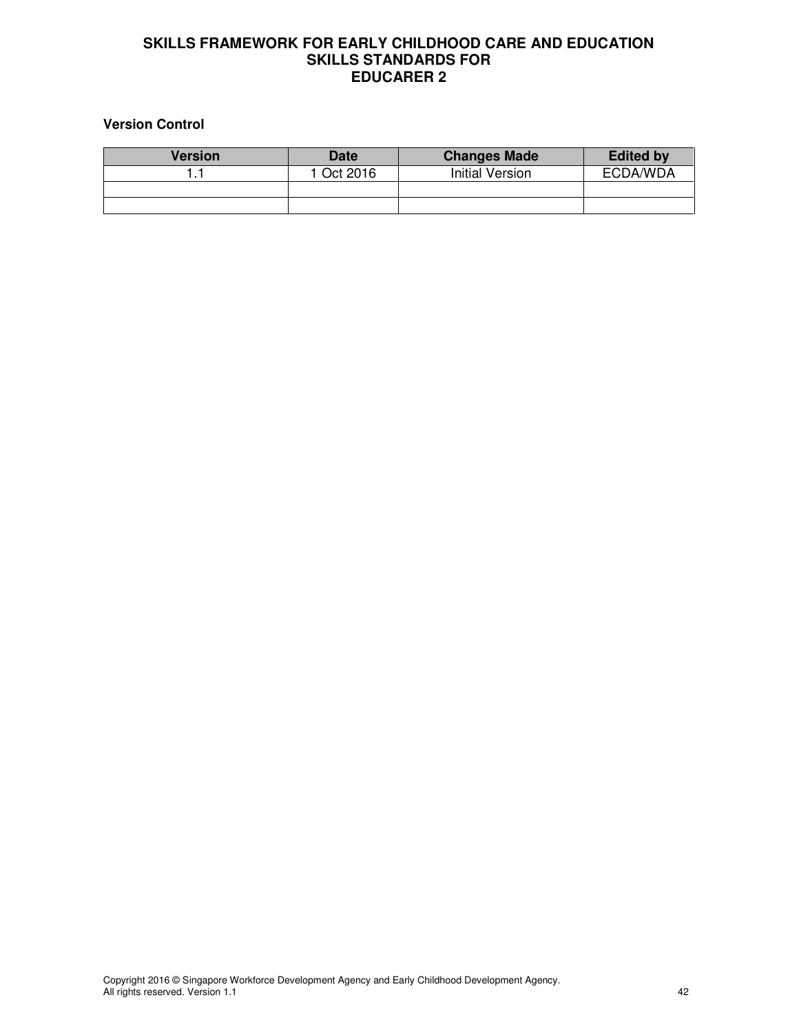# **Version Control**

| <b>Version</b> | <b>Date</b> | <b>Changes Made</b>    | <b>Edited by</b> |
|----------------|-------------|------------------------|------------------|
|                | 1 Oct 2016  | <b>Initial Version</b> | ECDA/WDA         |
|                |             |                        |                  |
|                |             |                        |                  |